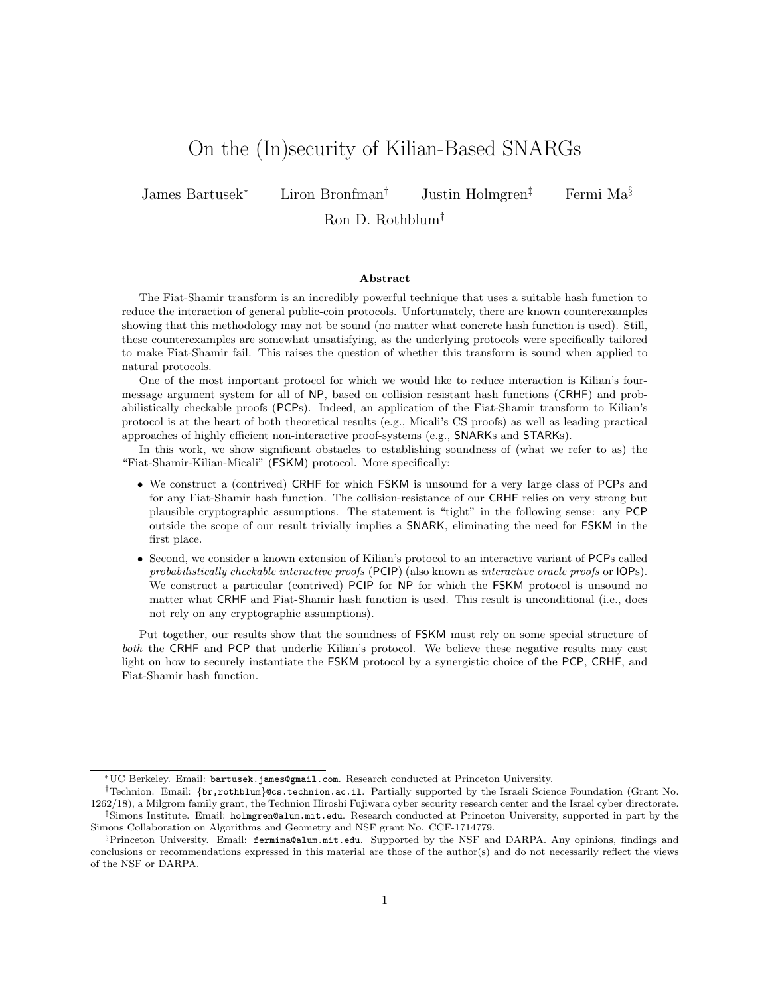# On the (In)security of Kilian-Based SNARGs

James Bartusek<sup>∗</sup> Liron Bronfman† Justin Holmgren‡ Fermi Ma§

Ron D. Rothblum†

#### Abstract

The Fiat-Shamir transform is an incredibly powerful technique that uses a suitable hash function to reduce the interaction of general public-coin protocols. Unfortunately, there are known counterexamples showing that this methodology may not be sound (no matter what concrete hash function is used). Still, these counterexamples are somewhat unsatisfying, as the underlying protocols were specifically tailored to make Fiat-Shamir fail. This raises the question of whether this transform is sound when applied to natural protocols.

One of the most important protocol for which we would like to reduce interaction is Kilian's fourmessage argument system for all of NP, based on collision resistant hash functions (CRHF) and probabilistically checkable proofs (PCPs). Indeed, an application of the Fiat-Shamir transform to Kilian's protocol is at the heart of both theoretical results (e.g., Micali's CS proofs) as well as leading practical approaches of highly efficient non-interactive proof-systems (e.g., SNARKs and STARKs).

In this work, we show significant obstacles to establishing soundness of (what we refer to as) the "Fiat-Shamir-Kilian-Micali" (FSKM) protocol. More specifically:

- We construct a (contrived) CRHF for which FSKM is unsound for a very large class of PCPs and for any Fiat-Shamir hash function. The collision-resistance of our CRHF relies on very strong but plausible cryptographic assumptions. The statement is "tight" in the following sense: any PCP outside the scope of our result trivially implies a SNARK, eliminating the need for FSKM in the first place.
- Second, we consider a known extension of Kilian's protocol to an interactive variant of PCPs called probabilistically checkable interactive proofs (PCIP) (also known as interactive oracle proofs or IOPs). We construct a particular (contrived) PCIP for NP for which the FSKM protocol is unsound no matter what CRHF and Fiat-Shamir hash function is used. This result is unconditional (i.e., does not rely on any cryptographic assumptions).

Put together, our results show that the soundness of FSKM must rely on some special structure of both the CRHF and PCP that underlie Kilian's protocol. We believe these negative results may cast light on how to securely instantiate the FSKM protocol by a synergistic choice of the PCP, CRHF, and Fiat-Shamir hash function.

<sup>∗</sup>UC Berkeley. Email: bartusek.james@gmail.com. Research conducted at Princeton University.

<sup>†</sup>Technion. Email: {br,rothblum}@cs.technion.ac.il. Partially supported by the Israeli Science Foundation (Grant No. 1262/18), a Milgrom family grant, the Technion Hiroshi Fujiwara cyber security research center and the Israel cyber directorate. ‡Simons Institute. Email: holmgren@alum.mit.edu. Research conducted at Princeton University, supported in part by the Simons Collaboration on Algorithms and Geometry and NSF grant No. CCF-1714779.

<sup>§</sup>Princeton University. Email: fermima@alum.mit.edu. Supported by the NSF and DARPA. Any opinions, findings and conclusions or recommendations expressed in this material are those of the author(s) and do not necessarily reflect the views of the NSF or DARPA.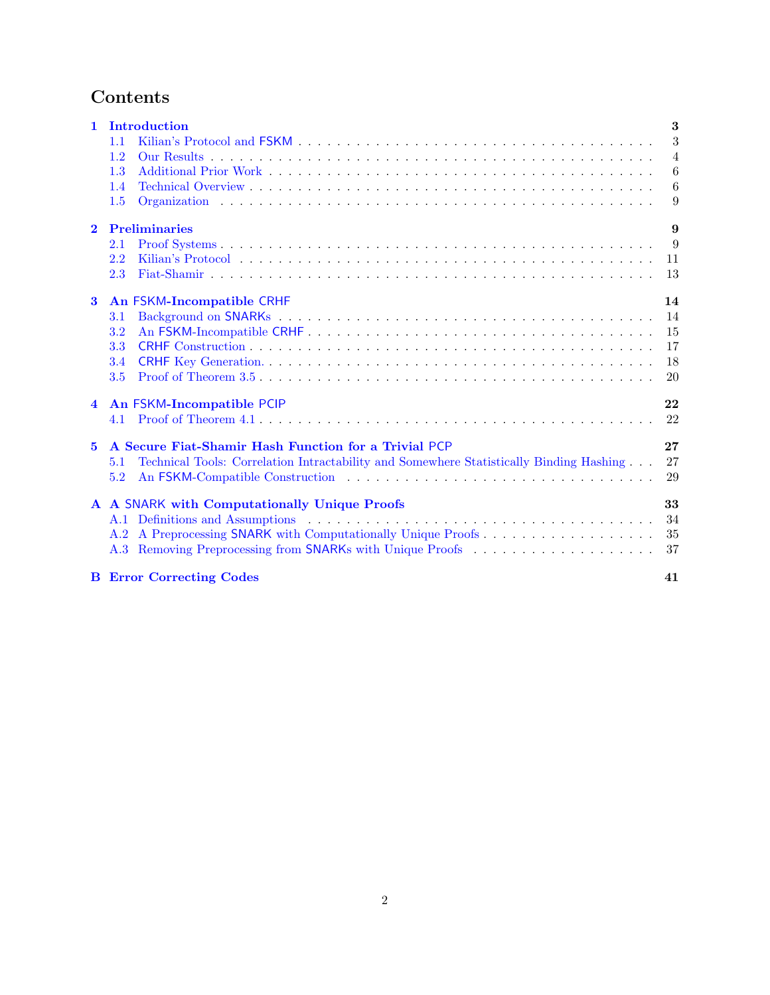# Contents

| $\mathbf{1}$            | Introduction                                                                                                                                                                                                                  | 3              |
|-------------------------|-------------------------------------------------------------------------------------------------------------------------------------------------------------------------------------------------------------------------------|----------------|
|                         | 1.1                                                                                                                                                                                                                           | 3              |
|                         | 1.2                                                                                                                                                                                                                           | $\overline{4}$ |
|                         | 1.3                                                                                                                                                                                                                           | 6              |
|                         | 1.4                                                                                                                                                                                                                           | 6              |
|                         | 1.5                                                                                                                                                                                                                           | 9              |
| $\overline{2}$          | <b>Preliminaries</b>                                                                                                                                                                                                          | 9              |
|                         | 2.1                                                                                                                                                                                                                           | 9              |
|                         | 2.2                                                                                                                                                                                                                           | 11             |
|                         | 2.3                                                                                                                                                                                                                           | 13             |
| $\bf{3}$                | An FSKM-Incompatible CRHF                                                                                                                                                                                                     | 14             |
|                         | 3.1                                                                                                                                                                                                                           | 14             |
|                         | 3.2                                                                                                                                                                                                                           | 15             |
|                         | 3.3                                                                                                                                                                                                                           | 17             |
|                         | 3.4                                                                                                                                                                                                                           | 18             |
|                         | 3.5                                                                                                                                                                                                                           | 20             |
| $\overline{\mathbf{4}}$ | An FSKM-Incompatible PCIP                                                                                                                                                                                                     | 22             |
|                         | 4.1                                                                                                                                                                                                                           | 22             |
| $\mathbf{5}$            | A Secure Fiat-Shamir Hash Function for a Trivial PCP                                                                                                                                                                          | 27             |
|                         | Technical Tools: Correlation Intractability and Somewhere Statistically Binding Hashing<br>5.1                                                                                                                                | 27             |
|                         | 5.2                                                                                                                                                                                                                           | 29             |
|                         | A A SNARK with Computationally Unique Proofs                                                                                                                                                                                  | 33             |
|                         | A.1 Definitions and Assumptions entertainment in the set of the set of the set of the set of the set of the set of the set of the set of the set of the set of the set of the set of the set of the set of the set of the set | 34             |
|                         | A.2 A Preprocessing SNARK with Computationally Unique Proofs                                                                                                                                                                  | 35             |
|                         | A.3 Removing Preprocessing from SNARKs with Unique Proofs                                                                                                                                                                     | 37             |
|                         | <b>B</b> Error Correcting Codes                                                                                                                                                                                               | 41             |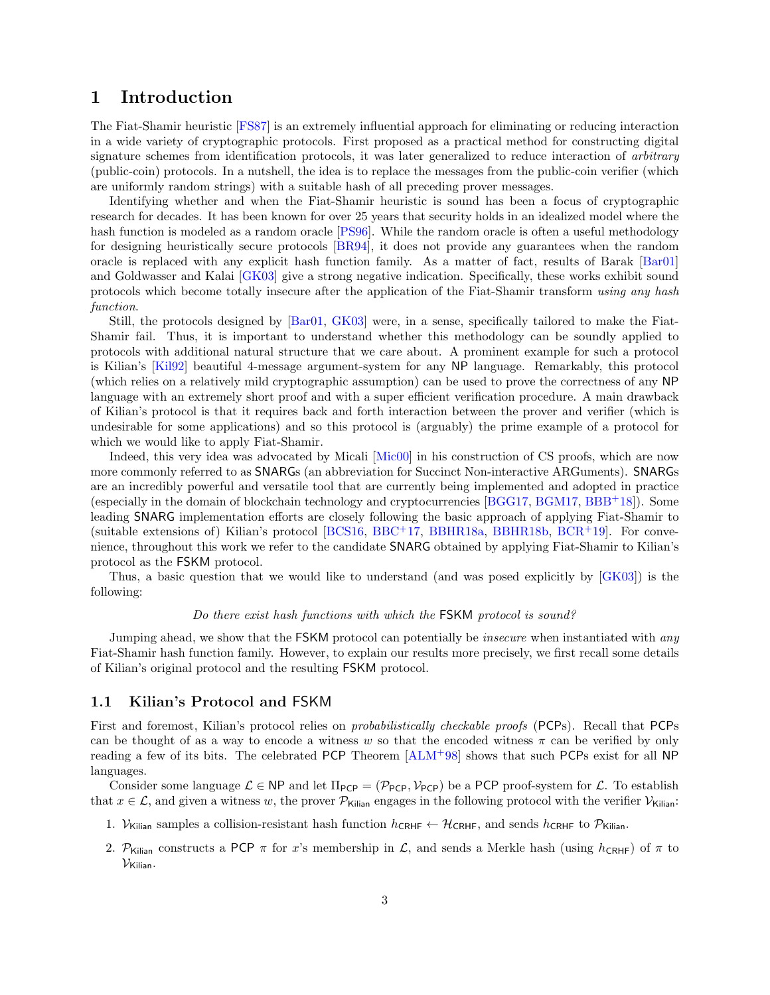## <span id="page-2-0"></span>1 Introduction

The Fiat-Shamir heuristic [\[FS87\]](#page-31-0) is an extremely influential approach for eliminating or reducing interaction in a wide variety of cryptographic protocols. First proposed as a practical method for constructing digital signature schemes from identification protocols, it was later generalized to reduce interaction of arbitrary (public-coin) protocols. In a nutshell, the idea is to replace the messages from the public-coin verifier (which are uniformly random strings) with a suitable hash of all preceding prover messages.

Identifying whether and when the Fiat-Shamir heuristic is sound has been a focus of cryptographic research for decades. It has been known for over 25 years that security holds in an idealized model where the hash function is modeled as a random oracle [\[PS96\]](#page-32-1). While the random oracle is often a useful methodology for designing heuristically secure protocols [\[BR94\]](#page-30-0), it does not provide any guarantees when the random oracle is replaced with any explicit hash function family. As a matter of fact, results of Barak [\[Bar01\]](#page-29-0) and Goldwasser and Kalai [\[GK03\]](#page-31-1) give a strong negative indication. Specifically, these works exhibit sound protocols which become totally insecure after the application of the Fiat-Shamir transform using any hash function.

Still, the protocols designed by [\[Bar01,](#page-29-0) [GK03\]](#page-31-1) were, in a sense, specifically tailored to make the Fiat-Shamir fail. Thus, it is important to understand whether this methodology can be soundly applied to protocols with additional natural structure that we care about. A prominent example for such a protocol is Kilian's [\[Kil92\]](#page-31-2) beautiful 4-message argument-system for any NP language. Remarkably, this protocol (which relies on a relatively mild cryptographic assumption) can be used to prove the correctness of any NP language with an extremely short proof and with a super efficient verification procedure. A main drawback of Kilian's protocol is that it requires back and forth interaction between the prover and verifier (which is undesirable for some applications) and so this protocol is (arguably) the prime example of a protocol for which we would like to apply Fiat-Shamir.

Indeed, this very idea was advocated by Micali [\[Mic00\]](#page-32-2) in his construction of CS proofs, which are now more commonly referred to as SNARGs (an abbreviation for Succinct Non-interactive ARGuments). SNARGs are an incredibly powerful and versatile tool that are currently being implemented and adopted in practice (especially in the domain of blockchain technology and cryptocurrencies [\[BGG17,](#page-30-1) [BGM17,](#page-30-2) [BBB](#page-29-1)+18]). Some leading SNARG implementation efforts are closely following the basic approach of applying Fiat-Shamir to (suitable extensions of) Kilian's protocol [\[BCS16,](#page-30-3) [BBC](#page-29-2)+17, [BBHR18a,](#page-29-3) [BBHR18b,](#page-29-4) [BCR](#page-29-5)+19]. For convenience, throughout this work we refer to the candidate SNARG obtained by applying Fiat-Shamir to Kilian's protocol as the FSKM protocol.

Thus, a basic question that we would like to understand (and was posed explicitly by [\[GK03\]](#page-31-1)) is the following:

### Do there exist hash functions with which the FSKM protocol is sound?

Jumping ahead, we show that the FSKM protocol can potentially be *insecure* when instantiated with *any* Fiat-Shamir hash function family. However, to explain our results more precisely, we first recall some details of Kilian's original protocol and the resulting FSKM protocol.

#### <span id="page-2-1"></span>1.1 Kilian's Protocol and FSKM

First and foremost, Kilian's protocol relies on probabilistically checkable proofs (PCPs). Recall that PCPs can be thought of as a way to encode a witness w so that the encoded witness  $\pi$  can be verified by only reading a few of its bits. The celebrated PCP Theorem [\[ALM](#page-29-6)<sup>+</sup>98] shows that such PCPs exist for all NP languages.

Consider some language  $\mathcal{L} \in \mathsf{NP}$  and let  $\Pi_{\mathsf{PCP}} = (\mathcal{P}_{\mathsf{PCP}}, \mathcal{V}_{\mathsf{PCP}})$  be a PCP proof-system for  $\mathcal{L}$ . To establish that  $x \in \mathcal{L}$ , and given a witness w, the prover  $\mathcal{P}_{\text{Kilian}}$  engages in the following protocol with the verifier  $\mathcal{V}_{\text{Kilian}}$ :

- 1. V<sub>Kilian</sub> samples a collision-resistant hash function  $h_{\text{CRHF}} \leftarrow \mathcal{H}_{\text{CRHF}}$ , and sends  $h_{\text{CRHF}}$  to  $\mathcal{P}_{\text{Kilian}}$ .
- 2. P<sub>Kilian</sub> constructs a PCP  $\pi$  for x's membership in L, and sends a Merkle hash (using  $h_{CRHF}$ ) of  $\pi$  to  $V_{\text{Kilian}}$ .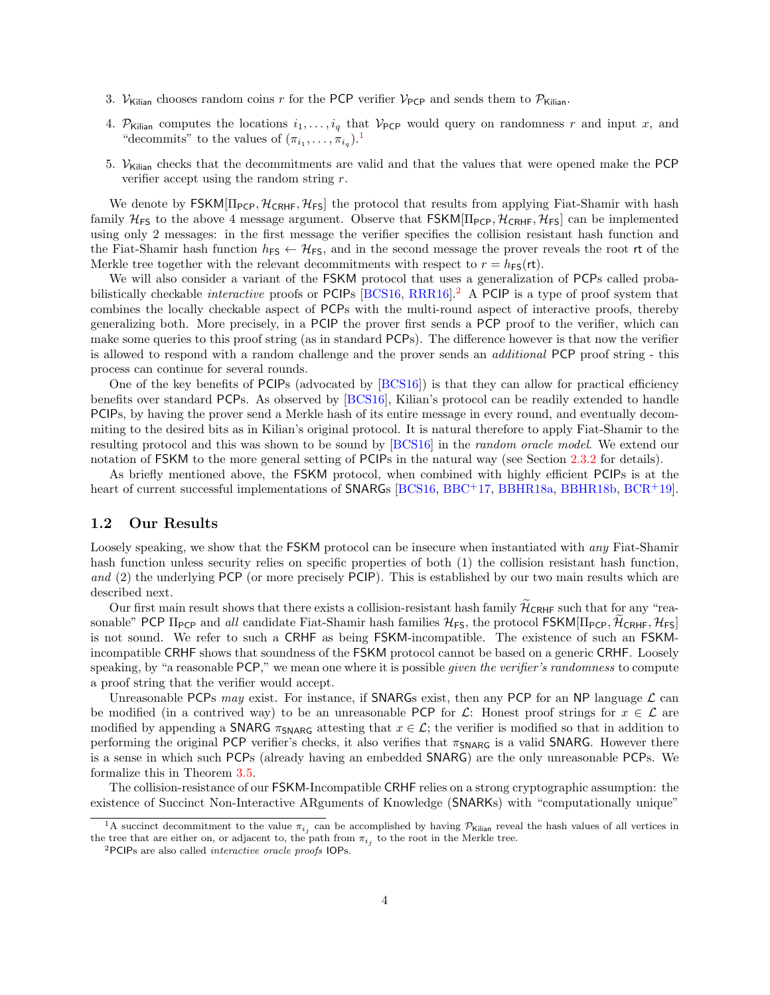- 3. V<sub>Kilian</sub> chooses random coins r for the PCP verifier V<sub>PCP</sub> and sends them to  $\mathcal{P}_{\text{Kilian}}$ .
- 4. P<sub>Kilian</sub> computes the locations  $i_1, \ldots, i_q$  that  $V_{PCP}$  would query on randomness r and input x, and "decommits" to the values of  $(\pi_{i_1}, \ldots, \pi_{i_q})$  $(\pi_{i_1}, \ldots, \pi_{i_q})$  $(\pi_{i_1}, \ldots, \pi_{i_q})$ .<sup>1</sup>
- 5.  $V_{\text{Kilian}}$  checks that the decommitments are valid and that the values that were opened make the PCP verifier accept using the random string  $r$ .

We denote by  $FSKM[\Pi_{PCP}, \mathcal{H}_{CRHF}, \mathcal{H}_{FS}]$  the protocol that results from applying Fiat-Shamir with hash family  $H_{FS}$  to the above 4 message argument. Observe that  $FSKM[\Pi_{PCP}, \mathcal{H}_{CRHF}, \mathcal{H}_{FS}]$  can be implemented using only 2 messages: in the first message the verifier specifies the collision resistant hash function and the Fiat-Shamir hash function  $h_{FS} \leftarrow H_{FS}$ , and in the second message the prover reveals the root rt of the Merkle tree together with the relevant decommitments with respect to  $r = h_{FS}(\text{rt})$ .

We will also consider a variant of the FSKM protocol that uses a generalization of PCPs called probabilistically checkable *interactive* proofs or PCIPs  $[BCS16, RRR16]$  $[BCS16, RRR16]$  $[BCS16, RRR16]$ <sup>[2](#page-3-2)</sup> A PCIP is a type of proof system that combines the locally checkable aspect of PCPs with the multi-round aspect of interactive proofs, thereby generalizing both. More precisely, in a PCIP the prover first sends a PCP proof to the verifier, which can make some queries to this proof string (as in standard PCPs). The difference however is that now the verifier is allowed to respond with a random challenge and the prover sends an additional PCP proof string - this process can continue for several rounds.

One of the key benefits of PCIPs (advocated by [\[BCS16\]](#page-30-3)) is that they can allow for practical efficiency benefits over standard PCPs. As observed by [\[BCS16\]](#page-30-3), Kilian's protocol can be readily extended to handle PCIPs, by having the prover send a Merkle hash of its entire message in every round, and eventually decommiting to the desired bits as in Kilian's original protocol. It is natural therefore to apply Fiat-Shamir to the resulting protocol and this was shown to be sound by [\[BCS16\]](#page-30-3) in the random oracle model. We extend our notation of FSKM to the more general setting of PCIPs in the natural way (see Section [2.3.2](#page-13-2) for details).

As briefly mentioned above, the FSKM protocol, when combined with highly efficient PCIPs is at the heart of current successful implementations of SNARGs [\[BCS16,](#page-30-3) [BBC](#page-29-2)+17, [BBHR18a,](#page-29-3) [BBHR18b,](#page-29-4) [BCR](#page-29-5)+19].

### <span id="page-3-0"></span>1.2 Our Results

Loosely speaking, we show that the FSKM protocol can be insecure when instantiated with *any* Fiat-Shamir hash function unless security relies on specific properties of both (1) the collision resistant hash function, and (2) the underlying PCP (or more precisely PCIP). This is established by our two main results which are described next.

Our first main result shows that there exists a collision-resistant hash family  $\tilde{\mathcal{H}}_{CRHF}$  such that for any "reasonable" PCP  $\Pi_{PCP}$  and all candidate Fiat-Shamir hash families  $\mathcal{H}_{FS}$ , the protocol FSKM $\Pi_{PCP}, \tilde{\mathcal{H}}_{CRHF}, \mathcal{H}_{FS}$ is not sound. We refer to such a CRHF as being FSKM-incompatible. The existence of such an FSKMincompatible CRHF shows that soundness of the FSKM protocol cannot be based on a generic CRHF. Loosely speaking, by "a reasonable PCP," we mean one where it is possible *given the verifier's randomness* to compute a proof string that the verifier would accept.

Unreasonable PCPs may exist. For instance, if SNARGs exist, then any PCP for an NP language  $\mathcal L$  can be modified (in a contrived way) to be an unreasonable PCP for  $\mathcal{L}$ : Honest proof strings for  $x \in \mathcal{L}$  are modified by appending a SNARG  $\pi_{\text{SNARG}}$  attesting that  $x \in \mathcal{L}$ ; the verifier is modified so that in addition to performing the original PCP verifier's checks, it also verifies that  $\pi_{\text{SNARG}}$  is a valid SNARG. However there is a sense in which such PCPs (already having an embedded SNARG) are the only unreasonable PCPs. We formalize this in Theorem [3.5.](#page-15-0)

The collision-resistance of our FSKM-Incompatible CRHF relies on a strong cryptographic assumption: the existence of Succinct Non-Interactive ARguments of Knowledge (SNARKs) with "computationally unique"

<span id="page-3-1"></span><sup>&</sup>lt;sup>1</sup>A succinct decommitment to the value  $\pi_{i_j}$  can be accomplished by having  $P_{\text{Kilian}}$  reveal the hash values of all vertices in the tree that are either on, or adjacent to, the path from  $\pi_{i_j}$  to the root in the Merkle tree.

<span id="page-3-2"></span><sup>2</sup>PCIPs are also called interactive oracle proofs IOPs.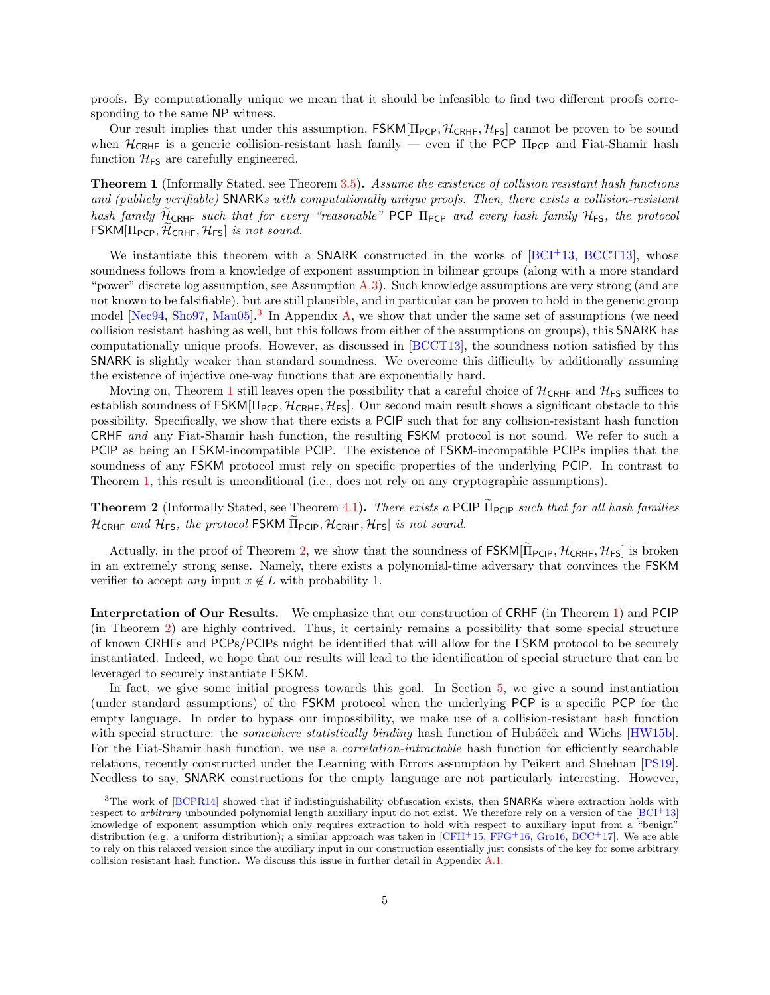proofs. By computationally unique we mean that it should be infeasible to find two different proofs corresponding to the same NP witness.

Our result implies that under this assumption,  $FSKM[\Pi_{PCP}, \mathcal{H}_{CRHF}, \mathcal{H}_{FS}]$  cannot be proven to be sound when  $H_{CRHF}$  is a generic collision-resistant hash family — even if the PCP  $\Pi_{PCP}$  and Fiat-Shamir hash function  $\mathcal{H}_{\text{FS}}$  are carefully engineered.

<span id="page-4-1"></span>**Theorem 1** (Informally Stated, see Theorem [3.5\)](#page-15-0). Assume the existence of collision resistant hash functions and (publicly verifiable) SNARKs with computationally unique proofs. Then, there exists a collision-resistant hash family  $\widetilde{\mathcal{H}}_{CRHF}$  such that for every "reasonable" PCP  $\Pi_{PCP}$  and every hash family  $\mathcal{H}_{FS}$ , the protocol  $FSKM[\Pi_{PCP}, \mathcal{H}_{CRHF}, \mathcal{H}_{FS}]$  is not sound.

We instantiate this theorem with a SNARK constructed in the works of  $[BCI<sup>+</sup>13, BCCT13]$  $[BCI<sup>+</sup>13, BCCT13]$  $[BCI<sup>+</sup>13, BCCT13]$ , whose soundness follows from a knowledge of exponent assumption in bilinear groups (along with a more standard "power" discrete log assumption, see Assumption [A.3\)](#page-34-1). Such knowledge assumptions are very strong (and are not known to be falsifiable), but are still plausible, and in particular can be proven to hold in the generic group model [\[Nec94,](#page-32-4) [Sho97,](#page-32-5) [Mau05\]](#page-32-6).<sup>[3](#page-4-0)</sup> In Appendix [A,](#page-32-0) we show that under the same set of assumptions (we need collision resistant hashing as well, but this follows from either of the assumptions on groups), this SNARK has computationally unique proofs. However, as discussed in [\[BCCT13\]](#page-29-8), the soundness notion satisfied by this SNARK is slightly weaker than standard soundness. We overcome this difficulty by additionally assuming the existence of injective one-way functions that are exponentially hard.

Moving on, Theorem [1](#page-4-1) still leaves open the possibility that a careful choice of  $\mathcal{H}_{\text{CRHF}}$  and  $\mathcal{H}_{\text{FS}}$  suffices to establish soundness of FSKM[ $\Pi$ <sub>PCP</sub>,  $\mathcal{H}_{CRHF}$ ,  $\mathcal{H}_{FS}$ ]. Our second main result shows a significant obstacle to this possibility. Specifically, we show that there exists a PCIP such that for any collision-resistant hash function CRHF and any Fiat-Shamir hash function, the resulting FSKM protocol is not sound. We refer to such a PCIP as being an FSKM-incompatible PCIP. The existence of FSKM-incompatible PCIPs implies that the soundness of any FSKM protocol must rely on specific properties of the underlying PCIP. In contrast to Theorem [1,](#page-4-1) this result is unconditional (i.e., does not rely on any cryptographic assumptions).

<span id="page-4-2"></span>**Theorem 2** (Informally Stated, see Theorem [4.1\)](#page-21-2). There exists a PCIP  $\tilde{\Pi}_{PCIP}$  such that for all hash families  $H_{CRHF}$  and  $H_{FS}$ , the protocol FSKM $[\Pi_{PCIP}, H_{CRHF}, H_{FS}]$  is not sound.

Actually, in the proof of Theorem [2,](#page-4-2) we show that the soundness of  $FSKM[\Pi_{PCP}, \mathcal{H}_{CRHF}, \mathcal{H}_{FS}]$  is broken in an extremely strong sense. Namely, there exists a polynomial-time adversary that convinces the FSKM verifier to accept any input  $x \notin L$  with probability 1.

Interpretation of Our Results. We emphasize that our construction of CRHF (in Theorem [1\)](#page-4-1) and PCIP (in Theorem [2\)](#page-4-2) are highly contrived. Thus, it certainly remains a possibility that some special structure of known CRHFs and PCPs/PCIPs might be identified that will allow for the FSKM protocol to be securely instantiated. Indeed, we hope that our results will lead to the identification of special structure that can be leveraged to securely instantiate FSKM.

In fact, we give some initial progress towards this goal. In Section [5,](#page-26-0) we give a sound instantiation (under standard assumptions) of the FSKM protocol when the underlying PCP is a specific PCP for the empty language. In order to bypass our impossibility, we make use of a collision-resistant hash function with special structure: the *somewhere statistically binding* hash function of Hubáček and Wichs [\[HW15b\]](#page-31-3). For the Fiat-Shamir hash function, we use a *correlation-intractable* hash function for efficiently searchable relations, recently constructed under the Learning with Errors assumption by Peikert and Shiehian [\[PS19\]](#page-32-7). Needless to say, SNARK constructions for the empty language are not particularly interesting. However,

<span id="page-4-0"></span> $3$ The work of [\[BCPR14\]](#page-29-9) showed that if indistinguishability obfuscation exists, then SNARKs where extraction holds with respect to arbitrary unbounded polynomial length auxiliary input do not exist. We therefore rely on a version of the  $[BCI+13]$  $[BCI+13]$ knowledge of exponent assumption which only requires extraction to hold with respect to auxiliary input from a "benign" distribution (e.g. a uniform distribution); a similar approach was taken in  $[CFH<sup>+</sup>15, FFG<sup>+</sup>16, Grol6, BCC<sup>+</sup>17]$  $[CFH<sup>+</sup>15, FFG<sup>+</sup>16, Grol6, BCC<sup>+</sup>17]$  $[CFH<sup>+</sup>15, FFG<sup>+</sup>16, Grol6, BCC<sup>+</sup>17]$  $[CFH<sup>+</sup>15, FFG<sup>+</sup>16, Grol6, BCC<sup>+</sup>17]$  $[CFH<sup>+</sup>15, FFG<sup>+</sup>16, Grol6, BCC<sup>+</sup>17]$  $[CFH<sup>+</sup>15, FFG<sup>+</sup>16, Grol6, BCC<sup>+</sup>17]$ . We are able to rely on this relaxed version since the auxiliary input in our construction essentially just consists of the key for some arbitrary collision resistant hash function. We discuss this issue in further detail in Appendix [A.1.](#page-33-0)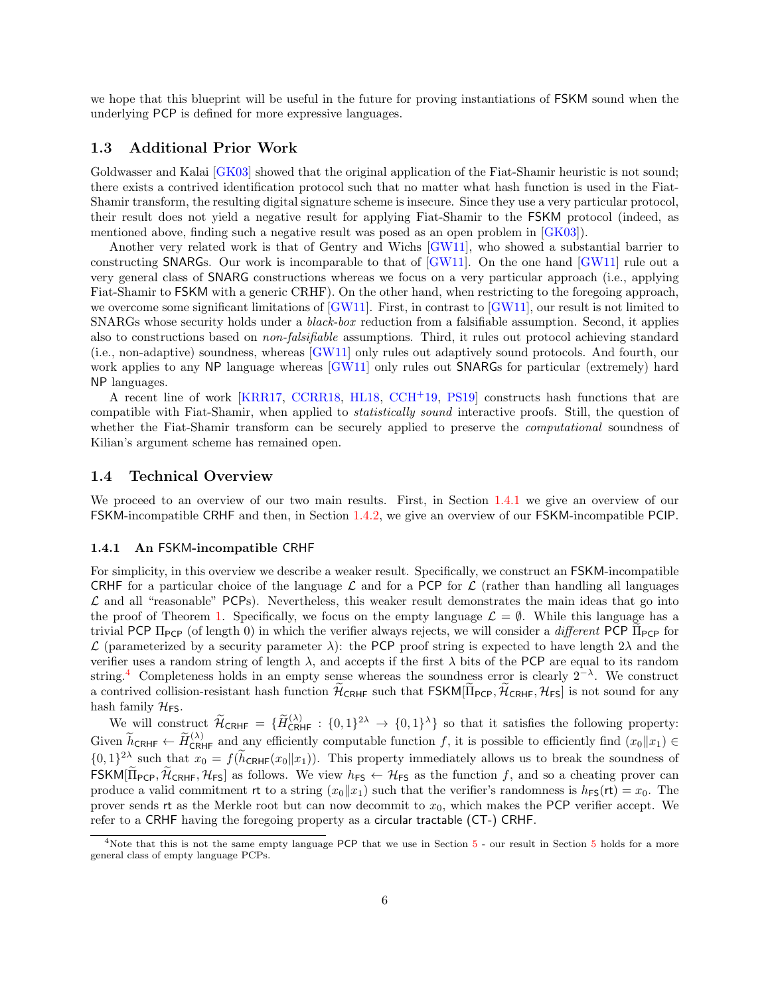we hope that this blueprint will be useful in the future for proving instantiations of FSKM sound when the underlying PCP is defined for more expressive languages.

## <span id="page-5-0"></span>1.3 Additional Prior Work

Goldwasser and Kalai [\[GK03\]](#page-31-1) showed that the original application of the Fiat-Shamir heuristic is not sound; there exists a contrived identification protocol such that no matter what hash function is used in the Fiat-Shamir transform, the resulting digital signature scheme is insecure. Since they use a very particular protocol, their result does not yield a negative result for applying Fiat-Shamir to the FSKM protocol (indeed, as mentioned above, finding such a negative result was posed as an open problem in [\[GK03\]](#page-31-1)).

Another very related work is that of Gentry and Wichs [\[GW11\]](#page-31-5), who showed a substantial barrier to constructing SNARGs. Our work is incomparable to that of [\[GW11\]](#page-31-5). On the one hand [\[GW11\]](#page-31-5) rule out a very general class of SNARG constructions whereas we focus on a very particular approach (i.e., applying Fiat-Shamir to FSKM with a generic CRHF). On the other hand, when restricting to the foregoing approach, we overcome some significant limitations of [\[GW11\]](#page-31-5). First, in contrast to [GW11], our result is not limited to SNARGs whose security holds under a black-box reduction from a falsifiable assumption. Second, it applies also to constructions based on non-falsifiable assumptions. Third, it rules out protocol achieving standard (i.e., non-adaptive) soundness, whereas [\[GW11\]](#page-31-5) only rules out adaptively sound protocols. And fourth, our work applies to any NP language whereas [\[GW11\]](#page-31-5) only rules out SNARGs for particular (extremely) hard NP languages.

A recent line of work [\[KRR17,](#page-31-6) [CCRR18,](#page-30-6) [HL18,](#page-31-7) [CCH](#page-30-7)+19, [PS19\]](#page-32-7) constructs hash functions that are compatible with Fiat-Shamir, when applied to statistically sound interactive proofs. Still, the question of whether the Fiat-Shamir transform can be securely applied to preserve the *computational* soundness of Kilian's argument scheme has remained open.

## <span id="page-5-1"></span>1.4 Technical Overview

We proceed to an overview of our two main results. First, in Section [1.4.1](#page-5-2) we give an overview of our FSKM-incompatible CRHF and then, in Section [1.4.2,](#page-7-0) we give an overview of our FSKM-incompatible PCIP.

#### <span id="page-5-2"></span>1.4.1 An FSKM-incompatible CRHF

For simplicity, in this overview we describe a weaker result. Specifically, we construct an FSKM-incompatible CRHF for a particular choice of the language  $\mathcal L$  and for a PCP for  $\mathcal L$  (rather than handling all languages  $\mathcal L$  and all "reasonable" PCPs). Nevertheless, this weaker result demonstrates the main ideas that go into the proof of Theorem [1.](#page-4-1) Specifically, we focus on the empty language  $\mathcal{L} = \emptyset$ . While this language has a trivial PCP  $\Pi_{PCP}$  (of length 0) in which the verifier always rejects, we will consider a *different* PCP  $\Pi_{PCP}$  for  $\mathcal L$  (parameterized by a security parameter  $\lambda$ ): the PCP proof string is expected to have length  $2\lambda$  and the verifier uses a random string of length  $\lambda$ , and accepts if the first  $\lambda$  bits of the PCP are equal to its random string.<sup>[4](#page-5-3)</sup> Completeness holds in an empty sense whereas the soundness error is clearly  $2^{-\lambda}$ . We construct a contrived collision-resistant hash function  $\mathcal{H}_{CRHF}$  such that  $FSKM[\Pi_{PCP}, \mathcal{H}_{CRHF}, \mathcal{H}_{FS}]$  is not sound for any hash family  $\mathcal{H}_{\text{FS}}$ .

We will construct  $\widetilde{\mathcal{H}}_{\text{CRHF}} = {\lbrace \widetilde{H}_{\text{CRHF}}^{(\lambda)} : \{0,1\}^{2\lambda} \rightarrow \{0,1\}^{\lambda} \rbrace}$  so that it satisfies the following property: Given  $\widetilde{h}_{\text{CRHF}} \leftarrow \widetilde{H}_{\text{CRHF}}^{(\lambda)}$  and any efficiently computable function f, it is possible to efficiently find  $(x_0||x_1) \in$  ${0,1}^2$  such that  $x_0 = f(\tilde{h}_{\text{CRHF}}(x_0||x_1))$ . This property immediately allows us to break the soundness of FSKM[ $\widetilde{\Pi}_{\text{PCP}}, \widetilde{\mathcal{H}}_{\text{CRHF}}, \mathcal{H}_{\text{FS}}$ ] as follows. We view  $h_{\text{FS}} \leftarrow \mathcal{H}_{\text{FS}}$  as the function f, and so a cheating prover can produce a valid commitment rt to a string  $(x_0||x_1)$  such that the verifier's randomness is  $h_{FS}(\text{rt}) = x_0$ . The prover sends rt as the Merkle root but can now decommit to  $x_0$ , which makes the PCP verifier accept. We refer to a CRHF having the foregoing property as a circular tractable (CT-) CRHF.

<span id="page-5-3"></span><sup>&</sup>lt;sup>4</sup>Note that this is not the same empty language PCP that we use in Section [5](#page-26-0) - our result in Section 5 holds for a more general class of empty language PCPs.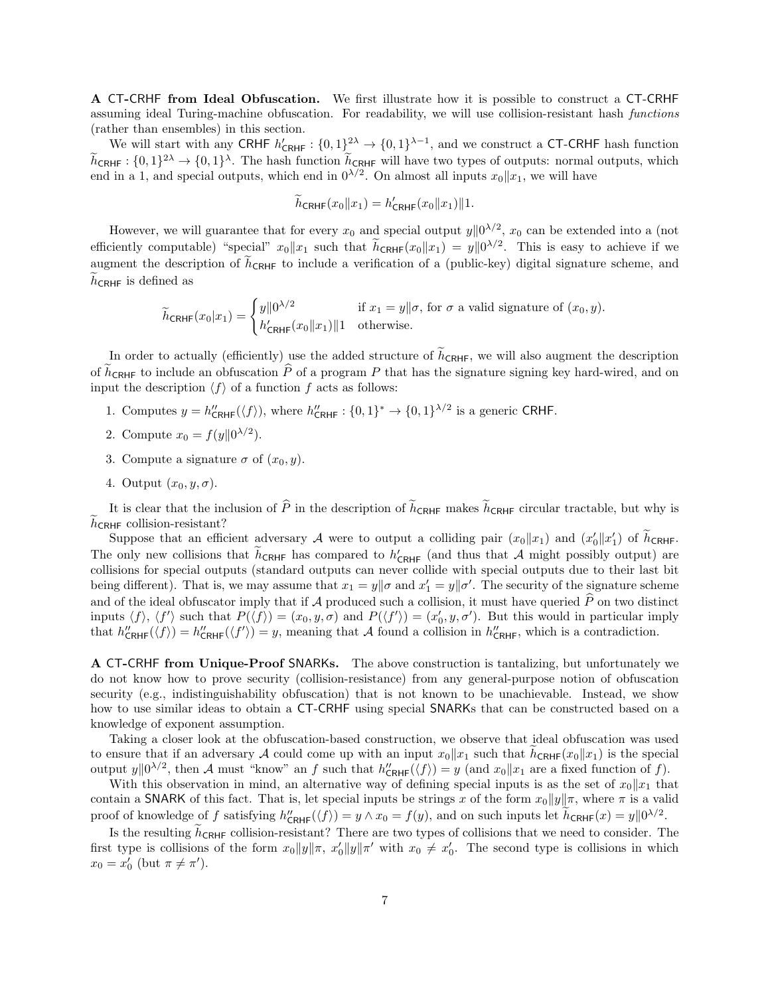A CT-CRHF from Ideal Obfuscation. We first illustrate how it is possible to construct a CT-CRHF assuming ideal Turing-machine obfuscation. For readability, we will use collision-resistant hash functions (rather than ensembles) in this section.

We will start with any CRHF  $h'_{\text{CRHF}}: \{0,1\}^{2\lambda} \to \{0,1\}^{\lambda-1}$ , and we construct a CT-CRHF hash function  $\tilde{h}_{\text{CRHF}}: \{0,1\}^{2\lambda} \to \{0,1\}^{\lambda}$ . The hash function  $\tilde{h}_{\text{CRHF}}$  will have two types of outputs: normal outputs, which end in a 1, and special outputs, which end in  $0^{\lambda/2}$ . On almost all inputs  $x_0||x_1$ , we

$$
\widetilde{h}_{\text{CRHF}}(x_0||x_1) = h'_{\text{CRHF}}(x_0||x_1)||1.
$$

However, we will guarantee that for every  $x_0$  and special output  $y||0^{\lambda/2}$ ,  $x_0$  can be extended into a (not efficiently computable) "special"  $x_0 || x_1$  such that  $h_{CRHF}(x_0 || x_1) = y || 0^{\lambda/2}$ . This is easy to achieve if we augment the description of  $\tilde{h}_{\text{CRHF}}$  to include a verification of a (public-key) digital signature scheme, and  $h_{\text{CRHF}}$  is defined as

$$
\widetilde{h}_{\text{CRHF}}(x_0|x_1) = \begin{cases} y\|\mathbf{0}^{\lambda/2} & \text{if } x_1 = y\|\sigma \text{, for } \sigma \text{ a valid signature of } (x_0, y).\\ h'_{\text{CRHF}}(x_0\|x_1)\|\mathbf{1} & \text{otherwise.} \end{cases}
$$

In order to actually (efficiently) use the added structure of  $\tilde{h}_{CRHF}$ , we will also augment the description of  $\tilde{h}_{\text{CRHF}}$  to include an obfuscation  $\tilde{P}$  of a program P that has the signature signing key hard-wired, and on input the description  $\langle f \rangle$  of a function f acts as follows:

- 1. Computes  $y = h''_{\text{CRHF}}(\langle f \rangle)$ , where  $h''_{\text{CRHF}} : \{0,1\}^* \to \{0,1\}^{\lambda/2}$  is a generic CRHF.
- 2. Compute  $x_0 = f(y||0^{\lambda/2})$ .
- 3. Compute a signature  $\sigma$  of  $(x_0, y)$ .
- 4. Output  $(x_0, y, \sigma)$ .

It is clear that the inclusion of  $\hat{P}$  in the description of  $\tilde{h}_{CRHF}$  makes  $\tilde{h}_{CRHF}$  circular tractable, but why is  $h_{\text{CRHF}}$  collision-resistant?

Suppose that an efficient adversary A were to output a colliding pair  $(x_0||x_1)$  and  $(x'_0||x'_1)$  of  $\tilde{h}_{CRHF}$ . The only new collisions that  $\tilde{h}_{CRHF}$  has compared to  $h'_{CRHF}$  (and thus that A might possibly output) are collisions for special outputs (standard outputs can never collide with special outputs due to their last bit being different). That is, we may assume that  $x_1 = y \|\sigma$  and  $x'_1 = y \|\sigma'$ . The security of the signature scheme and of the ideal obfuscator imply that if A produced such a collision, it must have queried  $\hat{P}$  on two distinct inputs  $\langle f \rangle$ ,  $\langle f' \rangle$  such that  $P(\langle f \rangle) = (x_0, y, \sigma)$  and  $P(\langle f' \rangle) = (x'_0, y, \sigma')$ . But this would in particular imply that  $h''_{\text{CRHF}}(\langle f \rangle) = h''_{\text{CRHF}}(\langle f' \rangle) = y$ , meaning that A found a collision in  $h''_{\text{CRHF}}$ , which is a contradiction.

A CT-CRHF from Unique-Proof SNARKs. The above construction is tantalizing, but unfortunately we do not know how to prove security (collision-resistance) from any general-purpose notion of obfuscation security (e.g., indistinguishability obfuscation) that is not known to be unachievable. Instead, we show how to use similar ideas to obtain a CT-CRHF using special SNARKs that can be constructed based on a knowledge of exponent assumption.

Taking a closer look at the obfuscation-based construction, we observe that ideal obfuscation was used to ensure that if an adversary A could come up with an input  $x_0||x_1$  such that  $\tilde{h}_{CRHF}(x_0||x_1)$  is the special output  $y||0^{\lambda/2}$ , then A must "know" an f such that  $h''_{\text{CRHF}}(\langle f \rangle) = y$  (and  $x_0||x_1$  are a fixed function of f).

With this observation in mind, an alternative way of defining special inputs is as the set of  $x_0||x_1$  that contain a SNARK of this fact. That is, let special inputs be strings x of the form  $x_0||y||\pi$ , where  $\pi$  is a valid proof of knowledge of f satisfying  $h''_{\text{CRHF}}(\langle f \rangle) = y \wedge x_0 = f(y)$ , and on such inputs let  $\tilde{h}_{\text{CRHF}}(x) = y ||0^{\lambda/2}$ .

Is the resulting  $\tilde{h}_{\text{CRHF}}$  collision-resistant? There are two types of collisions that we need to consider. The first type is collisions of the form  $x_0||y||\pi$ ,  $x'_0||y||\pi'$  with  $x_0 \neq x'_0$ . The second type is collisions in which  $x_0 = x'_0$  (but  $\pi \neq \pi'$ ).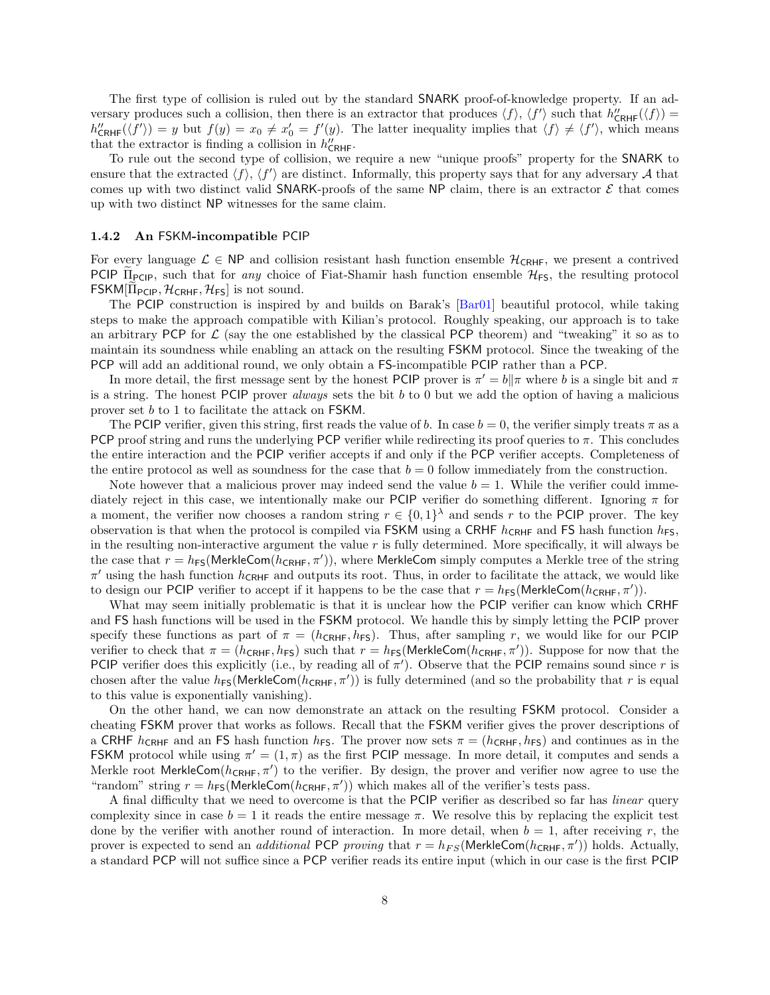The first type of collision is ruled out by the standard SNARK proof-of-knowledge property. If an adversary produces such a collision, then there is an extractor that produces  $\langle f \rangle$ ,  $\langle f' \rangle$  such that  $h''_{CRHF}(\langle f \rangle)$  =  $h''_{\text{CRHF}}(\langle f' \rangle) = y$  but  $f(y) = x_0 \neq x'_0 = f'(y)$ . The latter inequality implies that  $\langle f \rangle \neq \langle f' \rangle$ , which means that the extractor is finding a collision in  $h''_{\text{CRHF}}$ .

To rule out the second type of collision, we require a new "unique proofs" property for the SNARK to ensure that the extracted  $\langle f \rangle$ ,  $\langle f' \rangle$  are distinct. Informally, this property says that for any adversary A that comes up with two distinct valid SNARK-proofs of the same NP claim, there is an extractor  $\mathcal E$  that comes up with two distinct NP witnesses for the same claim.

#### <span id="page-7-0"></span>1.4.2 An FSKM-incompatible PCIP

For every language  $\mathcal{L} \in \mathsf{NP}$  and collision resistant hash function ensemble  $\mathcal{H}_{\mathsf{CRHF}}$ , we present a contrived PCIP  $\Pi_{PCP}$ , such that for any choice of Fiat-Shamir hash function ensemble  $\mathcal{H}_{FS}$ , the resulting protocol  $\mathsf{FSKM}[\Pi_{\mathsf{PCIP}}, \mathcal{H}_{\mathsf{CRHF}}, \mathcal{H}_{\mathsf{FS}}]$  is not sound.

The PCIP construction is inspired by and builds on Barak's [\[Bar01\]](#page-29-0) beautiful protocol, while taking steps to make the approach compatible with Kilian's protocol. Roughly speaking, our approach is to take an arbitrary PCP for  $\mathcal L$  (say the one established by the classical PCP theorem) and "tweaking" it so as to maintain its soundness while enabling an attack on the resulting FSKM protocol. Since the tweaking of the PCP will add an additional round, we only obtain a FS-incompatible PCIP rather than a PCP.

In more detail, the first message sent by the honest PCIP prover is  $\pi' = b\|\pi$  where b is a single bit and  $\pi$ is a string. The honest  $PCIP$  prover *always* sets the bit b to 0 but we add the option of having a malicious prover set b to 1 to facilitate the attack on FSKM.

The PCIP verifier, given this string, first reads the value of b. In case  $b = 0$ , the verifier simply treats  $\pi$  as a PCP proof string and runs the underlying PCP verifier while redirecting its proof queries to  $\pi$ . This concludes the entire interaction and the PCIP verifier accepts if and only if the PCP verifier accepts. Completeness of the entire protocol as well as soundness for the case that  $b = 0$  follow immediately from the construction.

Note however that a malicious prover may indeed send the value  $b = 1$ . While the verifier could immediately reject in this case, we intentionally make our PCIP verifier do something different. Ignoring  $\pi$  for a moment, the verifier now chooses a random string  $r \in \{0,1\}^{\lambda}$  and sends r to the PCIP prover. The key observation is that when the protocol is compiled via FSKM using a CRHF  $h_{CRHF}$  and FS hash function  $h_{FS}$ , in the resulting non-interactive argument the value  $r$  is fully determined. More specifically, it will always be the case that  $r = h_{FS}$ (MerkleCom( $h_{CRHF}, \pi'$ )), where MerkleCom simply computes a Merkle tree of the string  $\pi'$  using the hash function  $h_{\text{CRHF}}$  and outputs its root. Thus, in order to facilitate the attack, we would like to design our PCIP verifier to accept if it happens to be the case that  $r = h_{FS}(\text{MerkleCom}(h_{CRHF}, \pi'))$ .

What may seem initially problematic is that it is unclear how the PCIP verifier can know which CRHF and FS hash functions will be used in the FSKM protocol. We handle this by simply letting the PCIP prover specify these functions as part of  $\pi = (h_{\text{CRHF}}, h_{\text{FS}})$ . Thus, after sampling r, we would like for our PCIP verifier to check that  $\pi = (h_{\text{CRHF}}, h_{\text{FS}})$  such that  $r = h_{\text{FS}}(\text{MerkleCom}(h_{\text{CRHF}}, \pi'))$ . Suppose for now that the PCIP verifier does this explicitly (i.e., by reading all of  $\pi'$ ). Observe that the PCIP remains sound since r is chosen after the value  $h_{FS}$ (MerkleCom( $h_{CRHF}, \pi')$ ) is fully determined (and so the probability that r is equal to this value is exponentially vanishing).

On the other hand, we can now demonstrate an attack on the resulting FSKM protocol. Consider a cheating FSKM prover that works as follows. Recall that the FSKM verifier gives the prover descriptions of a CRHF  $h_{CRHF}$  and an FS hash function  $h_{FS}$ . The prover now sets  $\pi = (h_{CRHF}, h_{FS})$  and continues as in the FSKM protocol while using  $\pi' = (1, \pi)$  as the first PCIP message. In more detail, it computes and sends a Merkle root MerkleCom $(h_{\text{CRHF}}, \pi')$  to the verifier. By design, the prover and verifier now agree to use the "random" string  $r = h_{FS}$ (MerkleCom( $h_{CRHF}, \pi'$ )) which makes all of the verifier's tests pass.

A final difficulty that we need to overcome is that the PCIP verifier as described so far has *linear* query complexity since in case  $b = 1$  it reads the entire message  $\pi$ . We resolve this by replacing the explicit test done by the verifier with another round of interaction. In more detail, when  $b = 1$ , after receiving r, the prover is expected to send an *additional* PCP proving that  $r = h_{FS}$ (MerkleCom( $h_{CRHF}, \pi'$ )) holds. Actually, a standard PCP will not suffice since a PCP verifier reads its entire input (which in our case is the first PCIP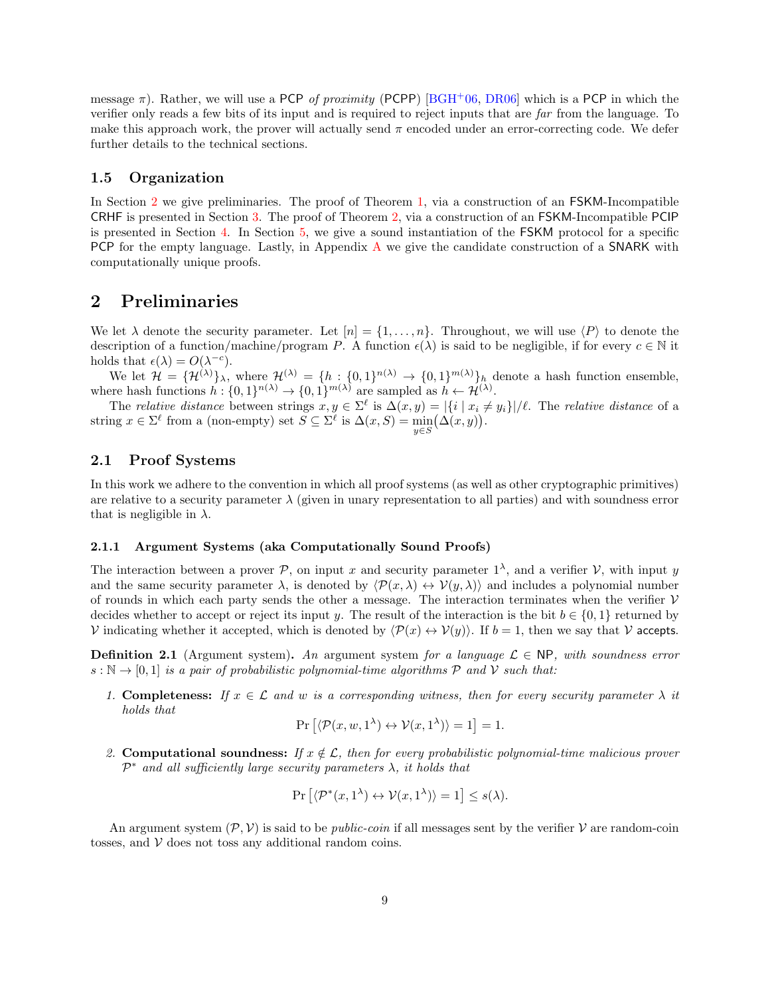message  $\pi$ ). Rather, we will use a PCP of proximity (PCPP) [\[BGH](#page-30-8)+06, [DR06\]](#page-30-9) which is a PCP in which the verifier only reads a few bits of its input and is required to reject inputs that are far from the language. To make this approach work, the prover will actually send  $\pi$  encoded under an error-correcting code. We defer further details to the technical sections.

## <span id="page-8-0"></span>1.5 Organization

In Section [2](#page-8-1) we give preliminaries. The proof of Theorem [1,](#page-4-1) via a construction of an FSKM-Incompatible CRHF is presented in Section [3.](#page-13-0) The proof of Theorem [2,](#page-4-2) via a construction of an FSKM-Incompatible PCIP is presented in Section [4.](#page-21-0) In Section [5,](#page-26-0) we give a sound instantiation of the FSKM protocol for a specific PCP for the empty language. Lastly, in Appendix [A](#page-32-0) we give the candidate construction of a SNARK with computationally unique proofs.

## <span id="page-8-1"></span>2 Preliminaries

We let  $\lambda$  denote the security parameter. Let  $[n] = \{1, \ldots, n\}$ . Throughout, we will use  $\langle P \rangle$  to denote the description of a function/machine/program P. A function  $\epsilon(\lambda)$  is said to be negligible, if for every  $c \in \mathbb{N}$  it holds that  $\epsilon(\lambda) = O(\lambda^{-c}).$ 

We let  $\mathcal{H} = {\mathcal{H}^{(\lambda)}}_{\lambda}$ , where  $\mathcal{H}^{(\lambda)} = {h : {0,1}^{n(\lambda)} \to {0,1}^{m(\lambda)}}_h$  denote a hash function ensemble, where hash functions  $h: \{0,1\}^{n(\lambda)} \to \{0,1\}^{m(\lambda)}$  are sampled as  $h \leftarrow \mathcal{H}^{(\lambda)}$ .

The relative distance between strings  $x, y \in \Sigma^{\ell}$  is  $\Delta(x, y) = |\{i \mid x_i \neq y_i\}|/\ell$ . The relative distance of a string  $x \in \Sigma^{\ell}$  from a (non-empty) set  $S \subseteq \Sigma^{\ell}$  is  $\Delta(x, S) = \min_{y \in S} (\Delta(x, y)).$ 

## <span id="page-8-2"></span>2.1 Proof Systems

In this work we adhere to the convention in which all proof systems (as well as other cryptographic primitives) are relative to a security parameter  $\lambda$  (given in unary representation to all parties) and with soundness error that is negligible in  $\lambda$ .

#### 2.1.1 Argument Systems (aka Computationally Sound Proofs)

The interaction between a prover P, on input x and security parameter  $1^{\lambda}$ , and a verifier V, with input y and the same security parameter  $\lambda$ , is denoted by  $\langle \mathcal{P}(x, \lambda) \leftrightarrow \mathcal{V}(y, \lambda) \rangle$  and includes a polynomial number of rounds in which each party sends the other a message. The interaction terminates when the verifier  $V$ decides whether to accept or reject its input y. The result of the interaction is the bit  $b \in \{0, 1\}$  returned by V indicating whether it accepted, which is denoted by  $\langle \mathcal{P}(x) \leftrightarrow \mathcal{V}(y) \rangle$ . If  $b = 1$ , then we say that V accepts.

**Definition 2.1** (Argument system). An argument system for a language  $\mathcal{L} \in \mathsf{NP}$ , with soundness error  $s : \mathbb{N} \to [0,1]$  is a pair of probabilistic polynomial-time algorithms P and V such that:

1. Completeness: If  $x \in \mathcal{L}$  and w is a corresponding witness, then for every security parameter  $\lambda$  it holds that

$$
\Pr\left[\langle \mathcal{P}(x, w, 1^{\lambda}) \leftrightarrow \mathcal{V}(x, 1^{\lambda}) \rangle = 1\right] = 1.
$$

2. Computational soundness: If  $x \notin \mathcal{L}$ , then for every probabilistic polynomial-time malicious prover  $\mathcal{P}^*$  and all sufficiently large security parameters  $\lambda$ , it holds that

$$
\Pr\left[\langle \mathcal{P}^*(x,1^{\lambda}) \leftrightarrow \mathcal{V}(x,1^{\lambda}) \rangle = 1\right] \le s(\lambda).
$$

An argument system  $(\mathcal{P}, \mathcal{V})$  is said to be *public-coin* if all messages sent by the verifier  $\mathcal{V}$  are random-coin tosses, and  $V$  does not toss any additional random coins.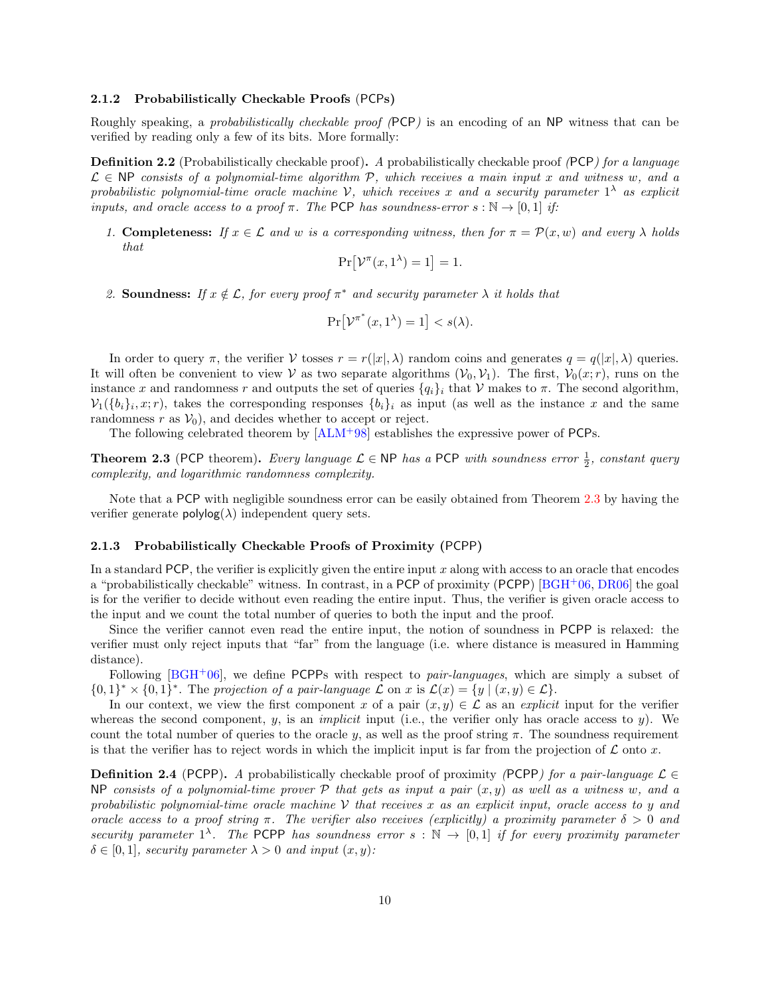#### <span id="page-9-1"></span>2.1.2 Probabilistically Checkable Proofs (PCPs)

Roughly speaking, a probabilistically checkable proof (PCP) is an encoding of an NP witness that can be verified by reading only a few of its bits. More formally:

**Definition 2.2** (Probabilistically checkable proof). A probabilistically checkable proof (PCP) for a language  $\mathcal{L} \in \mathbb{N}P$  consists of a polynomial-time algorithm P, which receives a main input x and witness w, and a probabilistic polynomial-time oracle machine V, which receives x and a security parameter  $1^{\lambda}$  as explicit inputs, and oracle access to a proof  $\pi$ . The PCP has soundness-error  $s : \mathbb{N} \to [0,1]$  if:

1. Completeness: If  $x \in \mathcal{L}$  and w is a corresponding witness, then for  $\pi = \mathcal{P}(x, w)$  and every  $\lambda$  holds that

$$
\Pr[\mathcal{V}^\pi(x, 1^\lambda) = 1] = 1.
$$

2. Soundness: If  $x \notin \mathcal{L}$ , for every proof  $\pi^*$  and security parameter  $\lambda$  it holds that

$$
\Pr[\mathcal{V}^{\pi^*}(x, 1^\lambda) = 1] < s(\lambda).
$$

In order to query  $\pi$ , the verifier V tosses  $r = r(|x|, \lambda)$  random coins and generates  $q = q(|x|, \lambda)$  queries. It will often be convenient to view V as two separate algorithms  $(\mathcal{V}_0, \mathcal{V}_1)$ . The first,  $\mathcal{V}_0(x; r)$ , runs on the instance x and randomness r and outputs the set of queries  ${q_i}_i$  that V makes to  $\pi$ . The second algorithm,  $\mathcal{V}_1(\{b_i\}_i, x; r)$ , takes the corresponding responses  $\{b_i\}_i$  as input (as well as the instance x and the same randomness  $r$  as  $V_0$ , and decides whether to accept or reject.

The following celebrated theorem by [\[ALM](#page-29-6)+98] establishes the expressive power of PCPs.

<span id="page-9-0"></span>**Theorem 2.3** (PCP theorem). Every language  $\mathcal{L} \in \mathsf{NP}$  has a PCP with soundness error  $\frac{1}{2}$ , constant query complexity, and logarithmic randomness complexity.

Note that a PCP with negligible soundness error can be easily obtained from Theorem [2.3](#page-9-0) by having the verifier generate  $\text{polylog}(\lambda)$  independent query sets.

## 2.1.3 Probabilistically Checkable Proofs of Proximity (PCPP)

In a standard PCP, the verifier is explicitly given the entire input  $x$  along with access to an oracle that encodes a "probabilistically checkable" witness. In contrast, in a PCP of proximity (PCPP) [\[BGH](#page-30-8)+06, [DR06\]](#page-30-9) the goal is for the verifier to decide without even reading the entire input. Thus, the verifier is given oracle access to the input and we count the total number of queries to both the input and the proof.

Since the verifier cannot even read the entire input, the notion of soundness in PCPP is relaxed: the verifier must only reject inputs that "far" from the language (i.e. where distance is measured in Hamming distance).

Following  $[BGH<sup>+</sup>06]$  $[BGH<sup>+</sup>06]$ , we define PCPPs with respect to *pair-languages*, which are simply a subset of  $\{0,1\}^* \times \{0,1\}^*$ . The projection of a pair-language  $\mathcal L$  on  $x$  is  $\mathcal L(x) = \{y \mid (x,y) \in \mathcal L\}.$ 

In our context, we view the first component x of a pair  $(x, y) \in \mathcal{L}$  as an explicit input for the verifier whereas the second component, y, is an *implicit* input (i.e., the verifier only has oracle access to y). We count the total number of queries to the oracle y, as well as the proof string  $\pi$ . The soundness requirement is that the verifier has to reject words in which the implicit input is far from the projection of  $\mathcal L$  onto x.

**Definition 2.4** (PCPP). A probabilistically checkable proof of proximity (PCPP) for a pair-language  $\mathcal{L} \in$ NP consists of a polynomial-time prover  $\mathcal P$  that gets as input a pair  $(x, y)$  as well as a witness w, and a probabilistic polynomial-time oracle machine  $V$  that receives x as an explicit input, oracle access to y and oracle access to a proof string  $\pi$ . The verifier also receives (explicitly) a proximity parameter  $\delta > 0$  and security parameter  $1^{\lambda}$ . The PCPP has soundness error  $s : \mathbb{N} \to [0,1]$  if for every proximity parameter  $\delta \in [0, 1]$ , security parameter  $\lambda > 0$  and input  $(x, y)$ :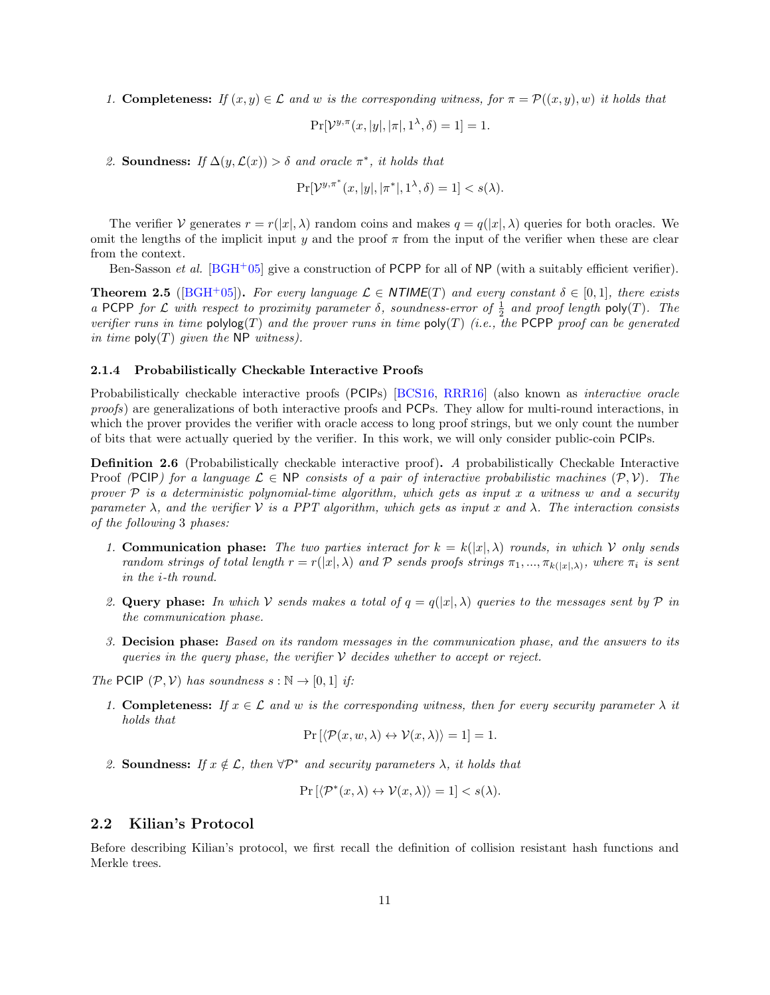1. Completeness: If  $(x, y) \in \mathcal{L}$  and w is the corresponding witness, for  $\pi = \mathcal{P}((x, y), w)$  it holds that

$$
\Pr[\mathcal{V}^{y,\pi}(x,|y|,|\pi|,1^{\lambda},\delta)=1]=1.
$$

2. Soundness: If  $\Delta(y, \mathcal{L}(x)) > \delta$  and oracle  $\pi^*$ , it holds that

$$
\Pr[\mathcal{V}^{y,\pi^*}(x,|y|,|\pi^*|,1^{\lambda},\delta)=1] < s(\lambda).
$$

The verifier V generates  $r = r(|x|, \lambda)$  random coins and makes  $q = q(|x|, \lambda)$  queries for both oracles. We omit the lengths of the implicit input y and the proof  $\pi$  from the input of the verifier when these are clear from the context.

Ben-Sasson *et al.* [\[BGH](#page-30-10)<sup>+</sup>05] give a construction of PCPP for all of NP (with a suitably efficient verifier).

<span id="page-10-1"></span>**Theorem 2.5** ([\[BGH](#page-30-10)+05]). For every language  $\mathcal{L} \in \text{NTIME}(T)$  and every constant  $\delta \in [0,1]$ , there exists a PCPP for  $\mathcal L$  with respect to proximity parameter  $\delta$ , soundness-error of  $\frac{1}{2}$  and proof length poly(T). The verifier runs in time  $\text{polylog}(T)$  and the prover runs in time  $\text{poly}(T)$  (i.e., the PCPP proof can be generated in time  $\text{poly}(T)$  given the NP witness).

#### 2.1.4 Probabilistically Checkable Interactive Proofs

Probabilistically checkable interactive proofs (PCIPs) [\[BCS16,](#page-30-3) [RRR16\]](#page-32-3) (also known as interactive oracle proofs) are generalizations of both interactive proofs and PCPs. They allow for multi-round interactions, in which the prover provides the verifier with oracle access to long proof strings, but we only count the number of bits that were actually queried by the verifier. In this work, we will only consider public-coin PCIPs.

**Definition 2.6** (Probabilistically checkable interactive proof). A probabilistically Checkable Interactive Proof (PCIP) for a language  $\mathcal{L} \in \mathsf{NP}$  consists of a pair of interactive probabilistic machines  $(\mathcal{P}, \mathcal{V})$ . The prover  $P$  is a deterministic polynomial-time algorithm, which gets as input x a witness w and a security parameter  $\lambda$ , and the verifier  $\mathcal V$  is a PPT algorithm, which gets as input x and  $\lambda$ . The interaction consists of the following 3 phases:

- 1. Communication phase: The two parties interact for  $k = k(|x|, \lambda)$  rounds, in which V only sends random strings of total length  $r = r(|x|, \lambda)$  and  $P$  sends proofs strings  $\pi_1, ..., \pi_{k(|x|,\lambda)}$ , where  $\pi_i$  is sent in the i-th round.
- 2. Query phase: In which V sends makes a total of  $q = q(|x|, \lambda)$  queries to the messages sent by P in the communication phase.
- 3. Decision phase: Based on its random messages in the communication phase, and the answers to its queries in the query phase, the verifier  $\mathcal V$  decides whether to accept or reject.

The PCIP  $(\mathcal{P}, \mathcal{V})$  has soundness  $s : \mathbb{N} \to [0, 1]$  if:

1. Completeness: If  $x \in \mathcal{L}$  and w is the corresponding witness, then for every security parameter  $\lambda$  it holds that

$$
\Pr\left[\langle \mathcal{P}(x, w, \lambda) \leftrightarrow \mathcal{V}(x, \lambda) \rangle = 1\right] = 1.
$$

2. Soundness: If  $x \notin \mathcal{L}$ , then  $\forall \mathcal{P}^*$  and security parameters  $\lambda$ , it holds that

$$
\Pr\left[\langle \mathcal{P}^*(x,\lambda) \leftrightarrow \mathcal{V}(x,\lambda) \rangle = 1\right] < s(\lambda).
$$

## <span id="page-10-0"></span>2.2 Kilian's Protocol

Before describing Kilian's protocol, we first recall the definition of collision resistant hash functions and Merkle trees.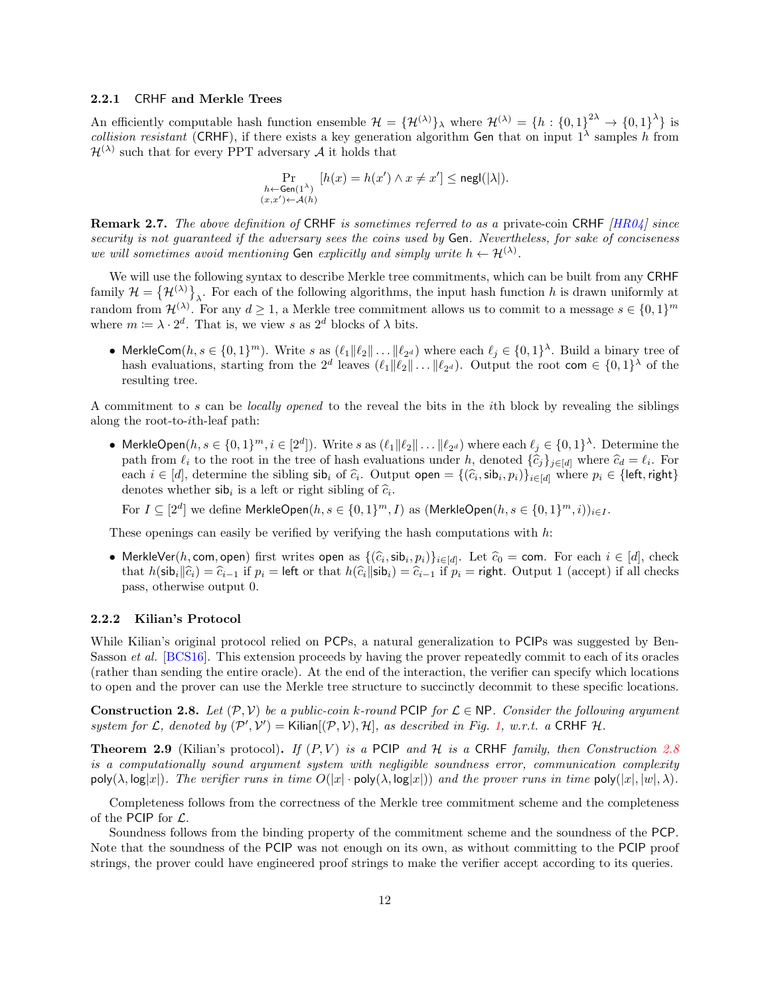#### <span id="page-11-1"></span>2.2.1 CRHF and Merkle Trees

An efficiently computable hash function ensemble  $\mathcal{H} = {\{\mathcal{H}^{(\lambda)}\}}_{\lambda}$  where  $\mathcal{H}^{(\lambda)} = {h : {0,1\}}^{2\lambda} \rightarrow {0,1\}}^{\lambda}$  is collision resistant (CRHF), if there exists a key generation algorithm Gen that on input  $1^{\lambda}$  samples h from  $\mathcal{H}^{(\lambda)}$  such that for every PPT adversary  $\mathcal A$  it holds that

$$
\Pr_{\substack{h \leftarrow \text{Gen}(1^{\lambda}) \\ (x, x') \leftarrow \mathcal{A}(h)}} [h(x) = h(x') \land x \neq x'] \leq \text{negl}(|\lambda|).
$$

**Remark 2.7.** The above definition of CRHF is sometimes referred to as a private-coin CRHF  $[HR04]$  since security is not guaranteed if the adversary sees the coins used by Gen. Nevertheless, for sake of conciseness we will sometimes avoid mentioning Gen explicitly and simply write  $h \leftarrow \mathcal{H}^{(\lambda)}$ .

We will use the following syntax to describe Merkle tree commitments, which can be built from any CRHF family  $\mathcal{H} = \{ \mathcal{H}^{(\lambda)} \}_{\lambda}$ . For each of the following algorithms, the input hash function h is drawn uniformly at random from  $\mathcal{H}^{(\lambda)}$ . For any  $d \geq 1$ , a Merkle tree commitment allows us to commit to a message  $s \in \{0,1\}^m$ where  $m \coloneqq \lambda \cdot 2^d$ . That is, we view s as  $2^d$  blocks of  $\lambda$  bits.

• MerkleCom $(h, s \in \{0,1\}^m)$ . Write s as  $(\ell_1 || \ell_2 || \dots || \ell_{2^d})$  where each  $\ell_j \in \{0,1\}^{\lambda}$ . Build a binary tree of hash evaluations, starting from the  $2^d$  leaves  $(\ell_1 || \ell_2 || \dots || \ell_{2^d})$ . Output the root com  $\in \{0,1\}^{\lambda}$  of the resulting tree.

A commitment to s can be locally opened to the reveal the bits in the ith block by revealing the siblings along the root-to-ith-leaf path:

• MerkleOpen $(h, s \in \{0,1\}^m, i \in [2^d])$ . Write s as  $(\ell_1 || \ell_2 || \dots || \ell_{2^d})$  where each  $\ell_j \in \{0,1\}^{\lambda}$ . Determine the path from  $\ell_i$  to the root in the tree of hash evaluations under h, denoted  $\{\hat{c}_j\}_{j \in [d]}$  where  $\hat{c}_d = \ell_i$ . For each  $i \in [d]$ , determine the sibling  $\mathsf{sib}_i$  of  $\hat{c}_i$ . Output open =  $\{(\hat{c}_i, \mathsf{sib}_i, p_i)\}_{i \in [d]}$  where  $p_i \in \{\mathsf{left}, \mathsf{right}\}$ <br>denotes whether  $\mathsf{sib}_i$  is a left or right sibling of  $\hat{c}_i$ . denotes whether  $\sinh i$  is a left or right sibling of  $\hat{c}_i$ .

For  $I\subseteq [2^d]$  we define MerkleOpen $(h,s\in \{0,1\}^m,I)$  as  $(\mathsf{MerkleOpen}(h,s\in \{0,1\}^m,i))_{i\in I}.$ 

These openings can easily be verified by verifying the hash computations with  $h$ :

• MerkleVer(h, com, open) first writes open as  $\{(\hat{c}_i, \mathsf{sb}_i, p_i)\}_{i \in [d]}$ . Let  $\hat{c}_0 = \text{com}$ . For each  $i \in [d]$ , check<br>that  $b(\hat{c}_i | \hat{c}_i) = \hat{c}_i$ , if  $p_i = |\hat{c}_i|$  or that  $b(\hat{c}_i | \hat{c}_i | \hat{c}_i) = \hat{c}_i$ , if  $p_i = \text{$ that  $h(\textsf{sib}_i|\hat{c}_i) = \hat{c}_{i-1}$  if  $p_i = \textsf{left}$  or that  $h(\hat{c}_i|\textsf{sib}_i) = \hat{c}_{i-1}$  if  $p_i = \textsf{right}$ . Output 1 (accept) if all checks pass, otherwise output 0.

#### 2.2.2 Kilian's Protocol

While Kilian's original protocol relied on PCPs, a natural generalization to PCIPs was suggested by Ben-Sasson et al. [\[BCS16\]](#page-30-3). This extension proceeds by having the prover repeatedly commit to each of its oracles (rather than sending the entire oracle). At the end of the interaction, the verifier can specify which locations to open and the prover can use the Merkle tree structure to succinctly decommit to these specific locations.

<span id="page-11-0"></span>**Construction 2.8.** Let  $(\mathcal{P}, \mathcal{V})$  be a public-coin k-round PCIP for  $\mathcal{L} \in \mathbb{NP}$ . Consider the following argument system for L, denoted by  $(\mathcal{P}', \mathcal{V}') =$  Kilian $[(\mathcal{P}, \mathcal{V}), \mathcal{H}]$ , as described in Fig. [1,](#page-12-1) w.r.t. a CRHF H.

**Theorem 2.9** (Kilian's protocol). If  $(P, V)$  is a PCIP and H is a CRHF family, then Construction [2.8](#page-11-0) is a computationally sound argument system with negligible soundness error, communication complexity  $poly(\lambda, \log|x|)$ . The verifier runs in time  $O(|x| \cdot poly(\lambda, \log|x|))$  and the prover runs in time  $poly(|x|, |w|, \lambda)$ .

Completeness follows from the correctness of the Merkle tree commitment scheme and the completeness of the PCIP for  $\mathcal{L}$ .

Soundness follows from the binding property of the commitment scheme and the soundness of the PCP. Note that the soundness of the PCIP was not enough on its own, as without committing to the PCIP proof strings, the prover could have engineered proof strings to make the verifier accept according to its queries.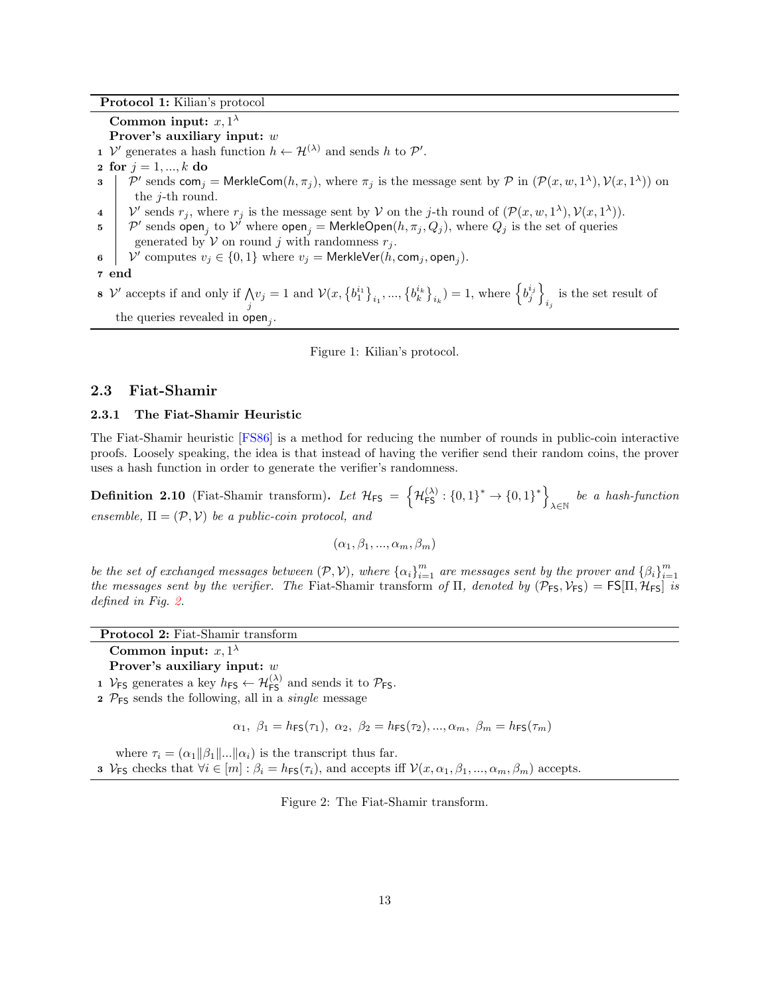Protocol 1: Kilian's protocol

Common input:  $x, 1^{\lambda}$ 

Prover's auxiliary input: w

- 1 V' generates a hash function  $h \leftarrow H^{(\lambda)}$  and sends h to  $\mathcal{P}'$ .
- 2 for  $j = 1, ..., k$  do
- 3 | P' sends com<sub>j</sub> = MerkleCom $(h, \pi_j)$ , where  $\pi_j$  is the message sent by P in  $(\mathcal{P}(x, w, 1^{\lambda}), \mathcal{V}(x, 1^{\lambda}))$  on the j-th round.
- 4  $\mathcal{V}'$  sends  $r_j$ , where  $r_j$  is the message sent by  $\mathcal{V}$  on the j-th round of  $(\mathcal{P}(x, w, 1^\lambda), \mathcal{V}(x, 1^\lambda)).$
- $\mathfrak{p}=\mathcal{P}'$  sends  $\mathsf{open}_j$  to  $\mathcal{V}'$  where  $\mathsf{open}_j=\mathsf{MerkleOpen}(h,\pi_j,Q_j),$  where  $Q_j$  is the set of queries generated by  $V$  on round j with randomness  $r_j$ .
- 6  $\big|$   $\mathcal{V}'$  computes  $v_j \in \{0,1\}$  where  $v_j = \mathsf{MerkleVer}(\tilde{h}, \mathsf{com}_j, \mathsf{open}_j).$
- 7 end
- $8 \mathcal{V}$  accepts if and only if  $\bigwedge$  $\bigwedge_{j} y_{j} = 1$  and  $\mathcal{V}(x, \{b_{1}^{i_{1}}\}_{i_{1}}, ..., \{b_{k}^{i_{k}}\}_{i_{k}}) = 1$ , where  $\left\{b_{j}^{i_{j}}\right\}$ is the set result of the queries revealed in  $open_j$ .

<span id="page-12-1"></span>Figure 1: Kilian's protocol.

## <span id="page-12-0"></span>2.3 Fiat-Shamir

### 2.3.1 The Fiat-Shamir Heuristic

The Fiat-Shamir heuristic [\[FS86\]](#page-30-11) is a method for reducing the number of rounds in public-coin interactive proofs. Loosely speaking, the idea is that instead of having the verifier send their random coins, the prover uses a hash function in order to generate the verifier's randomness.

**Definition 2.10** (Fiat-Shamir transform). Let  $\mathcal{H}_{\textsf{FS}} = \left\{ \mathcal{H}_{\textsf{FS}}^{(\lambda)} : \left\{0,1\right\}^* \to \left\{0,1\right\}^* \right\}$  $\lambda \in \mathbb{N}$  be a hash-function ensemble,  $\Pi = (\mathcal{P}, \mathcal{V})$  be a public-coin protocol, and

$$
(\alpha_1, \beta_1, ..., \alpha_m, \beta_m)
$$

be the set of exchanged messages between  $(\mathcal{P}, \mathcal{V})$ , where  $\{\alpha_i\}_{i=1}^m$  are messages sent by the prover and  $\{\beta_i\}_{i=1}^m$ the messages sent by the verifier. The Fiat-Shamir transform of  $\Pi$ , denoted by  $(\mathcal{P}_{FS}, \mathcal{V}_{FS}) = FS[\Pi, \mathcal{H}_{FS}]$  is defined in Fig. [2.](#page-12-2)

| <b>Protocol 2:</b> Fiat-Shamir transform |  |
|------------------------------------------|--|
|------------------------------------------|--|

- Common input:  $x, 1^{\lambda}$ Prover's auxiliary input: w
- 1  $V_{FS}$  generates a key  $h_{FS} \leftarrow H_{FS}^{(\lambda)}$  and sends it to  $P_{FS}$ .
- $2 \mathcal{P}_{FS}$  sends the following, all in a *single* message

$$
\alpha_1, \ \beta_1 = h_{\mathsf{FS}}(\tau_1), \ \alpha_2, \ \beta_2 = h_{\mathsf{FS}}(\tau_2), ..., \alpha_m, \ \beta_m = h_{\mathsf{FS}}(\tau_m)
$$

where  $\tau_i = (\alpha_1 || \beta_1 || \dots || \alpha_i)$  is the transcript thus far. 3  $V_{FS}$  checks that  $\forall i \in [m] : \beta_i = h_{FS}(\tau_i)$ , and accepts iff  $\mathcal{V}(x, \alpha_1, \beta_1, ..., \alpha_m, \beta_m)$  accepts.

<span id="page-12-2"></span>Figure 2: The Fiat-Shamir transform.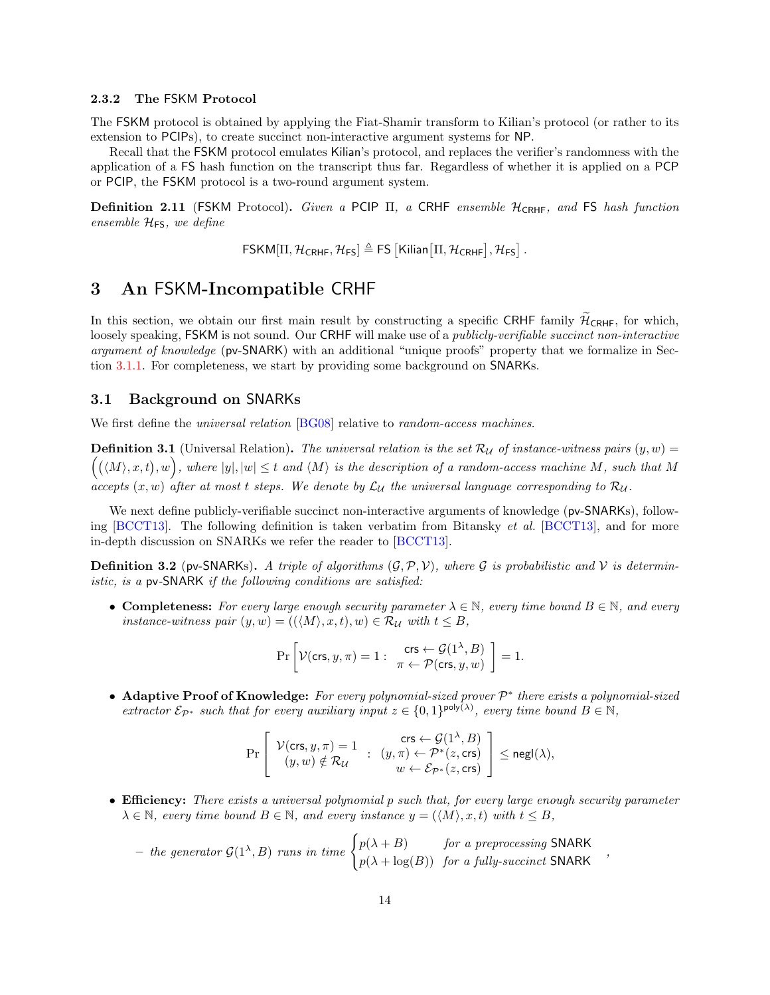#### <span id="page-13-2"></span>2.3.2 The FSKM Protocol

The FSKM protocol is obtained by applying the Fiat-Shamir transform to Kilian's protocol (or rather to its extension to PCIPs), to create succinct non-interactive argument systems for NP.

Recall that the FSKM protocol emulates Kilian's protocol, and replaces the verifier's randomness with the application of a FS hash function on the transcript thus far. Regardless of whether it is applied on a PCP or PCIP, the FSKM protocol is a two-round argument system.

Definition 2.11 (FSKM Protocol). Given a PCIP Π, a CRHF ensemble HCRHF, and FS hash function ensemble  $\mathcal{H}_{FS}$ , we define

 $\mathsf{FSKM}[\Pi, \mathcal{H}_{\mathsf{CRHF}}, \mathcal{H}_{\mathsf{FS}}] \triangleq \mathsf{FS}\left[\mathsf{Kilian}\left[\Pi, \mathcal{H}_{\mathsf{CRHF}}\right], \mathcal{H}_{\mathsf{FS}}\right].$ 

## <span id="page-13-0"></span>3 An FSKM-Incompatible CRHF

In this section, we obtain our first main result by constructing a specific CRHF family  $\mathcal{H}_{\text{CRHF}}$ , for which, loosely speaking, FSKM is not sound. Our CRHF will make use of a *publicly-verifiable succinct non-interactive* argument of knowledge (pv-SNARK) with an additional "unique proofs" property that we formalize in Section [3.1.1.](#page-14-1) For completeness, we start by providing some background on SNARKs.

## <span id="page-13-1"></span>3.1 Background on SNARKs

We first define the *universal relation* [\[BG08\]](#page-30-12) relative to *random-access machines*.

**Definition 3.1** (Universal Relation). The universal relation is the set  $\mathcal{R}_{\mathcal{U}}$  of instance-witness pairs  $(y, w)$  =  $((\langle M \rangle, x, t), w)$ , where  $|y|, |w| \leq t$  and  $\langle M \rangle$  is the description of a random-access machine M, such that M accepts  $(x, w)$  after at most t steps. We denote by  $\mathcal{L}_U$  the universal language corresponding to  $\mathcal{R}_U$ .

We next define publicly-verifiable succinct non-interactive arguments of knowledge (pv-SNARKs), following  $[BCCT13]$ . The following definition is taken verbatim from Bitansky *et al.*  $[BCCT13]$ , and for more in-depth discussion on SNARKs we refer the reader to [\[BCCT13\]](#page-29-8).

<span id="page-13-3"></span>**Definition 3.2** (pv-SNARKs). A triple of algorithms  $(\mathcal{G}, \mathcal{P}, \mathcal{V})$ , where  $\mathcal{G}$  is probabilistic and  $\mathcal{V}$  is deterministic, is a pv-SNARK if the following conditions are satisfied:

• Completeness: For every large enough security parameter  $\lambda \in \mathbb{N}$ , every time bound  $B \in \mathbb{N}$ , and every instance-witness pair  $(y, w) = ((\langle M \rangle, x, t), w) \in \mathcal{R}_{\mathcal{U}}$  with  $t \leq B$ ,

$$
\Pr\left[\mathcal{V}(\mathsf{crs}, y, \pi) = 1: \begin{array}{c} \mathsf{crs} \leftarrow \mathcal{G}(1^\lambda, B) \\ \pi \leftarrow \mathcal{P}(\mathsf{crs}, y, w) \end{array}\right] = 1.
$$

• Adaptive Proof of Knowledge: For every polynomial-sized prover  $\mathcal{P}^*$  there exists a polynomial-sized extractor  $\mathcal{E}_{\mathcal{P}^*}$  such that for every auxiliary input  $z \in \{0,1\}^{\text{poly}(\lambda)}$ , every time bound  $B \in \mathbb{N}$ ,

$$
\Pr\left[\begin{array}{ccc} \mathcal{V}(\mathsf{crs},y,\pi)=1 & \mathsf{crs} \leftarrow \mathcal{G}(1^\lambda,B) \\ (y,w) \notin \mathcal{R}_\mathcal{U} & \colon & (y,\pi) \leftarrow \mathcal{P}^*(z,\mathsf{crs}) \\ w \leftarrow \mathcal{E}_{\mathcal{P}^*}(z,\mathsf{crs}) \end{array}\right] \leq \mathsf{negl}(\lambda),
$$

• Efficiency: There exists a universal polynomial p such that, for every large enough security parameter  $\lambda \in \mathbb{N}$ , every time bound  $B \in \mathbb{N}$ , and every instance  $y = (\langle M \rangle, x, t)$  with  $t \leq B$ ,

,

- the generator 
$$
\mathcal{G}(1^{\lambda},B)
$$
 runs in time  $\begin{cases} p(\lambda + B) & \text{for a preprocessing SNARK} \\ p(\lambda + \log(B)) & \text{for a fully-sucicity SNARK} \end{cases}$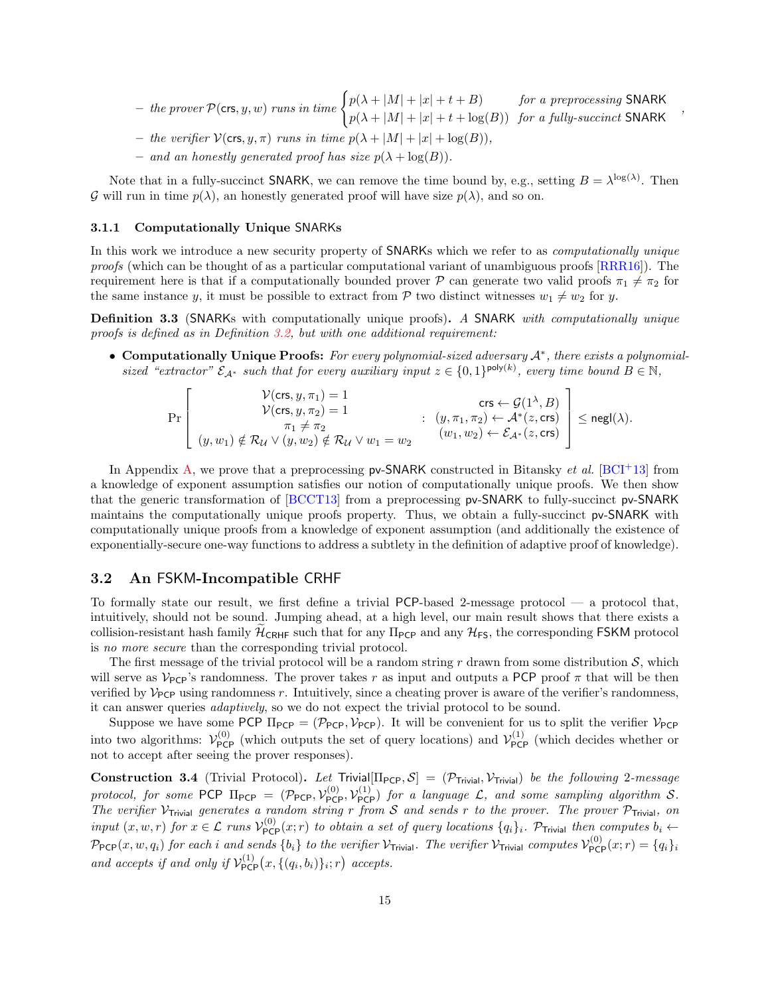– the prover <sup>P</sup>(crs, y, w) runs in time ( p(λ + |M| + |x| + t + B) for a preprocessing SNARK  $p(\lambda + |M| + |x| + t + \log(B))$  for a fully-succinct SNARK

,

- the verifier  $V(\text{crs}, y, \pi)$  runs in time  $p(\lambda + |M| + |x| + \log(B))$
- and an honestly generated proof has size  $p(\lambda + \log(B)).$

Note that in a fully-succinct **SNARK**, we can remove the time bound by, e.g., setting  $B = \lambda^{\log(\lambda)}$ . Then G will run in time  $p(\lambda)$ , an honestly generated proof will have size  $p(\lambda)$ , and so on.

#### <span id="page-14-1"></span>3.1.1 Computationally Unique SNARKs

In this work we introduce a new security property of **SNARK**s which we refer to as *computationally unique* proofs (which can be thought of as a particular computational variant of unambiguous proofs [\[RRR16\]](#page-32-3)). The requirement here is that if a computationally bounded prover P can generate two valid proofs  $\pi_1 \neq \pi_2$  for the same instance y, it must be possible to extract from  $P$  two distinct witnesses  $w_1 \neq w_2$  for y.

<span id="page-14-3"></span>Definition 3.3 (SNARKs with computationally unique proofs). A SNARK with computationally unique proofs is defined as in Definition [3.2,](#page-13-3) but with one additional requirement:

• Computationally Unique Proofs: For every polynomial-sized adversary A<sup>\*</sup>, there exists a polynomialsized "extractor"  $\mathcal{E}_{\mathcal{A}^*}$  such that for every auxiliary input  $z \in \{0,1\}^{\text{poly}(k)}$ , every time bound  $B \in \mathbb{N}$ ,

$$
\Pr\left[\begin{matrix}\n\mathcal{V}(\text{crs}, y, \pi_1) = 1 & \text{crs} \leftarrow \mathcal{G}(1^\lambda, B) \\
\mathcal{V}(\text{crs}, y, \pi_2) = 1 & \text{crs} \leftarrow \mathcal{G}(1^\lambda, B) \\
\pi_1 \neq \pi_2 & \text{crs} \leftarrow \mathcal{G}(1^\lambda, B) \\
\pi_1 \neq \pi_2 & \text{crs} \leftarrow \mathcal{G}(1^\lambda, B) \\
\text{crs} \leftarrow \mathcal{G}(1^\lambda, B) \\
\text{crs} \leftarrow \mathcal{G}(1^\lambda, B) \\
\text{crs} \leftarrow \mathcal{G}(1^\lambda, B) \\
\text{crs} \leftarrow \mathcal{G}(1^\lambda, B) \\
\text{crs} \leftarrow \mathcal{G}(1^\lambda, B) \\
\text{crs} \leftarrow \mathcal{G}(1^\lambda, B) \\
\text{crs} \leftarrow \mathcal{G}(1^\lambda, B) \\
\text{crs} \leftarrow \mathcal{G}(1^\lambda, B) \\
\text{crs} \leftarrow \mathcal{G}(1^\lambda, B) \\
\text{crs} \leftarrow \mathcal{G}(1^\lambda, B) \\
\text{crs} \leftarrow \mathcal{G}(1^\lambda, B) \\
\text{crs} \leftarrow \mathcal{G}(1^\lambda, B) \\
\text{crs} \leftarrow \mathcal{G}(1^\lambda, B) \\
\text{crs} \leftarrow \mathcal{G}(1^\lambda, B) \\
\text{crs} \leftarrow \mathcal{G}(1^\lambda, B) \\
\text{crs} \leftarrow \mathcal{G}(1^\lambda, B) \\
\text{crs} \leftarrow \mathcal{G}(1^\lambda, B) \\
\text{crs} \leftarrow \mathcal{G}(1^\lambda, B) \\
\text{crs} \leftarrow \mathcal{G}(1^\lambda, B) \\
\text{crs} \leftarrow \mathcal{G}(1^\lambda, B) \\
\text{crs} \leftarrow \mathcal{G}(1^\lambda, B) \\
\text{crs} \leftarrow \mathcal{G}(1^\lambda, B) \\
\text{crs} \leftarrow \mathcal{G}(1^\lambda, B) \\
\text{crs} \leftarrow \mathcal{G}(1^\lambda, B) \\
\text{crs} \leftarrow \mathcal{G}(1^\lambda, B) \\
\text{crs} \leftarrow \mathcal{G}(1^\lambda, B) \\
\text{crs} \leftarrow \mathcal
$$

In Appendix [A,](#page-32-0) we prove that a preprocessing  $pv\text{-SNARK}$  constructed in Bitansky *et al.* [\[BCI](#page-29-7)+13] from a knowledge of exponent assumption satisfies our notion of computationally unique proofs. We then show that the generic transformation of [\[BCCT13\]](#page-29-8) from a preprocessing pv-SNARK to fully-succinct pv-SNARK maintains the computationally unique proofs property. Thus, we obtain a fully-succinct pv-SNARK with computationally unique proofs from a knowledge of exponent assumption (and additionally the existence of exponentially-secure one-way functions to address a subtlety in the definition of adaptive proof of knowledge).

## <span id="page-14-0"></span>3.2 An FSKM-Incompatible CRHF

To formally state our result, we first define a trivial PCP-based 2-message protocol — a protocol that, intuitively, should not be sound. Jumping ahead, at a high level, our main result shows that there exists a collision-resistant hash family  $\mathcal{H}_{\text{CRHF}}$  such that for any  $\Pi_{\text{PCP}}$  and any  $\mathcal{H}_{\text{FS}}$ , the corresponding FSKM protocol is no more secure than the corresponding trivial protocol.

The first message of the trivial protocol will be a random string r drawn from some distribution  $S$ , which will serve as  $V_{\text{PCP}}$ 's randomness. The prover takes r as input and outputs a PCP proof  $\pi$  that will be then verified by  $\mathcal{V}_{PCP}$  using randomness r. Intuitively, since a cheating prover is aware of the verifier's randomness. it can answer queries adaptively, so we do not expect the trivial protocol to be sound.

Suppose we have some PCP  $\Pi_{PCP} = (\mathcal{P}_{PCP}, \mathcal{V}_{PCP})$ . It will be convenient for us to split the verifier  $\mathcal{V}_{PCP}$ into two algorithms:  $\mathcal{V}_{PCP}^{(0)}$  (which outputs the set of query locations) and  $\mathcal{V}_{PCP}^{(1)}$  (which decides whether or not to accept after seeing the prover responses).

<span id="page-14-2"></span>**Construction 3.4** (Trivial Protocol). Let Trivial $[\Pi_{PCP}, S] = (\mathcal{P}_{Triial}, \mathcal{V}_{Triial})$  be the following 2-message protocol, for some PCP  $\Pi_{\text{PCP}} = (\mathcal{P}_{\text{PCP}}, \mathcal{V}_{\text{PCP}}^{(0)}, \mathcal{V}_{\text{PCP}}^{(1)})$  for a language  $\mathcal{L}$ , and some sampling algorithm S. The verifier  $V_{\text{Trivial}}$  generates a random string r from S and sends r to the prover. The prover  $\mathcal{P}_{\text{Trivial}}$ , on input  $(x, w, r)$  for  $x \in \mathcal{L}$  runs  $\mathcal{V}_{PCP}^{(0)}(x; r)$  to obtain a set of query locations  $\{q_i\}_i$ . P<sub>Trivial</sub> then computes  $b_i \leftarrow$  $\mathcal{P}_{\textsf{PCP}}(x,w,q_i)$  for each i and sends  $\{b_i\}$  to the verifier  $\mathcal{V}_{\textsf{Trivial}}$ . The verifier  $\mathcal{V}_{\textsf{Trivial}}$  computes  $\mathcal{V}_{\textsf{PCP}}^{(0)}(x;r) = \{q_i\}_i$ and accepts if and only if  $\mathcal{V}_{\text{PCP}}^{(1)}(x, \{(q_i, b_i)\}_i; r)$  accepts.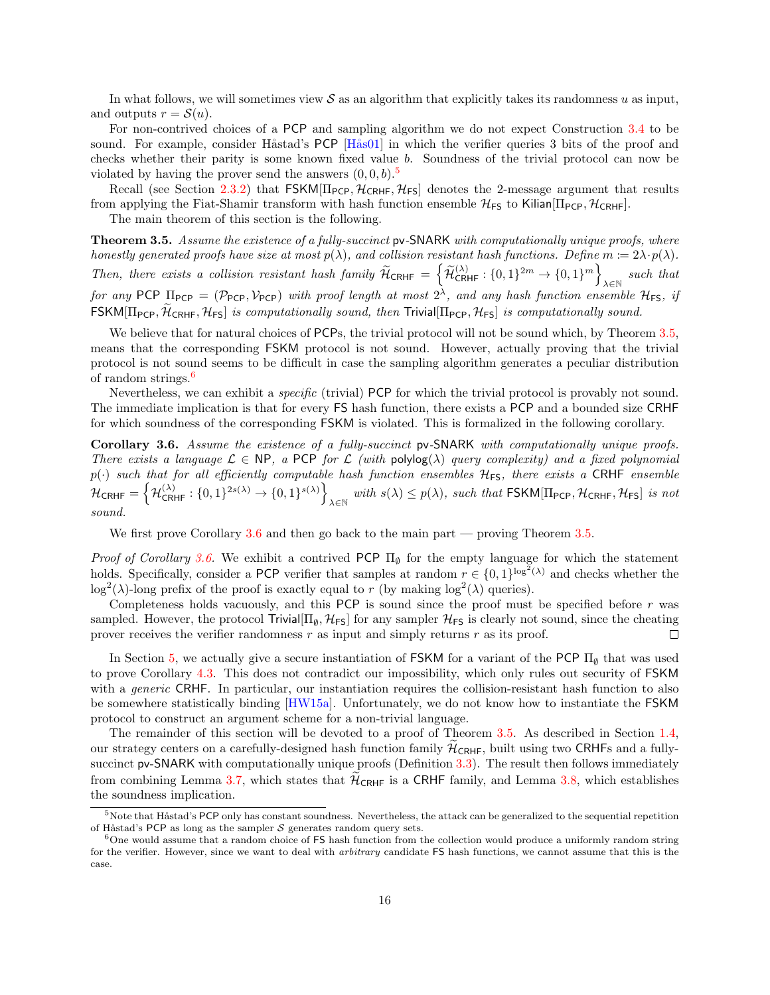In what follows, we will sometimes view  $\mathcal S$  as an algorithm that explicitly takes its randomness u as input, and outputs  $r = \mathcal{S}(u)$ .

For non-contrived choices of a PCP and sampling algorithm we do not expect Construction [3.4](#page-14-2) to be sound. For example, consider Håstad's PCP [Hås01] in which the verifier queries 3 bits of the proof and checks whether their parity is some known fixed value b. Soundness of the trivial protocol can now be violated by having the prover send the answers  $(0, 0, b)$ .<sup>[5](#page-15-1)</sup>

Recall (see Section [2.3.2\)](#page-13-2) that  $FSKM[\Pi_{PCP}, \mathcal{H}_{CRHF}, \mathcal{H}_{FS}]$  denotes the 2-message argument that results from applying the Fiat-Shamir transform with hash function ensemble  $\mathcal{H}_{FS}$  to Kilian  $\Pi_{PCP}$ ,  $\mathcal{H}_{CRHF}$ .

The main theorem of this section is the following.

<span id="page-15-0"></span>Theorem 3.5. Assume the existence of a fully-succinct pv-SNARK with computationally unique proofs, where honestly generated proofs have size at most  $p(\lambda)$ , and collision resistant hash functions. Define  $m := 2\lambda \cdot p(\lambda)$ . Then, there exists a collision resistant hash family  $\widetilde{\mathcal{H}}_{\text{CRHF}} = \left\{ \widetilde{\mathcal{H}}_{\text{CRHF}}^{(\lambda)} : \{0,1\}^{2m} \to \{0,1\}^m \right\}$  $\lambda \in \mathbb{N}$  such that for any PCP  $\Pi_{PCP} = (\mathcal{P}_{PCP}, \mathcal{V}_{PCP})$  with proof length at most  $2^{\lambda}$ , and any hash function ensemble  $\mathcal{H}_{FS}$ , if  $FSKM[\Pi_{PCP}, \mathcal{H}_{CRHF}, \mathcal{H}_{FS}]$  is computationally sound, then Trivial $[\Pi_{PCP}, \mathcal{H}_{FS}]$  is computationally sound.

We believe that for natural choices of PCPs, the trivial protocol will not be sound which, by Theorem [3.5,](#page-15-0) means that the corresponding FSKM protocol is not sound. However, actually proving that the trivial protocol is not sound seems to be difficult in case the sampling algorithm generates a peculiar distribution of random strings.[6](#page-15-2)

Nevertheless, we can exhibit a specific (trivial) PCP for which the trivial protocol is provably not sound. The immediate implication is that for every FS hash function, there exists a PCP and a bounded size CRHF for which soundness of the corresponding FSKM is violated. This is formalized in the following corollary.

<span id="page-15-3"></span>Corollary 3.6. Assume the existence of a fully-succinct pv-SNARK with computationally unique proofs. There exists a language  $\mathcal{L} \in \mathbb{NP}$ , a PCP for  $\mathcal{L}$  (with polylog( $\lambda$ ) query complexity) and a fixed polynomial  $p(\cdot)$  such that for all efficiently computable hash function ensembles  $H$ <sub>FS</sub>, there exists a CRHF ensemble  $\mathcal{H}_{\mathsf{CRHF}} = \left\{\mathcal{H}_{\mathsf{CRHF}}^{(\lambda)}: \{0, 1\}^{2s(\lambda)} \rightarrow \{0, 1\}^{s(\lambda)}\right\}$ with  $s(\lambda) \le p(\lambda)$ , such that FSKM[ $\Pi$ <sub>PCP</sub>,  $\mathcal{H}_{CRHF}$ ,  $\mathcal{H}_{FS}$ ] is not sound.

We first prove Corollary [3.6](#page-15-3) and then go back to the main part — proving Theorem [3.5.](#page-15-0)

Proof of Corollary [3.6.](#page-15-3) We exhibit a contrived PCP  $\Pi_{\emptyset}$  for the empty language for which the statement holds. Specifically, consider a PCP verifier that samples at random  $r \in \{0,1\}^{\log^2(\lambda)}$  and checks whether the log<sup>2</sup>( $\lambda$ )-long prefix of the proof is exactly equal to r (by making log<sup>2</sup>( $\lambda$ ) queries).

Completeness holds vacuously, and this PCP is sound since the proof must be specified before  $r$  was sampled. However, the protocol Trivial $[\Pi_{\emptyset}, \mathcal{H}_{FS}]$  for any sampler  $\mathcal{H}_{FS}$  is clearly not sound, since the cheating prover receives the verifier randomness  $r$  as input and simply returns  $r$  as its proof.  $\Box$ 

In Section [5,](#page-26-0) we actually give a secure instantiation of FSKM for a variant of the PCP  $\Pi_{\emptyset}$  that was used to prove Corollary [4.3.](#page-24-0) This does not contradict our impossibility, which only rules out security of FSKM with a *generic* CRHF. In particular, our instantiation requires the collision-resistant hash function to also be somewhere statistically binding [\[HW15a\]](#page-31-10). Unfortunately, we do not know how to instantiate the FSKM protocol to construct an argument scheme for a non-trivial language.

The remainder of this section will be devoted to a proof of Theorem [3.5.](#page-15-0) As described in Section [1.4,](#page-5-1) our strategy centers on a carefully-designed hash function family  $\mathcal{H}_{CRHF}$ , built using two CRHFs and a fully-succinct pv-SNARK with computationally unique proofs (Definition [3.3\)](#page-14-3). The result then follows immediately from combining Lemma [3.7,](#page-19-1) which states that  $\mathcal{H}_{CRHF}$  is a CRHF family, and Lemma [3.8,](#page-20-0) which establishes the soundness implication.

<span id="page-15-1"></span> $5$ Note that Håstad's PCP only has constant soundness. Nevertheless, the attack can be generalized to the sequential repetition of Håstad's PCP as long as the sampler  $S$  generates random query sets.

<span id="page-15-2"></span><sup>&</sup>lt;sup>6</sup>One would assume that a random choice of FS hash function from the collection would produce a uniformly random string for the verifier. However, since we want to deal with *arbitrary* candidate FS hash functions, we cannot assume that this is the case.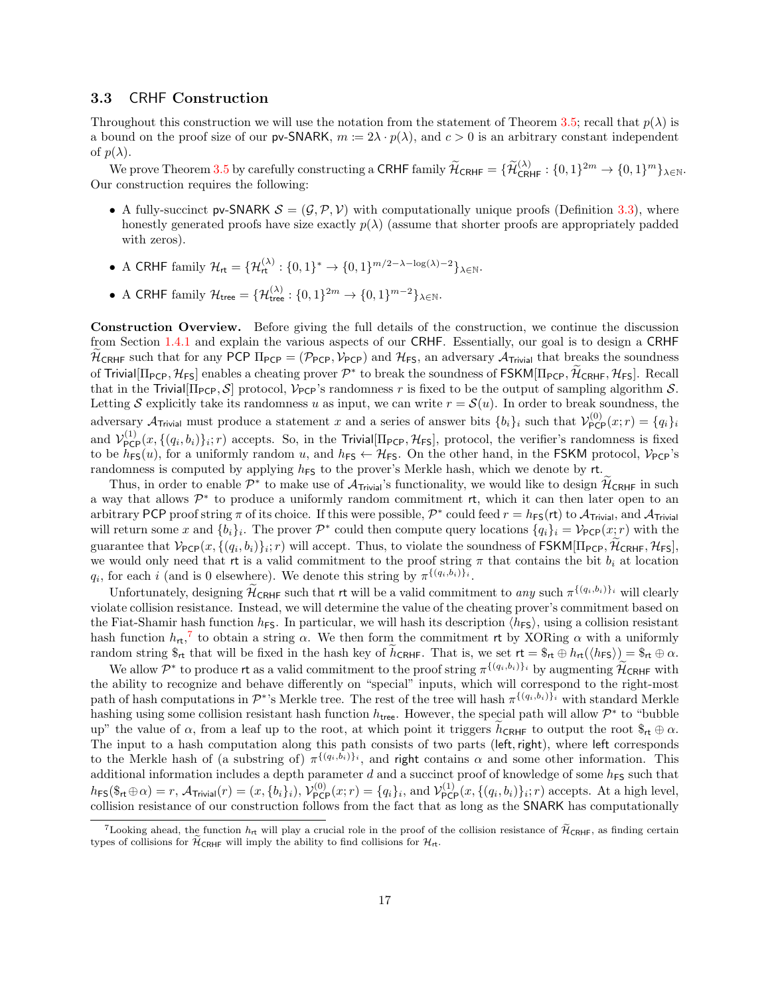## <span id="page-16-0"></span>3.3 CRHF Construction

Throughout this construction we will use the notation from the statement of Theorem [3.5;](#page-15-0) recall that  $p(\lambda)$  is a bound on the proof size of our pv-SNARK,  $m := 2\lambda \cdot p(\lambda)$ , and  $c > 0$  is an arbitrary constant independent of  $p(\lambda)$ .

We prove Theorem [3.5](#page-15-0) by carefully constructing a CRHF family  $\widetilde{\mathcal{H}}_{\text{CRHF}} = {\{\widetilde{\mathcal{H}}_{\text{CRHF}}^{(\lambda)} : \{0,1\}^{2m} \to \{0,1\}^m\}}_{\lambda \in \mathbb{N}}.$ Our construction requires the following:

- A fully-succinct pv-SNARK  $\mathcal{S} = (\mathcal{G}, \mathcal{P}, \mathcal{V})$  with computationally unique proofs (Definition [3.3\)](#page-14-3), where honestly generated proofs have size exactly  $p(\lambda)$  (assume that shorter proofs are appropriately padded with zeros).
- A CRHF family  $\mathcal{H}_{\mathsf{rt}} = {\{\mathcal{H}_{\mathsf{rt}}^{(\lambda)} : \{0,1\}^* \to \{0,1\}^{m/2-\lambda-\log(\lambda)-2}\}}_{\lambda \in \mathbb{N}}.$
- A CRHF family  $\mathcal{H}_{\text{tree}} = {\{\mathcal{H}_{\text{tree}}^{(\lambda)} : \{0,1\}^{2m} \to \{0,1\}^{m-2}\}}_{\lambda \in \mathbb{N}}.$

Construction Overview. Before giving the full details of the construction, we continue the discussion from Section [1.4.1](#page-5-2) and explain the various aspects of our CRHF. Essentially, our goal is to design a CRHF  $H_{\text{CRHF}}$  such that for any PCP  $\Pi_{\text{PCP}} = (\mathcal{P}_{\text{PCP}}, \mathcal{V}_{\text{PCP}})$  and  $\mathcal{H}_{\text{FS}}$ , an adversary  $\mathcal{A}_{\text{Trivial}}$  that breaks the soundness of Trivial $[\Pi_{PCP}, \mathcal{H}_{FS}]$  enables a cheating prover  $\mathcal{P}^*$  to break the soundness of  $FSKM[\Pi_{PCP}, \mathcal{H}_{CRIF}, \mathcal{H}_{FS}]$ . Recall that in the Trivial  $[\Pi_{\text{PCP}}, \mathcal{S}]$  protocol,  $\mathcal{V}_{\text{PCP}}$ 's randomness r is fixed to be the output of sampling algorithm S. Letting S explicitly take its randomness u as input, we can write  $r = \mathcal{S}(u)$ . In order to break soundness, the adversary  $\mathcal{A}_{\text{Trivial}}$  must produce a statement x and a series of answer bits  $\{b_i\}_i$  such that  $\mathcal{V}_{\text{PCP}}^{(0)}(x; r) = \{q_i\}_i$ and  $\mathcal{V}_{\text{PCP}}^{(1)}(x,\{(q_i,b_i)\}_i;r)$  accepts. So, in the Trivial  $[\Pi_{\text{PCP}},\mathcal{H}_{\text{FS}}]$ , protocol, the verifier's randomness is fixed to be  $h_{FS}(u)$ , for a uniformly random u, and  $h_{FS} \leftarrow H_{FS}$ . On the other hand, in the FSKM protocol,  $V_{PCP}$ 's randomness is computed by applying  $h_{FS}$  to the prover's Merkle hash, which we denote by rt.

Thus, in order to enable  $\mathcal{P}^*$  to make use of  $\mathcal{A}_{\text{Trivial}}$ 's functionality, we would like to design  $\mathcal{H}_{\text{CRHF}}$  in such a way that allows  $\mathcal{P}^*$  to produce a uniformly random commitment rt, which it can then later open to an arbitrary PCP proof string  $\pi$  of its choice. If this were possible,  $\mathcal{P}^*$  could feed  $r = h_{FS}(\mathsf{rt})$  to  $\mathcal{A}_{\text{Trivial}}$ , and  $\mathcal{A}_{\text{Trivial}}$ will return some x and  $\{b_i\}_i$ . The prover  $\mathcal{P}^*$  could then compute query locations  $\{q_i\}_i = \mathcal{V}_{\text{PCP}}(x; r)$  with the guarantee that  $V_{\text{PCP}}(x, \{(q_i, b_i)\}_i; r)$  will accept. Thus, to violate the soundness of  $\text{FSKM}[\Pi_{\text{PCP}}, \mathcal{H}_{\text{CRHF}}, \mathcal{H}_{\text{FS}}]$ , we would only need that rt is a valid commitment to the proof string  $\pi$  that contains the bit  $b_i$  at location  $q_i$ , for each i (and is 0 elsewhere). We denote this string by  $\pi^{\{(q_i, b_i)\}_i}$ .

Unfortunately, designing  $\widetilde{\mathcal{H}}_{\text{CRHF}}$  such that rt will be a valid commitment to any such  $\pi^{\{(q_i,b_i)\}_i}$  will clearly violate collision resistance. Instead, we will determine the value of the cheating prover's commitment based on the Fiat-Shamir hash function  $h_{FS}$ . In particular, we will hash its description  $\langle h_{FS} \rangle$ , using a collision resistant hash function  $h_{\mathsf{rt}}$ ,<sup>[7](#page-16-1)</sup> to obtain a string  $\alpha$ . We then form the commitment rt by XORing  $\alpha$  with a uniformly random string  $\mathcal{F}_{rt}$  that will be fixed in the hash key of  $\tilde{h}_{CRHF}$ . That is, we set  $rt = \mathcal{F}_{rt} \oplus h_{rt}(\langle h_{FS} \rangle) = \mathcal{F}_{rt} \oplus \alpha$ .

We allow  $\mathcal{P}^*$  to produce rt as a valid commitment to the proof string  $\pi^{\{(q_i,b_i)\}}$  by augmenting  $\widetilde{\mathcal{H}}_{\text{CRHF}}$  with the ability to recognize and behave differently on "special" inputs, which will correspond to the right-most path of hash computations in  $\mathcal{P}^*$ 's Merkle tree. The rest of the tree will hash  $\pi^{\{(q_i,b_i)\}_i}$  with standard Merkle hashing using some collision resistant hash function  $h_{\text{tree}}$ . However, the special path will allow  $\mathcal{P}^*$  to "bubble up" the value of  $\alpha$ , from a leaf up to the root, at which point it triggers  $\tilde{h}_{CRHF}$  to output the root  $\mathcal{S}_{rt} \oplus \alpha$ . The input to a hash computation along this path consists of two parts (left, right), where left corresponds to the Merkle hash of (a substring of)  $\pi^{\{(q_i, b_i)\}_i}$ , and right contains  $\alpha$  and some other information. This additional information includes a depth parameter d and a succinct proof of knowledge of some  $h_{FS}$  such that  $h_{FS}(\$_{\mathsf{rt}}\oplus\alpha)=r$ ,  $\mathcal{A}_{\mathsf{Trivial}}(r)=(x,\lbrace b_i \rbrace_i)$ ,  $\mathcal{V}_{\mathsf{PCP}}^{(0)}(x;r)=\lbrace q_i \rbrace_i$ , and  $\mathcal{V}_{\mathsf{PCP}}^{(1)}(x,\lbrace (q_i,b_i) \rbrace_i;r)$  accepts. At a high level, collision resistance of our construction follows from the fact that as long as the SNARK has computationally

<span id="page-16-1"></span><sup>&</sup>lt;sup>7</sup>Looking ahead, the function  $h_{\text{rt}}$  will play a crucial role in the proof of the collision resistance of  $\widetilde{\mathcal{H}}_{\text{CRHF}}$ , as finding certain types of collisions for  $\widetilde{\mathcal{H}}_{CRHF}$  will imply the ability to find collisions for  $\mathcal{H}_{rt}$ .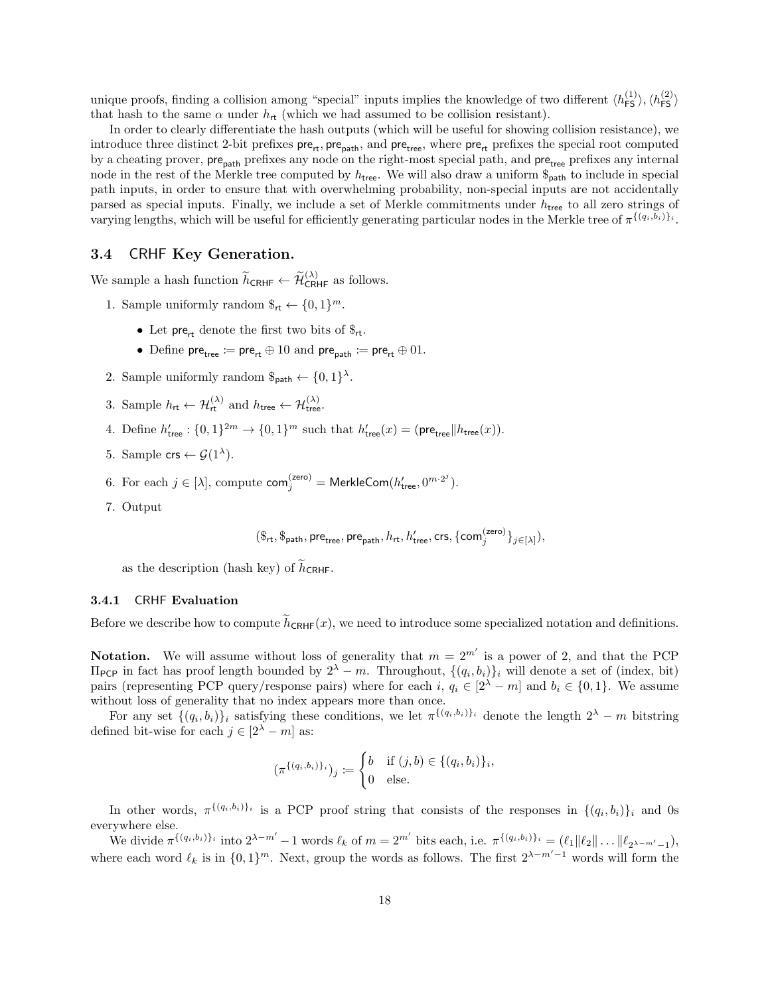unique proofs, finding a collision among "special" inputs implies the knowledge of two different  $\langle h_{\text{FS}}^{(1)} \rangle, \langle h_{\text{FS}}^{(2)} \rangle$ that hash to the same  $\alpha$  under  $h_{\rm rt}$  (which we had assumed to be collision resistant).

In order to clearly differentiate the hash outputs (which will be useful for showing collision resistance), we introduce three distinct 2-bit prefixes  $\text{pre}_{\text{rt}}$ ,  $\text{pre}_{\text{path}}$ , and  $\text{pre}_{\text{tree}}$ , where  $\text{pre}_{\text{rt}}$  prefixes the special root computed by a cheating prover, pre<sub>path</sub> prefixes any node on the right-most special path, and pre<sub>tree</sub> prefixes any internal node in the rest of the Merkle tree computed by  $h_{\text{tree}}$ . We will also draw a uniform  $\mathcal{S}_{\text{path}}$  to include in special path inputs, in order to ensure that with overwhelming probability, non-special inputs are not accidentally parsed as special inputs. Finally, we include a set of Merkle commitments under  $h_{\text{tree}}$  to all zero strings of varying lengths, which will be useful for efficiently generating particular nodes in the Merkle tree of  $\pi^{\{(q_i,b_i)\}_i}$ .

## <span id="page-17-0"></span>3.4 CRHF Key Generation.

We sample a hash function  $\widetilde{h}_{\text{CRHF}} \leftarrow \widetilde{\mathcal{H}}_{\text{CRHF}}^{(\lambda)}$  as follows.

- 1. Sample uniformly random  $\mathcal{F}_{rt} \leftarrow \{0,1\}^m$ .
	- Let pre<sub>rt</sub> denote the first two bits of  $\mathcal{F}_{rt}$ .
	- Define  $\mathsf{pre}_{\mathsf{tree}} \coloneqq \mathsf{pre}_{\mathsf{rt}} \oplus 10$  and  $\mathsf{pre}_{\mathsf{path}} \coloneqq \mathsf{pre}_{\mathsf{rt}} \oplus 01$ .
- 2. Sample uniformly random  $\varphi_{\text{path}} \leftarrow \{0, 1\}^{\lambda}$ .
- 3. Sample  $h_{\mathsf{rt}} \leftarrow \mathcal{H}_{\mathsf{rt}}^{(\lambda)}$  and  $h_{\mathsf{tree}} \leftarrow \mathcal{H}_{\mathsf{tree}}^{(\lambda)}$ .
- 4. Define  $h'_{\text{tree}}: \{0,1\}^{2m} \to \{0,1\}^m$  such that  $h'_{\text{tree}}(x) = (\text{pre}_{\text{tree}}||h_{\text{tree}}(x)).$
- 5. Sample  $\mathsf{crs} \leftarrow \mathcal{G}(1^{\lambda}).$
- 6. For each  $j \in [\lambda]$ , compute  $\mathsf{com}_j^{(\mathsf{zero})} = \mathsf{MerkleCom}(h'_{\mathsf{tree}}, 0^{m \cdot 2^j}).$
- 7. Output

$$
(\$_{\mathsf{rt}},\$_{\mathsf{path}},\mathsf{pre}_{\mathsf{tree}},\mathsf{pre}_{\mathsf{path}},h_{\mathsf{rt}},h'_{\mathsf{tree}},\mathsf{crs},\{\mathsf{com}^{(\mathsf{zero})}_j\}_{j\in[\lambda]}),
$$

as the description (hash key) of  $\tilde{h}_{CRHF}$ .

#### 3.4.1 CRHF Evaluation

Before we describe how to compute  $\hat{h}_{CRHF}(x)$ , we need to introduce some specialized notation and definitions.

**Notation.** We will assume without loss of generality that  $m = 2^{m'}$  is a power of 2, and that the PCP  $\Pi_{\text{PCP}}$  in fact has proof length bounded by  $2^{\lambda} - m$ . Throughout,  $\{(q_i, b_i)\}_i$  will denote a set of (index, bit) pairs (representing PCP query/response pairs) where for each i,  $q_i \in [2^{\lambda} - m]$  and  $b_i \in \{0, 1\}$ . We assume without loss of generality that no index appears more than once.

For any set  $\{(q_i, b_i)\}_i$  satisfying these conditions, we let  $\pi^{\{(q_i, b_i)\}_i}$  denote the length  $2^{\lambda} - m$  bitstring defined bit-wise for each  $j\in [2^\lambda-m]$  as:

$$
(\pi^{\{(q_i,b_i)\}_i})_j := \begin{cases} b & \text{if } (j,b) \in \{(q_i,b_i)\}_i, \\ 0 & \text{else.} \end{cases}
$$

In other words,  $\pi^{\{(q_i,b_i)\}_i}$  is a PCP proof string that consists of the responses in  $\{(q_i,b_i)\}_i$  and 0s everywhere else.

We divide  $\pi^{\{(q_i,b_i)\}_i}$  into  $2^{\lambda-m'}-1$  words  $\ell_k$  of  $m=2^{m'}$  bits each, i.e.  $\pi^{\{(q_i,b_i)\}_i} = (\ell_1||\ell_2|| \dots ||\ell_{2^{\lambda-m'}-1}),$ where each word  $\ell_k$  is in  $\{0, 1\}^m$ . Next, group the words as follows. The first  $2^{\lambda-m'-1}$  words will form the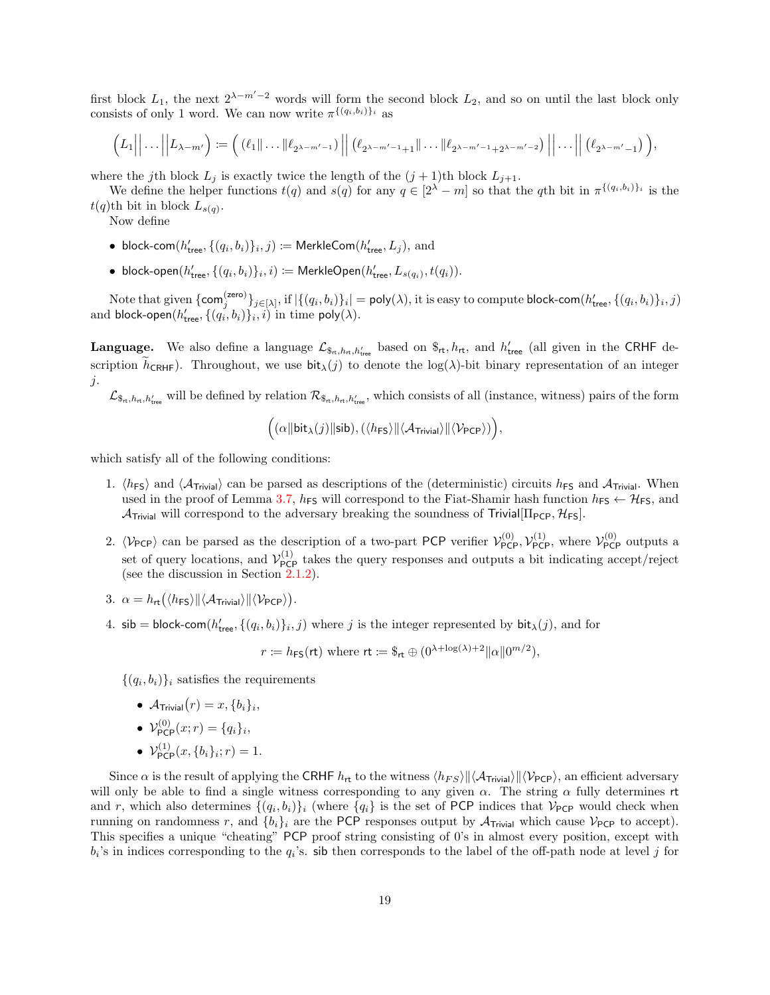first block  $L_1$ , the next  $2^{\lambda-m'-2}$  words will form the second block  $L_2$ , and so on until the last block only consists of only 1 word. We can now write  $\pi^{\{(q_i,b_i)\}_i}$  as

$$
(L_1||...||L_{\lambda-m'}) := ((\ell_1||...||\ell_{2^{\lambda-m'-1}})||((\ell_{2^{\lambda-m'-1}+1}||...||\ell_{2^{\lambda-m'-1}+2^{\lambda-m'-2}})||...||((\ell_{2^{\lambda-m'}-1})),
$$

where the j<sup>th</sup> block  $L_j$  is exactly twice the length of the  $(j + 1)$ <sup>th</sup> block  $L_{j+1}$ .

We define the helper functions  $t(q)$  and  $s(q)$  for any  $q \in [2^{\lambda} - m]$  so that the qth bit in  $\pi^{\{(q_i, b_i)\}_i}$  is the  $t(q)$ th bit in block  $L_{s(q)}$ .

Now define

- block-com $(h'_{\text{tree}}, \{(q_i, b_i)\}_i, j) \coloneqq \textsf{MerkleCom}(h'_{\text{tree}}, L_j), \text{ and}$
- block-open $(h'_{\text{tree}}, \{(q_i, b_i)\}_i, i) \coloneqq \text{MerkleOpen}(h'_{\text{tree}}, L_{s(q_i)}, t(q_i)).$

Note that given  $\{\mathsf{com}_j^{(\mathsf{zero})}\}_{j\in[\lambda]},$  if  $|\{(q_i,b_i)\}_i|= \mathsf{poly}(\lambda),$  it is easy to compute block-com $(h'_{\mathsf{tree}},\{(q_i,b_i)\}_i,j)$ and block-open $(h'_{\sf tree}, \{(q_i^{\prime}, b_i)\}_i, i)$  in time poly $(\lambda).$ 

**Language.** We also define a language  $\mathcal{L}_{\mathcal{S}_{rt},h_{rt},h'_{tree}}$  based on  $\mathcal{S}_{rt},h_{rt}$ , and  $h'_{tree}$  (all given in the CRHF description  $\hat{h}_{\text{CRHF}}$ . Throughout, we use  $\text{bit}_{\lambda}(j)$  to denote the log( $\lambda$ )-bit binary representation of an integer  $j$ .

 $\mathcal{L}_{\mathcal{S}_{\text{rt}},h_{\text{rt}},h'_{\text{tree}}}$  will be defined by relation  $\mathcal{R}_{\mathcal{S}_{\text{rt}},h_{\text{rt}},h'_{\text{tree}}}$ , which consists of all (instance, witness) pairs of the form

$$
\Big((\alpha \|\textsf{bit}_{\lambda}(j)\|\textsf{sib}), (\langle \mathit{h}_{\textsf{FS}} \rangle \|\langle \mathcal{A}_{\textsf{Trivial}} \rangle \|\langle \mathcal{V}_{\textsf{PCP}} \rangle )\Big),
$$

which satisfy all of the following conditions:

- 1.  $\langle h_{FS} \rangle$  and  $\langle A_{Trivial} \rangle$  can be parsed as descriptions of the (deterministic) circuits  $h_{FS}$  and  $A_{Trivial}$ . When used in the proof of Lemma [3.7,](#page-19-1)  $h_{FS}$  will correspond to the Fiat-Shamir hash function  $h_{FS} \leftarrow H_{FS}$ , and  $\mathcal{A}_{\text{Trivial}}$  will correspond to the adversary breaking the soundness of Trivial  $[\Pi_{\text{PCP}}, \mathcal{H}_{\text{FS}}]$ .
- 2.  $\langle V_{PCP} \rangle$  can be parsed as the description of a two-part PCP verifier  $\mathcal{V}_{PCP}^{(0)}$ ,  $\mathcal{V}_{PCP}^{(1)}$ , where  $\mathcal{V}_{PCP}^{(0)}$  outputs a set of query locations, and  $\mathcal{V}_{PCP}^{(1)}$  takes the query responses and outputs a bit indicating accept/reject (see the discussion in Section [2.1.2\)](#page-9-1).
- 3.  $\alpha = h_{\mathsf{rt}}(\langle h_{\mathsf{FS}} \rangle || \langle \mathcal{A}_{\mathsf{Trivial}} \rangle || \langle \mathcal{V}_{\mathsf{PCP}} \rangle).$
- 4. sib = block-com $(h'_{\text{tree}}, \{(q_i, b_i)\}_i, j)$  where j is the integer represented by  $\text{bit}_{\lambda}(j)$ , and for

 $r := h_{\textsf{FS}}(\textsf{rt})$  where  $\textsf{rt} := \$_{\textsf{rt}} \oplus (0^{\lambda + \log(\lambda) + 2} || \alpha || 0^{m/2}),$ 

 $\{(q_i, b_i)\}_i$  satisfies the requirements

- $\mathcal{A}_{\text{Trivial}}(r) = x, \{b_i\}_i,$
- $\mathcal{V}_{\mathsf{PCP}}^{(0)}(x;r) = \{q_i\}_i,$
- $\mathcal{V}_{\text{PCP}}^{(1)}(x, \{b_i\}_i; r) = 1.$

Since  $\alpha$  is the result of applying the CRHF  $h_{rt}$  to the witness  $\langle h_{FS} \rangle || \langle A_{Triivial} \rangle || \langle \mathcal{V}_{PC} \rangle$ , an efficient adversary will only be able to find a single witness corresponding to any given  $\alpha$ . The string  $\alpha$  fully determines rt and r, which also determines  $\{(q_i, b_i)\}_i$  (where  $\{q_i\}$  is the set of PCP indices that  $\mathcal{V}_{\text{PCP}}$  would check when running on randomness r, and  $\{b_i\}_i$  are the PCP responses output by  $\mathcal{A}_{\text{Trivial}}$  which cause  $\mathcal{V}_{\text{PCP}}$  to accept). This specifies a unique "cheating" PCP proof string consisting of 0's in almost every position, except with  $b_i$ 's in indices corresponding to the  $q_i$ 's. sib then corresponds to the label of the off-path node at level j for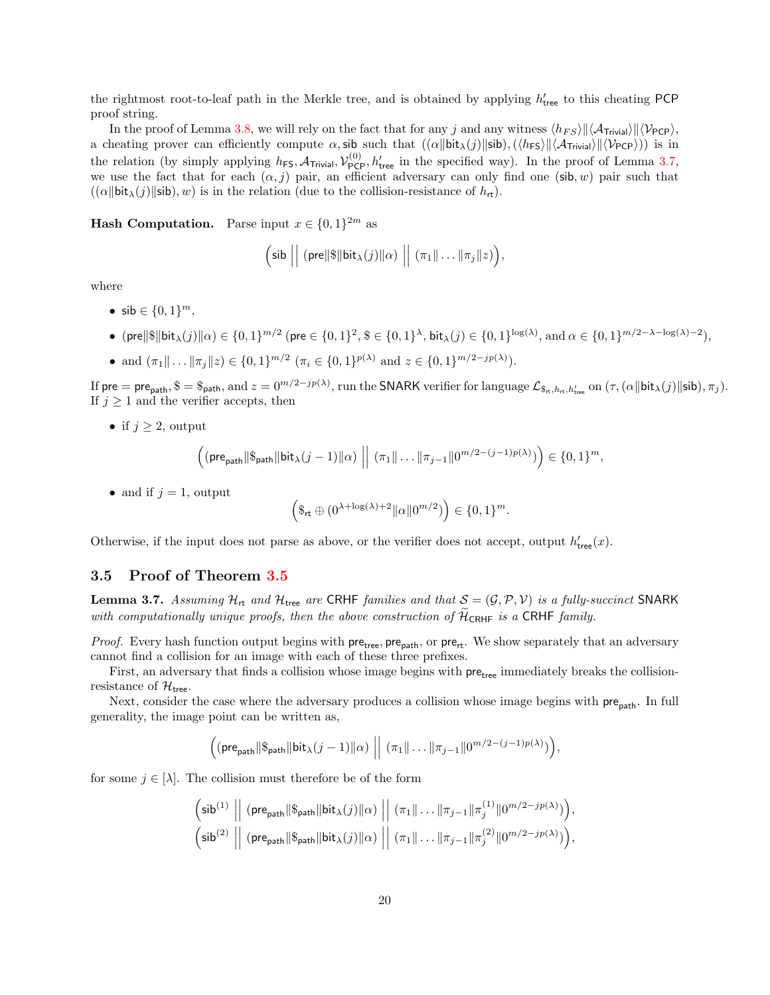the rightmost root-to-leaf path in the Merkle tree, and is obtained by applying  $h'_{\text{tree}}$  to this cheating PCP proof string.

In the proof of Lemma [3.8,](#page-20-0) we will rely on the fact that for any j and any witness  $\langle h_{FS} \rangle || \langle \mathcal{A}_{Triivial} \rangle || \langle \mathcal{V}_{PCP} \rangle$ , a cheating prover can efficiently compute  $\alpha$ , sib such that  $((\alpha \|\text{bit}_{\lambda}(j)\|\text{sil}),(\langle h_{FS} \rangle \| \langle \mathcal{A}_{\text{Trivial}} \rangle \| \langle \mathcal{V}_{PCP} \rangle))$  is in the relation (by simply applying  $h_{FS}$ ,  $A_{Triivial}$ ,  $\mathcal{V}_{PCP}^{(0)}$ ,  $h'_{tree}$  in the specified way). In the proof of Lemma [3.7,](#page-19-1) we use the fact that for each  $(\alpha, j)$  pair, an efficient adversary can only find one (sib, w) pair such that  $((\alpha \|\text{bit}_{\lambda}(j)\|\text{sib}), w)$  is in the relation (due to the collision-resistance of  $h_{\text{rt}}$ ).

**Hash Computation.** Parse input  $x \in \{0,1\}^{2m}$  as

$$
\left(\text{sib }\big\|\ (\text{pre} \|\$\|\text{bit}_{\lambda}(j)\|\alpha)\ \big\|\ (\pi_1\|\ldots\|\pi_j\|z)\right),
$$

where

- sib  $\in \{0, 1\}^m$ ,
- (pre $\|$\|$ bit $_{\lambda}(j)\|$ α) ∈ {0, 1}<sup>m/2</sup> (pre ∈ {0, 1}<sup>2</sup>, \$ ∈ {0, 1}<sup>λ</sup>, bit $_{\lambda}(j)$  ∈ {0, 1}<sup>log(λ)</sup>, and α ∈ {0, 1}<sup>m/2−λ−log(λ)−2),</sup>
- and  $(\pi_1 \| \dots \| \pi_j \| z) \in \{0, 1\}^{m/2}$   $(\pi_i \in \{0, 1\}^{p(\lambda)}$  and  $z \in \{0, 1\}^{m/2 jp(\lambda)}).$

If pre = pre<sub>path</sub>,  $\$\ =\$\$ <sub>path</sub>, and  $z=0^{m/2-jp(\lambda)}$ , run the SNARK verifier for language  $\mathcal{L}_{\$\pi, h_{\text{rt}}, h'_{\text{tree}}}$  on  $(\tau, (\alpha||\text{bit}_{\lambda}(j)||\text{si}b), \pi_j)$ . If  $j \geq 1$  and the verifier accepts, then

• if  $j \geq 2$ , output

$$
\left( (\mathsf{pre}_{\mathsf{path}} \| \mathsf{\$}_{\mathsf{path}} \| \mathsf{bit}_{\lambda}(j-1) \| \alpha) \right) \mid (\pi_1 \| \dots \| \pi_{j-1} \| 0^{m/2-(j-1)p(\lambda)}) \right) \in \{0,1\}^m,
$$

• and if  $j = 1$ , output

$$
\left(\mathbf{S}_{\mathrm{rt}}\oplus (0^{\lambda+\log(\lambda)+2}\|\alpha\| 0^{m/2})\right)\in\{0,1\}^m.
$$

Otherwise, if the input does not parse as above, or the verifier does not accept, output  $h'_{\text{tree}}(x)$ .

## <span id="page-19-0"></span>3.5 Proof of Theorem [3.5](#page-15-0)

<span id="page-19-1"></span>**Lemma 3.7.** Assuming  $\mathcal{H}_{\text{rt}}$  and  $\mathcal{H}_{\text{tree}}$  are CRHF families and that  $\mathcal{S} = (\mathcal{G}, \mathcal{P}, \mathcal{V})$  is a fully-succinct SNARK with computationally unique proofs, then the above construction of  $\widetilde{\mathcal{H}}_{\text{CRHF}}$  is a CRHF family.

*Proof.* Every hash function output begins with  $pre_{tree}$ ,  $pre_{path}$ , or  $pre_{rt}$ . We show separately that an adversary cannot find a collision for an image with each of these three prefixes.

First, an adversary that finds a collision whose image begins with pre<sub>tree</sub> immediately breaks the collisionresistance of  $\mathcal{H}_{\text{tree}}$ .

Next, consider the case where the adversary produces a collision whose image begins with pre<sub>path</sub>. In full generality, the image point can be written as,

$$
\left((\mathsf{pre}_{\mathsf{path}}\|\mathsf{\$}_{\mathsf{path}}\|\mathsf{bit}_{\lambda}(j-1)\|\alpha)\right)\left\|\ (\pi_1\|\ldots\|\pi_{j-1}\|0^{m/2-(j-1)p(\lambda)})\right),
$$

for some  $j \in [\lambda]$ . The collision must therefore be of the form

$$
\begin{aligned} &\left(\text{sib}^{(1)}~\middle\vert\right|~(\text{pre}_{\text{path}}\Vert\mathbb{S}_{\text{path}}\Vert\text{bit}_{\lambda}(j)\Vert\alpha)~\middle\vert\right|~(\pi_1\Vert\ldots\Vert\pi_{j-1}\Vert\pi_j^{(1)}\Vert 0^{m/2-jp(\lambda)})\Big),\\ &\left(\text{sib}^{(2)}~\middle\vert\right|~(\text{pre}_{\text{path}}\Vert\mathbb{S}_{\text{path}}\Vert\text{bit}_{\lambda}(j)\Vert\alpha)~\middle\vert\right|~(\pi_1\Vert\ldots\Vert\pi_{j-1}\Vert\pi_j^{(2)}\Vert 0^{m/2-jp(\lambda)})\Big), \end{aligned}
$$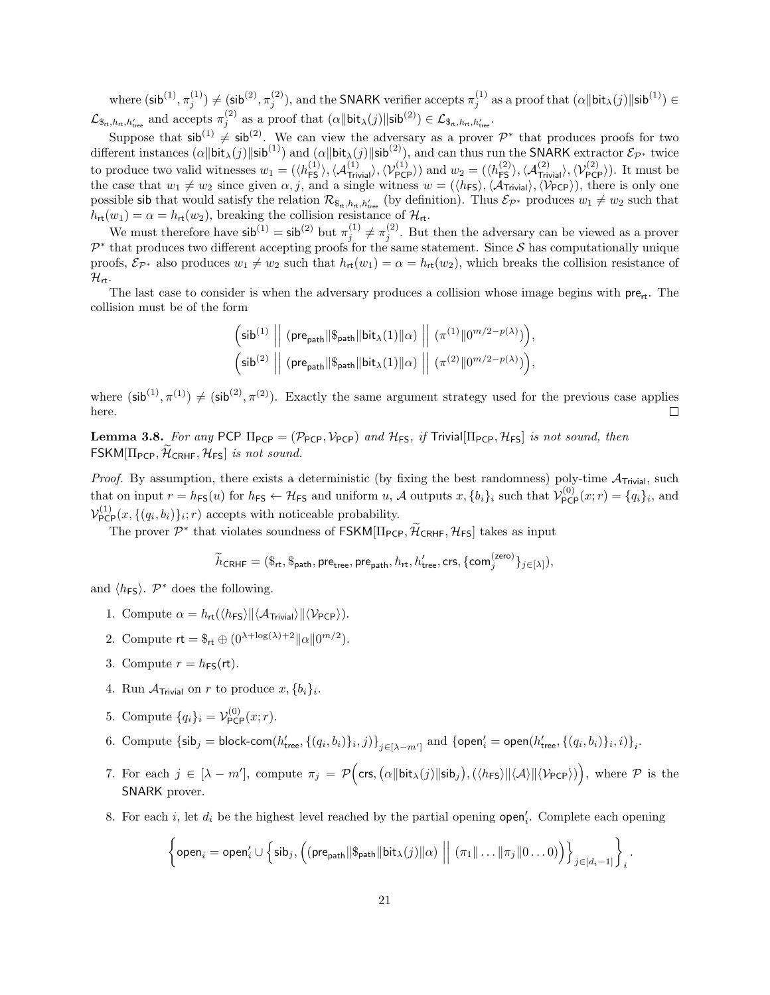where  $(\mathsf{sib}^{(1)}, \pi_j^{(1)}) \neq (\mathsf{sib}^{(2)}, \pi_j^{(2)})$ , and the SNARK verifier accepts  $\pi_j^{(1)}$  as a proof that  $(\alpha \|\mathsf{bit}_\lambda(j)\|\mathsf{sib}^{(1)}) \in$  $\mathcal{L}_{\mathcal{S}_{\text{rt}},h_{\text{rt}},h'_{\text{tree}}}$  and accepts  $\pi_j^{(2)}$  as a proof that  $(\alpha \|\text{bit}_{\lambda}(j)\|\text{silb}^{(2)}) \in \mathcal{L}_{\mathcal{S}_{\text{rt}},h_{\text{rt}},h'_{\text{tree}}}$ .

Suppose that  $\sin^{(1)} \neq \sin^{(2)}$ . We can view the adversary as a prover  $\mathcal{P}^*$  that produces proofs for two different instances  $(\alpha \|\text{bit}_{\lambda}(j)\|\text{sib}^{(1)})$  and  $(\alpha \|\text{bit}_{\lambda}(j)\|\text{sib}^{(2)})$ , and can thus run the SNARK extractor  $\mathcal{E}_{\mathcal{P}^*}$  twice to produce two valid witnesses  $w_1 = (\langle h_{\text{FS}}^{(1)} \rangle, \langle A_{\text{Trivial}}^{(1)} \rangle, \langle V_{\text{PCP}}^{(1)} \rangle)$  and  $w_2 = (\langle h_{\text{FS}}^{(2)} \rangle, \langle A_{\text{Trivial}}^{(2)} \rangle, \langle V_{\text{PCP}}^{(2)} \rangle)$ . It must be the case that  $w_1 \neq w_2$  since given  $\alpha, j$ , and a single witness  $w = (\langle h_{FS} \rangle, \langle A_{Trivial} \rangle, \langle \mathcal{V}_{PCP} \rangle)$ , there is only one possible sib that would satisfy the relation  $\mathcal{R}_{\$_{n},h_{n},h'_{tree}}$  (by definition). Thus  $\mathcal{E}_{\mathcal{P}^*}$  produces  $w_1 \neq w_2$  such that  $h_{\mathsf{rt}}(w_1) = \alpha = h_{\mathsf{rt}}(w_2)$ , breaking the collision resistance of  $\mathcal{H}_{\mathsf{rt}}$ .

We must therefore have  $\sin^{(1)} = \sin^{(2)} \text{ but } \pi_j^{(1)} \neq \pi_j^{(2)}$ . But then the adversary can be viewed as a prover  $\mathcal{P}^*$  that produces two different accepting proofs for the same statement. Since S has computationally unique proofs,  $\mathcal{E}_{\mathcal{P}^*}$  also produces  $w_1 \neq w_2$  such that  $h_{\mathsf{rt}}(w_1) = \alpha = h_{\mathsf{rt}}(w_2)$ , which breaks the collision resistance of  $\mathcal{H}_{\mathsf{rt}}$ .

The last case to consider is when the adversary produces a collision whose image begins with  $pre<sub>rt</sub>$ . The collision must be of the form

$$
\begin{aligned} &\left(\text{sib}^{(1)}~\middle\vert\right~\left(\text{pre}_{\text{path}}\Vert\$_{\text{path}}\Vert\text{bit}_{\lambda}(1)\Vert\alpha\right)~\middle\vert\right|~(\pi^{(1)}\Vert 0^{m/2-p(\lambda)})\Big),\\ &\left(\text{sib}^{(2)}~\middle\vert\right|~\left(\text{pre}_{\text{path}}\Vert\$_{\text{path}}\Vert\text{bit}_{\lambda}(1)\Vert\alpha\right)~\middle\vert\right|~(\pi^{(2)}\Vert 0^{m/2-p(\lambda)})\Big), \end{aligned}
$$

where  $(\sin^{(1)}, \pi^{(1)}) \neq (\sin^{(2)}, \pi^{(2)})$ . Exactly the same argument strategy used for the previous case applies here.  $\Box$ 

<span id="page-20-0"></span>**Lemma 3.8.** For any PCP  $\Pi_{PCP} = (\mathcal{P}_{PCP}, \mathcal{V}_{PCP})$  and  $\mathcal{H}_{FS}$ , if Trivial  $[\Pi_{PCP}, \mathcal{H}_{FS}]$  is not sound, then  $FSKM[\Pi_{PCP}, \mathcal{H}_{CRHF}, \mathcal{H}_{FS}]$  is not sound.

*Proof.* By assumption, there exists a deterministic (by fixing the best randomness) poly-time  $A_{Triial}$ , such that on input  $r = h_{FS}(u)$  for  $h_{FS} \leftarrow H_{FS}$  and uniform  $u$ ,  $\mathcal A$  outputs  $x, \{b_i\}_i$  such that  $\mathcal V_{PCP}^{(0)}(x; r) = \{q_i\}_i$ , and  $\mathcal{V}_{\text{PCP}}^{(1)}(x, \{(q_i, b_i)\}_i; r)$  accepts with noticeable probability.

The prover  $\mathcal{P}^*$  that violates soundness of  $\mathsf{FSKM}[\Pi_{\mathsf{PCP}}, \widetilde{\mathcal{H}}_{\mathsf{CRHF}}, \mathcal{H}_{\mathsf{FS}}]$  takes as input

$$
\widetilde{h}_{\text{CRHF}} = (\$_{\text{rt}},\$_{\text{path}},\text{pre}_{\text{tree}},\text{pre}_{\text{path}},h_{\text{rt}},h'_{\text{tree}},\text{crs},\{\text{com}^{(\text{zero})}_j\}_{j\in[\lambda]}),
$$

and  $\langle h_{\text{FS}} \rangle$ .  $\mathcal{P}^*$  does the following.

- 1. Compute  $\alpha = h_{\mathsf{rt}}(\langle h_{\mathsf{FS}} \rangle || \langle \mathcal{A}_{\mathsf{Trivial}} \rangle || \langle \mathcal{V}_{\mathsf{PCP}} \rangle).$
- 2. Compute  $\mathsf{rt} = \mathsf{S}_{\mathsf{rt}} \oplus (0^{\lambda + \log(\lambda) + 2} ||\alpha|| 0^{m/2}).$
- 3. Compute  $r = h_{FS}(\text{rt})$ .
- 4. Run  $\mathcal{A}_{\text{Trivial}}$  on r to produce  $x, \{b_i\}_i$ .
- 5. Compute  $\{q_i\}_i = \mathcal{V}_{\text{PCP}}^{(0)}(x; r)$ .
- 6. Compute  $\{\textsf{sib}_j = \textsf{block-com}(h'_{\textsf{tree}}, \{(q_i, b_i)\}_i, j)\}_{j \in [\lambda m']}$  and  $\{\textsf{open}'_i = \textsf{open}(h'_{\textsf{tree}}, \{(q_i, b_i)\}_i, i)\}_i$
- 7. For each  $j \in [\lambda m']$ , compute  $\pi_j = \mathcal{P}(\mathsf{crs}, \alpha \|\mathsf{bit}_\lambda(j)\|\mathsf{sib}_j), (\langle h_{\mathsf{FS}}\rangle\|\langle\mathcal{A}\rangle\|\langle\mathcal{V}_{\mathsf{PCP}}\rangle))$ , where  $\mathcal P$  is the SNARK prover.
- 8. For each i, let  $d_i$  be the highest level reached by the partial opening  $open'_i$ . Complete each opening

$$
\left\{\mathsf{open}_i=\mathsf{open}'_i\cup\left\{\mathsf{sib}_j,\left((\mathsf{pre}_{\mathsf{path}}\|\mathbb{S}_{\mathsf{path}}\|\mathsf{bit}_\lambda(j)\|\alpha)\ \Big|\ \Big|\ (\pi_1\|\ldots\|\pi_j\|0\ldots0)\right)\right\}_{j\in[d_i-1]}\right\}_i.
$$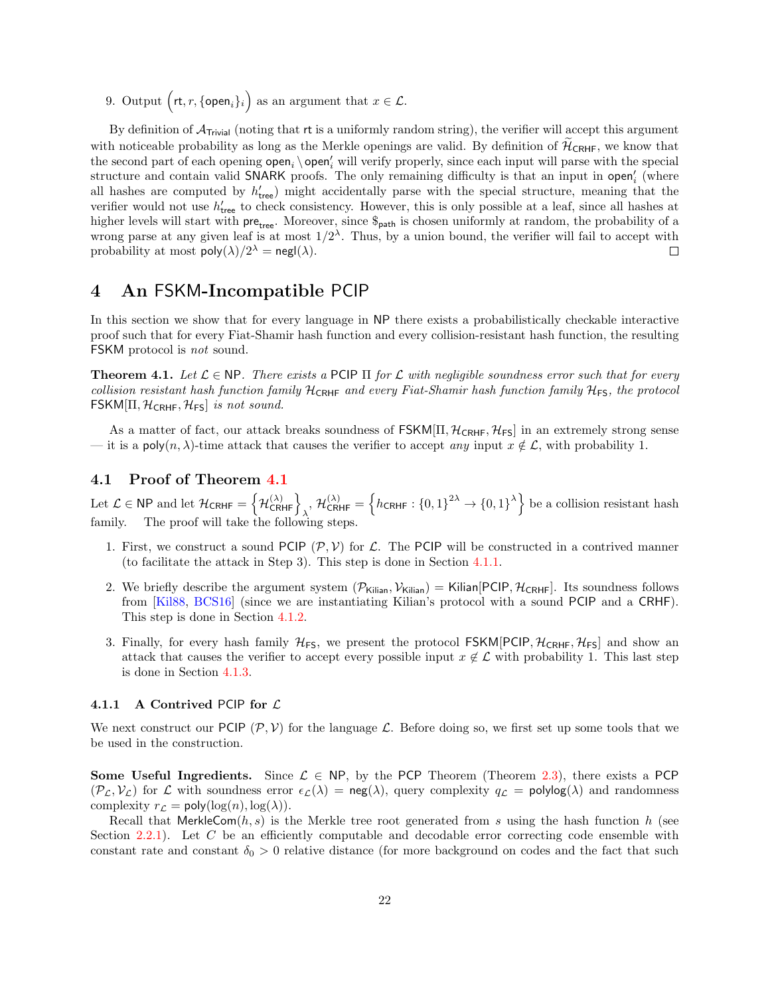9. Output  $\left(\mathsf{rt}, r, \{\mathsf{open}_i\}_i\right)$  as an argument that  $x \in \mathcal{L}$ .

By definition of  $A_{Triivial}$  (noting that rt is a uniformly random string), the verifier will accept this argument with noticeable probability as long as the Merkle openings are valid. By definition of  $\tilde{\mathcal{H}}_{\text{CRHF}}$ , we know that the second part of each opening  $open_i \setminus open'_i$  will verify properly, since each input will parse with the special structure and contain valid SNARK proofs. The only remaining difficulty is that an input in  $open'_i$  (where all hashes are computed by  $h'_{\text{tree}}$ ) might accidentally parse with the special structure, meaning that the verifier would not use  $h'_{\text{tree}}$  to check consistency. However, this is only possible at a leaf, since all hashes at higher levels will start with  $pre<sub>tree</sub>$ . Moreover, since  $\mathcal{S}_{path}$  is chosen uniformly at random, the probability of a wrong parse at any given leaf is at most  $1/2^{\lambda}$ . Thus, by a union bound, the verifier will fail to accept with probability at most  $\text{poly}(\lambda)/2^{\lambda} = \text{negl}(\lambda)$ . □

## <span id="page-21-0"></span>4 An FSKM-Incompatible PCIP

In this section we show that for every language in NP there exists a probabilistically checkable interactive proof such that for every Fiat-Shamir hash function and every collision-resistant hash function, the resulting FSKM protocol is not sound.

<span id="page-21-2"></span>**Theorem 4.1.** Let  $\mathcal{L} \in \mathbb{NP}$ . There exists a PCIP  $\Pi$  for  $\mathcal{L}$  with negligible soundness error such that for every collision resistant hash function family  $H_{\text{CRHF}}$  and every Fiat-Shamir hash function family  $H_{\text{FS}}$ , the protocol  $\mathsf{FSKM}[\Pi, \mathcal{H}_{\mathsf{CRHF}}, \mathcal{H}_{\mathsf{FS}}]$  is not sound.

As a matter of fact, our attack breaks soundness of  $FSKM[\Pi, \mathcal{H}_{CRHF}, \mathcal{H}_{FS}]$  in an extremely strong sense — it is a poly $(n, \lambda)$ -time attack that causes the verifier to accept any input  $x \notin \mathcal{L}$ , with probability 1.

## <span id="page-21-1"></span>4.1 Proof of Theorem [4.1](#page-21-2)

Let  $\mathcal{L} \in \mathsf{NP}$  and let  $\mathcal{H}_{\mathsf{CRHF}} = \left\{ \mathcal{H}_{\mathsf{CRHF}}^{(\lambda)} \right\}_{\lambda}, \, \mathcal{H}_{\mathsf{CRHF}}^{(\lambda)} = \left\{ h_{\mathsf{CRHF}} : \{0,1\}^{2\lambda} \to \{0,1\}^{\lambda} \right\}$  be a collision resistant hash family. The proof will take the following steps.

- 1. First, we construct a sound PCIP  $(\mathcal{P}, \mathcal{V})$  for L. The PCIP will be constructed in a contrived manner (to facilitate the attack in Step 3). This step is done in Section [4.1.1.](#page-21-3)
- 2. We briefly describe the argument system  $(\mathcal{P}_{\text{Kilian}}, \mathcal{V}_{\text{Kilian}}) =$  Kilian  $[\text{PCIP}, \mathcal{H}_{\text{CRHF}}]$ . Its soundness follows from [\[Kil88,](#page-31-11) [BCS16\]](#page-30-3) (since we are instantiating Kilian's protocol with a sound PCIP and a CRHF). This step is done in Section [4.1.2.](#page-24-1)
- 3. Finally, for every hash family  $H_{FS}$ , we present the protocol FSKM[PCIP,  $H_{CRHF}$ ,  $H_{FS}$ ] and show an attack that causes the verifier to accept every possible input  $x \notin \mathcal{L}$  with probability 1. This last step is done in Section [4.1.3.](#page-24-2)

### <span id="page-21-3"></span>4.1.1 A Contrived PCIP for  $\mathcal L$

We next construct our  $PCIP$  ( $\mathcal{P}, \mathcal{V}$ ) for the language  $\mathcal{L}$ . Before doing so, we first set up some tools that we be used in the construction.

Some Useful Ingredients. Since  $\mathcal{L} \in \mathsf{NP}$ , by the PCP Theorem (Theorem [2.3\)](#page-9-0), there exists a PCP  $(\mathcal{P}_\mathcal{L}, \mathcal{V}_\mathcal{L})$  for  $\mathcal L$  with soundness error  $\epsilon_{\mathcal{L}}(\lambda) = \text{neg}(\lambda)$ , query complexity  $q_\mathcal{L} = \text{polylog}(\lambda)$  and randomness complexity  $r_{\mathcal{L}} = \text{poly}(\log(n), \log(\lambda)).$ 

Recall that MerkleCom $(h, s)$  is the Merkle tree root generated from s using the hash function h (see Section [2.2.1\)](#page-11-1). Let  $C$  be an efficiently computable and decodable error correcting code ensemble with constant rate and constant  $\delta_0 > 0$  relative distance (for more background on codes and the fact that such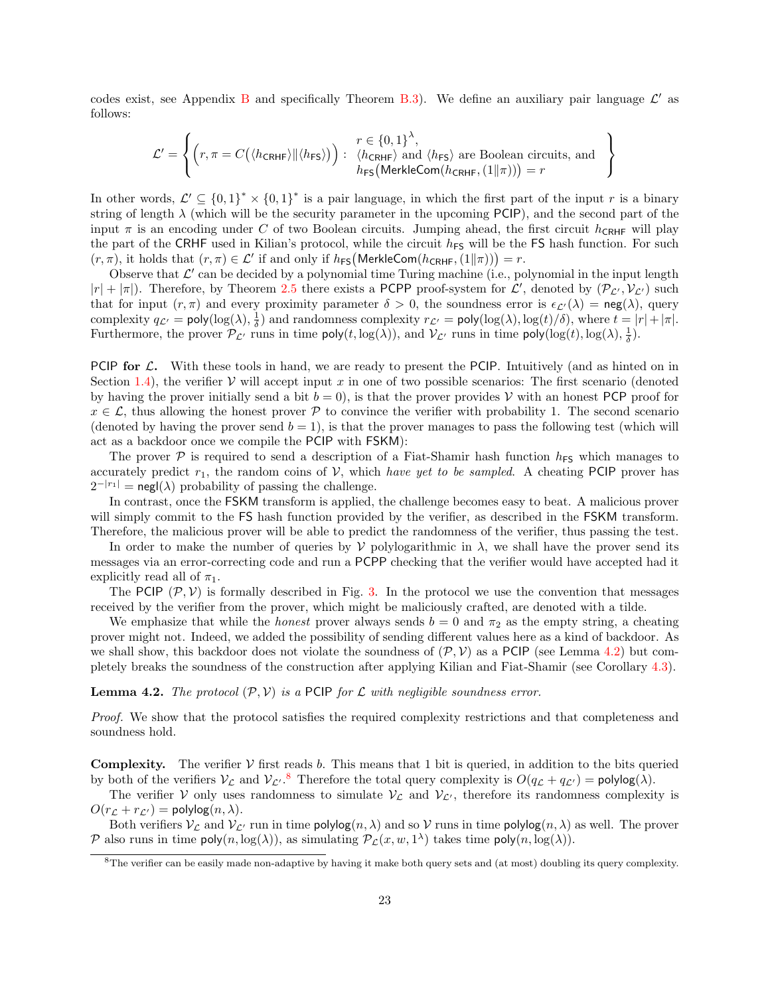codes exist, see Appendix [B](#page-40-0) and specifically Theorem [B.3\)](#page-40-1). We define an auxiliary pair language  $\mathcal{L}'$  as follows:

> $\mathcal{L}$  $\mathcal{L}$  $\mathsf{I}$

$$
\mathcal{L}' = \left\{ \left( r, \pi = C\big(\langle h_{\mathsf{CRHF}} \rangle \|\langle h_{\mathsf{FS}} \rangle\big) \right) : \begin{array}{l} r \in \{0,1\}^{\lambda}, \\ \langle h_{\mathsf{CRHF}} \rangle \text{ and } \langle h_{\mathsf{FS}} \rangle \text{ are Boolean circuits, and} \\ h_{\mathsf{FS}} \left( \mathsf{MerkleCom}(h_{\mathsf{CRHF}}, (1\|\pi)) \right) = r \end{array} \right\}
$$

In other words,  $\mathcal{L}' \subseteq \{0,1\}^* \times \{0,1\}^*$  is a pair language, in which the first part of the input r is a binary string of length  $\lambda$  (which will be the security parameter in the upcoming PCIP), and the second part of the input  $\pi$  is an encoding under C of two Boolean circuits. Jumping ahead, the first circuit  $h_{\text{CRHF}}$  will play the part of the CRHF used in Kilian's protocol, while the circuit  $h_{FS}$  will be the FS hash function. For such  $(r, \pi)$ , it holds that  $(r, \pi) \in \mathcal{L}'$  if and only if  $h_{FS}(\text{MerkleCom}(h_{CRHF}, (1\|\pi))) = r$ .

Observe that  $\mathcal{L}'$  can be decided by a polynomial time Turing machine (i.e., polynomial in the input length  $|r| + |\pi|$ ). Therefore, by Theorem [2.5](#page-10-1) there exists a PCPP proof-system for  $\mathcal{L}'$ , denoted by  $(\mathcal{P}_{\mathcal{L}'}, \mathcal{V}_{\mathcal{L}'})$  such that for input  $(r, \pi)$  and every proximity parameter  $\delta > 0$ , the soundness error is  $\epsilon_{\mathcal{L}'}(\lambda) = \text{neg}(\lambda)$ , query complexity  $q_{\mathcal{L}'} = \text{poly}(\log(\lambda), \frac{1}{\delta})$  and randomness complexity  $r_{\mathcal{L}'} = \text{poly}(\log(\lambda), \log(t)/\delta)$ , where  $t = |r| + |\pi|$ . Furthermore, the prover  $\mathcal{P}_{\mathcal{L}'}$  runs in time  $\mathsf{poly}(t, \log(\lambda))$ , and  $\mathcal{V}_{\mathcal{L}'}$  runs in time  $\mathsf{poly}(\log(t), \log(\lambda), \frac{1}{\delta})$ .

PCIP for  $\mathcal{L}$ . With these tools in hand, we are ready to present the PCIP. Intuitively (and as hinted on in Section [1.4\)](#page-5-1), the verifier  $\mathcal V$  will accept input x in one of two possible scenarios: The first scenario (denoted by having the prover initially send a bit  $b = 0$ ), is that the prover provides V with an honest PCP proof for  $x \in \mathcal{L}$ , thus allowing the honest prover P to convince the verifier with probability 1. The second scenario (denoted by having the prover send  $b = 1$ ), is that the prover manages to pass the following test (which will act as a backdoor once we compile the PCIP with FSKM):

The prover  $P$  is required to send a description of a Fiat-Shamir hash function  $h_{FS}$  which manages to accurately predict  $r_1$ , the random coins of V, which have yet to be sampled. A cheating PCIP prover has  $2^{-|r_1|} = \text{negl}(\lambda)$  probability of passing the challenge.

In contrast, once the FSKM transform is applied, the challenge becomes easy to beat. A malicious prover will simply commit to the FS hash function provided by the verifier, as described in the FSKM transform. Therefore, the malicious prover will be able to predict the randomness of the verifier, thus passing the test.

In order to make the number of queries by  $\mathcal V$  polylogarithmic in  $\lambda$ , we shall have the prover send its messages via an error-correcting code and run a PCPP checking that the verifier would have accepted had it explicitly read all of  $\pi_1$ .

The PCIP  $(\mathcal{P}, \mathcal{V})$  is formally described in Fig. [3.](#page-23-0) In the protocol we use the convention that messages received by the verifier from the prover, which might be maliciously crafted, are denoted with a tilde.

We emphasize that while the *honest* prover always sends  $b = 0$  and  $\pi_2$  as the empty string, a cheating prover might not. Indeed, we added the possibility of sending different values here as a kind of backdoor. As we shall show, this backdoor does not violate the soundness of  $(\mathcal{P}, \mathcal{V})$  as a PCIP (see Lemma [4.2\)](#page-22-0) but completely breaks the soundness of the construction after applying Kilian and Fiat-Shamir (see Corollary [4.3\)](#page-24-0).

#### <span id="page-22-0"></span>**Lemma 4.2.** The protocol  $(\mathcal{P}, \mathcal{V})$  is a PCIP for L with negligible soundness error.

Proof. We show that the protocol satisfies the required complexity restrictions and that completeness and soundness hold.

**Complexity.** The verifier  $V$  first reads b. This means that 1 bit is queried, in addition to the bits queried by both of the verifiers  $V_c$  and  $V_{c'}$ .<sup>[8](#page-22-1)</sup> Therefore the total query complexity is  $O(q_c + q_{c'})$  = polylog( $\lambda$ ).

The verifier V only uses randomness to simulate  $V_{\mathcal{L}}$  and  $V_{\mathcal{L}'}$ , therefore its randomness complexity is  $O(r_{\mathcal{L}} + r_{\mathcal{L'}}) = \text{polylog}(n, \lambda).$ 

Both verifiers  $V_L$  and  $V_{L'}$  run in time polylog(n,  $\lambda$ ) and so V runs in time polylog(n,  $\lambda$ ) as well. The prover P also runs in time  $\mathsf{poly}(n, \log(\lambda))$ , as simulating  $\mathcal{P}_\mathcal{L}(x, w, 1^\lambda)$  takes time  $\mathsf{poly}(n, \log(\lambda))$ .

<span id="page-22-1"></span> $8$ The verifier can be easily made non-adaptive by having it make both query sets and (at most) doubling its query complexity.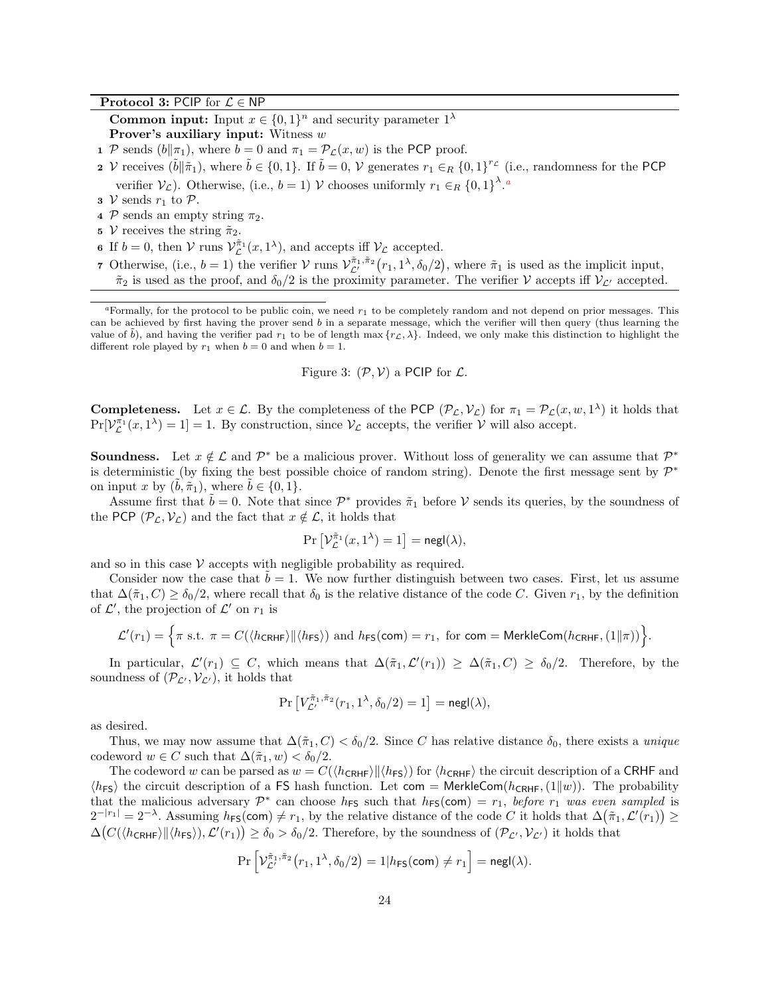### Protocol 3: PCIP for  $\mathcal{L} \in \mathsf{NP}$

**Common input:** Input  $x \in \{0,1\}^n$  and security parameter  $1^{\lambda}$ **Prover's auxiliary input:** Witness  $w$ 

- 1 P sends  $(b||\pi_1)$ , where  $b = 0$  and  $\pi_1 = \mathcal{P}_\mathcal{L}(x, w)$  is the PCP proof.
- 2 V receives  $(\tilde{b}||\tilde{\pi}_1)$ , where  $\tilde{b} \in \{0,1\}$ . If  $\tilde{b} = 0$ , V generates  $r_1 \in_R \{0,1\}^{r_{\mathcal{L}}}$  (i.e., randomness for the PCP verifier  $V_{\mathcal{L}}$  $V_{\mathcal{L}}$  $V_{\mathcal{L}}$ ). Otherwise, (i.e.,  $b = 1$ ) V chooses uniformly  $r_1 \in_R \{0,1\}^{\lambda}$ .
- **3**  $V$  sends  $r_1$  to  $P$ .
- 4 P sends an empty string  $\pi_2$ .
- 5 V receives the string  $\tilde{\pi}_2$ .
- **6** If  $b = 0$ , then  $V \text{ runs } V_L^{\tilde{\pi}_1}(x, 1^{\lambda})$ , and accepts iff  $V_L$  accepted.
- 7 Otherwise, (i.e.,  $b = 1$ ) the verifier  $V$  runs  $V^{\tilde{\pi}_1, \tilde{\pi}_2}_{\mathcal{L}'}(r_1, 1^{\lambda}, \delta_0/2)$ , where  $\tilde{\pi}_1$  is used as the implicit input,  $\tilde{\pi}_2$  is used as the proof, and  $\delta_0/2$  is the proximity parameter. The verifier V accepts iff  $V_{\mathcal{L}'}$  accepted.

<span id="page-23-0"></span>Figure 3: 
$$
(\mathcal{P}, \mathcal{V})
$$
 a PCIP for  $\mathcal{L}$ .

**Completeness.** Let  $x \in \mathcal{L}$ . By the completeness of the PCP  $(\mathcal{P}_\mathcal{L}, \mathcal{V}_\mathcal{L})$  for  $\pi_1 = \mathcal{P}_\mathcal{L}(x, w, 1^\lambda)$  it holds that  $Pr[\mathcal{V}_L^{\pi_1}(x,1^{\lambda})=1]=1.$  By construction, since  $\mathcal{V}_L$  accepts, the verifier  $\mathcal{V}$  will also accept.

**Soundness.** Let  $x \notin \mathcal{L}$  and  $\mathcal{P}^*$  be a malicious prover. Without loss of generality we can assume that  $\mathcal{P}^*$ is deterministic (by fixing the best possible choice of random string). Denote the first message sent by  $\mathcal{P}^*$ on input x by  $(\tilde{b}, \tilde{\pi}_1)$ , where  $b \in \{0, 1\}$ .

Assume first that  $\tilde{b} = 0$ . Note that since  $\mathcal{P}^*$  provides  $\tilde{\pi}_1$  before V sends its queries, by the soundness of the PCP  $(\mathcal{P}_\mathcal{L}, \mathcal{V}_\mathcal{L})$  and the fact that  $x \notin \mathcal{L}$ , it holds that

$$
\Pr\left[\mathcal{V}_\mathcal{L}^{\tilde{\pi}_1}(x,1^\lambda)=1\right]=\mathsf{negl}(\lambda),
$$

and so in this case  $V$  accepts with negligible probability as required.

Consider now the case that  $b = 1$ . We now further distinguish between two cases. First, let us assume that  $\Delta(\tilde{\pi}_1, C) \ge \delta_0/2$ , where recall that  $\delta_0$  is the relative distance of the code C. Given  $r_1$ , by the definition of  $\mathcal{L}'$ , the projection of  $\mathcal{L}'$  on  $r_1$  is

$$
\mathcal{L}'(r_1) = \Big\{\pi \text{ s.t. } \pi = C(\langle h_{\mathsf{CRHF}} \rangle || \langle h_{\mathsf{FS}} \rangle) \text{ and } h_{\mathsf{FS}}(\mathsf{com}) = r_1, \text{ for } \mathsf{com} = \mathsf{MerkleCom}(h_{\mathsf{CRHF}}, (1||\pi)) \Big\}.
$$

In particular,  $\mathcal{L}'(r_1) \subseteq C$ , which means that  $\Delta(\tilde{\pi}_1, \mathcal{L}'(r_1)) \geq \Delta(\tilde{\pi}_1, C) \geq \delta_0/2$ . Therefore, by the soundness of  $(\mathcal{P}_{\mathcal{L}'}, \mathcal{V}_{\mathcal{L}'})$ , it holds that

$$
\Pr\left[V_{\mathcal{L}'}^{\tilde{\pi}_1,\tilde{\pi}_2}(r_1,1^{\lambda},\delta_0/2)=1\right]=\mathsf{negl}(\lambda),
$$

as desired.

Thus, we may now assume that  $\Delta(\tilde{\pi}_1, C) < \delta_0/2$ . Since C has relative distance  $\delta_0$ , there exists a *unique* codeword  $w \in C$  such that  $\Delta(\tilde{\pi}_1, w) < \delta_0/2$ .

The codeword w can be parsed as  $w = C(\langle h_{\text{CRHF}} \rangle || \langle h_{\text{FS}} \rangle)$  for  $\langle h_{\text{CRHF}} \rangle$  the circuit description of a CRHF and  $\langle h_{FS} \rangle$  the circuit description of a FS hash function. Let com = MerkleCom( $h_{CRHF}$ , (1|w)). The probability that the malicious adversary  $\mathcal{P}^*$  can choose  $h_{FS}$  such that  $h_{FS}(com) = r_1$ , before  $r_1$  was even sampled is  $2^{-|r_1|} = 2^{-\lambda}$ . Assuming  $h_{FS}(\text{com}) \neq r_1$ , by the relative distance of the code C it holds that  $\Delta(\tilde{\pi}_1, \mathcal{L}'(r_1)) \geq$  $\Delta(C(\langle h_{\text{CRHF}} \rangle || \langle h_{\text{FS}} \rangle), \mathcal{L}'(r_1)) \ge \delta_0 > \delta_0/2$ . Therefore, by the soundness of  $(\mathcal{P}_{\mathcal{L}'}, \mathcal{V}_{\mathcal{L}'})$  it holds that

$$
\Pr\left[\mathcal{V}_{\mathcal{L}'}^{\tilde{\pi}_1, \tilde{\pi}_2}(r_1, 1^{\lambda}, \delta_0/2) = 1 | h_{\mathsf{FS}}(\mathsf{com}) \neq r_1\right] = \mathsf{negl}(\lambda).
$$

<span id="page-23-1"></span><sup>&</sup>lt;sup>a</sup>Formally, for the protocol to be public coin, we need  $r_1$  to be completely random and not depend on prior messages. This can be achieved by first having the prover send  $b$  in a separate message, which the verifier will then query (thus learning the value of b), and having the verifier pad  $r_1$  to be of length max  $\{r_{\mathcal{L}}, \lambda\}$ . Indeed, we only make this distinction to highlight the different role played by  $r_1$  when  $b = 0$  and when  $b = 1$ .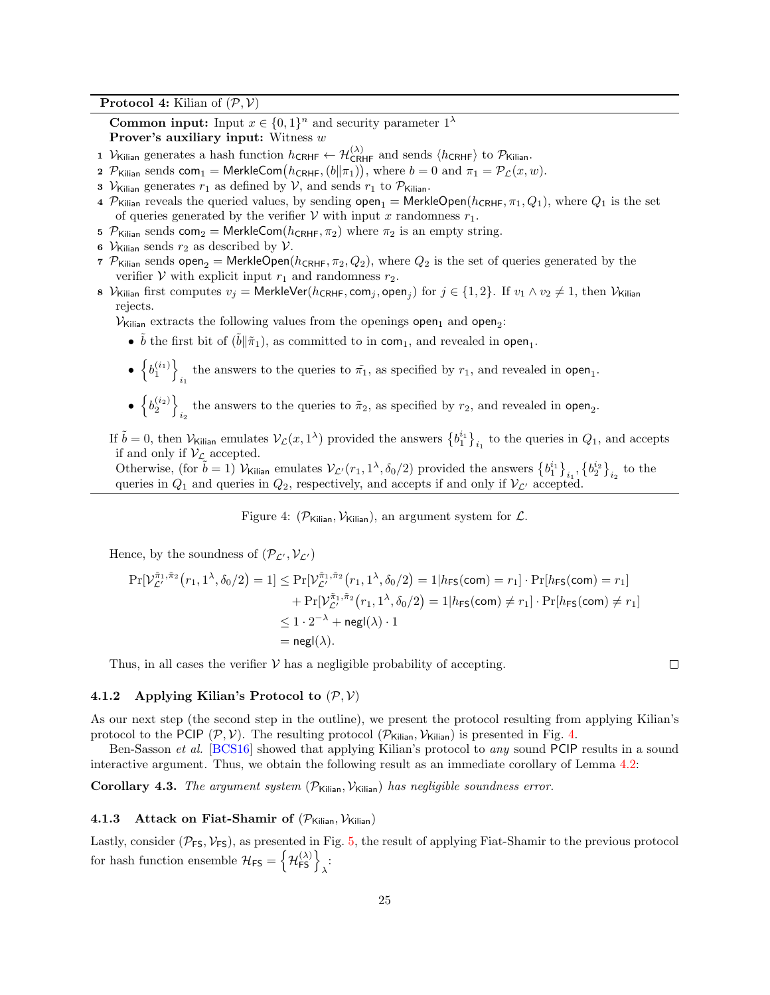**Protocol 4:** Kilian of  $(\mathcal{P}, \mathcal{V})$ 

**Common input:** Input  $x \in \{0,1\}^n$  and security parameter  $1^{\lambda}$ **Prover's auxiliary input:** Witness  $w$ 

1  $V_{\text{Kilian}}$  generates a hash function  $h_{\text{CRHF}} \leftarrow \mathcal{H}_{\text{CRHF}}^{(\lambda)}$  and sends  $\langle h_{\text{CRHF}} \rangle$  to  $\mathcal{P}_{\text{Kilian}}$ .

- 2  $\mathcal{P}_{\text{Kilian}}$  sends com<sub>1</sub> = MerkleCom $(h_{\text{CRHF}}, (b\|\pi_1)),$  where  $b = 0$  and  $\pi_1 = \mathcal{P}_\mathcal{L}(x, w)$ .
- 3  $V_{\text{Kilian}}$  generates  $r_1$  as defined by  $V$ , and sends  $r_1$  to  $P_{\text{Kilian}}$ .
- 4 P<sub>Kilian</sub> reveals the queried values, by sending  $open_1 =$  MerkleOpen( $h_{CRHF}, \pi_1, Q_1$ ), where  $Q_1$  is the set of queries generated by the verifier  $\mathcal V$  with input x randomness  $r_1$ .
- 5  $P_{\text{Kilian}}$  sends com<sub>2</sub> = MerkleCom( $h_{\text{CRHF}}, \pi_2$ ) where  $\pi_2$  is an empty string.
- 6  $V_{\text{Kilian}}$  sends  $r_2$  as described by  $V$ .
- 7  $\mathcal{P}_{\text{Kilian}}$  sends open<sub>2</sub> = MerkleOpen( $h_{\text{CRHF}}, \pi_2, Q_2$ ), where  $Q_2$  is the set of queries generated by the verifier  $V$  with explicit input  $r_1$  and randomness  $r_2$ .
- 8  $\mathcal{V}_{\mathsf{Kilian}}$  first computes  $v_j = \mathsf{MerkleVer}(h_{\mathsf{CRHF}},\mathsf{com}_j,\mathsf{open}_j)$  for  $j \in \{1,2\}.$  If  $v_1 \wedge v_2 \neq 1,$  then  $\mathcal{V}_{\mathsf{Kilian}}$ rejects.

 $\mathcal{V}_{\mathsf{Kilian}}$  extracts the following values from the openings open<sub>1</sub> and open<sub>2</sub>:

- $\tilde{b}$  the first bit of  $(\tilde{b}||\tilde{\pi}_1)$ , as committed to in com<sub>1</sub>, and revealed in open<sub>1</sub>.
- $\bullet$   $\left\{b_1^{(i_1)}\right\}$ the answers to the queries to  $\tilde{\pi_1}$ , as specified by  $r_1$ , and revealed in open<sub>1</sub>.
- $\bullet$   $\left\{b_2^{(i_2)}\right\}$ the answers to the queries to  $\tilde{\pi}_2$ , as specified by  $r_2$ , and revealed in open<sub>2</sub>.

If  $\tilde{b} = 0$ , then  $\mathcal{V}_{\mathcal{K}}$  ilian emulates  $\mathcal{V}_{\mathcal{L}}(x, 1^{\lambda})$  provided the answers  $\{b_1^{i_1}\}_{i_1}$  to the queries in  $Q_1$ , and accepts if and only if  $V_{\mathcal{L}}$  accepted.

Otherwise, (for  $\tilde{b} = 1$ )  $\mathcal{V}_{\text{Kilian}}$  emulates  $\mathcal{V}_{\mathcal{L}'}(r_1, 1^{\lambda}, \delta_0/2)$  provided the answers  $\{b_1^{i_1}\}_{i_1}, \{b_2^{i_2}\}_{i_2}$  to the queries in  $Q_1$  and queries in  $Q_2$ , respectively, and accepts if and only if  $V_{\mathcal{L}'}$  accepted.

<span id="page-24-3"></span>Figure 4: ( $\mathcal{P}_{\text{Kilian}}$ ,  $\mathcal{V}_{\text{Kilian}}$ ), an argument system for  $\mathcal{L}$ .

Hence, by the soundness of  $(\mathcal{P}_{\mathcal{L}'}, \mathcal{V}_{\mathcal{L}'})$ 

$$
\Pr[\mathcal{V}_{\mathcal{L}'}^{\tilde{\pi}_1, \tilde{\pi}_2}(r_1, 1^{\lambda}, \delta_0/2)] = 1] \le \Pr[\mathcal{V}_{\mathcal{L}'}^{\tilde{\pi}_1, \tilde{\pi}_2}(r_1, 1^{\lambda}, \delta_0/2)] = 1 | h_{\text{FS}}(\text{com}) = r_1] \cdot \Pr[h_{\text{FS}}(\text{com}) = r_1] + \Pr[\mathcal{V}_{\mathcal{L}}^{\tilde{\pi}_1, \tilde{\pi}_2}(r_1, 1^{\lambda}, \delta_0/2)] = 1 | h_{\text{FS}}(\text{com}) \ne r_1] \cdot \Pr[h_{\text{FS}}(\text{com}) \ne r_1] \le 1 \cdot 2^{-\lambda} + \text{negl}(\lambda) \cdot 1
$$
  
= negl(\lambda).

Thus, in all cases the verifier  $V$  has a negligible probability of accepting.

 $\Box$ 

### <span id="page-24-1"></span>4.1.2 Applying Kilian's Protocol to  $(\mathcal{P}, \mathcal{V})$

As our next step (the second step in the outline), we present the protocol resulting from applying Kilian's protocol to the PCIP  $(\mathcal{P}, \mathcal{V})$ . The resulting protocol  $(\mathcal{P}_{\text{Kilian}}, \mathcal{V}_{\text{Kilian}})$  is presented in Fig. [4.](#page-24-3)

Ben-Sasson et al. [\[BCS16\]](#page-30-3) showed that applying Kilian's protocol to any sound PCIP results in a sound interactive argument. Thus, we obtain the following result as an immediate corollary of Lemma [4.2:](#page-22-0)

<span id="page-24-0"></span>Corollary 4.3. The argument system  $(\mathcal{P}_{\text{Kilian}}, \mathcal{V}_{\text{Kilian}})$  has negligible soundness error.

#### <span id="page-24-2"></span>4.1.3 Attack on Fiat-Shamir of  $(\mathcal{P}_{\text{Kilian}}, \mathcal{V}_{\text{Kilian}})$

Lastly, consider ( $\mathcal{P}_{FS}$ ,  $\mathcal{V}_{FS}$ ), as presented in Fig. [5,](#page-25-0) the result of applying Fiat-Shamir to the previous protocol for hash function ensemble  $\mathcal{H}_{\texttt{FS}} = \left\{ \mathcal{H}_{\texttt{FS}}^{(\lambda)} \right\}_{\lambda}$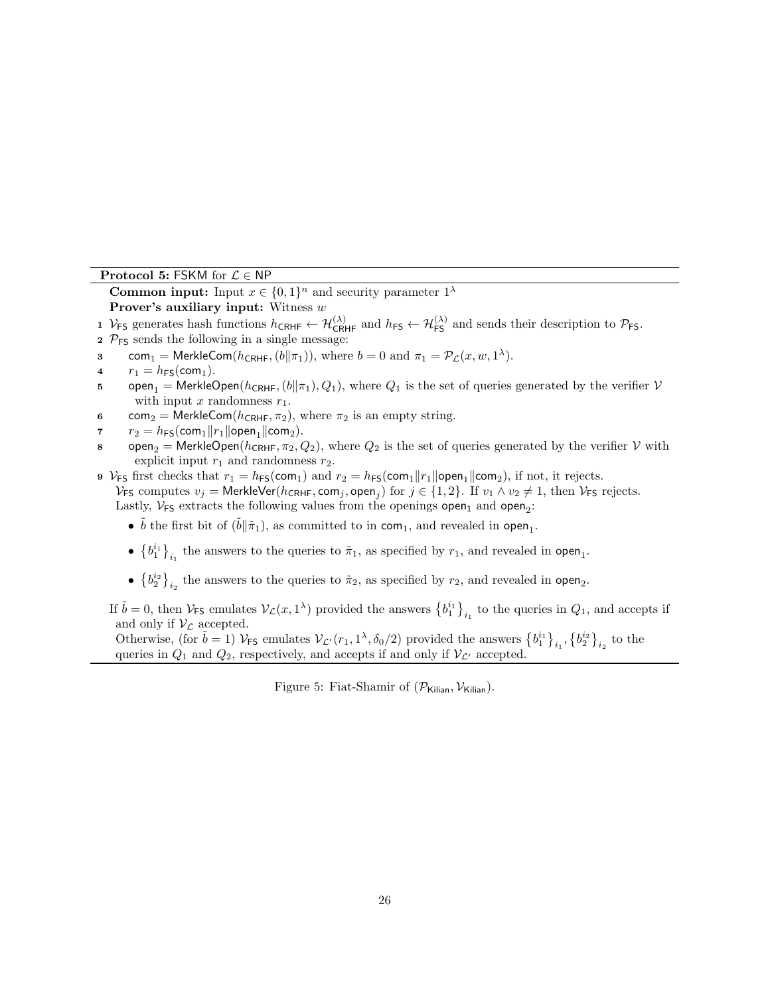### Protocol 5: FSKM for  $\mathcal{L} \in \mathsf{NP}$

**Common input:** Input  $x \in \{0,1\}^n$  and security parameter  $1^{\lambda}$ **Prover's auxiliary input:** Witness  $w$ 

1  $V_{FS}$  generates hash functions  $h_{CRHF} \leftarrow H_{CRHF}^{(\lambda)}$  and  $h_{FS} \leftarrow H_{FS}^{(\lambda)}$  and sends their description to  $P_{FS}$ .

- 2  $P_{FS}$  sends the following in a single message:
- s com<sub>1</sub> = MerkleCom( $h_{\text{CRHF}}, (b||\pi_1)$ ), where  $b = 0$  and  $\pi_1 = \mathcal{P}_\mathcal{L}(x, w, 1^\lambda)$ .
- 4  $r_1 = h_{FS}(\text{com}_1).$
- 5 open<sub>1</sub> = MerkleOpen( $h_{CRHF}$ ,  $(b||\pi_1)$ ,  $Q_1$ ), where  $Q_1$  is the set of queries generated by the verifier  $V$ with input  $x$  randomness  $r_1$ .
- 6 com<sub>2</sub> = MerkleCom( $h_{\text{CRHF}}, \pi_2$ ), where  $\pi_2$  is an empty string.
- 7  $r_2 = h_{FS}(\text{com}_1 || r_1 || \text{open}_1 || \text{com}_2).$
- s open<sub>2</sub> = MerkleOpen( $h_{\text{CRHF}}, \pi_2, Q_2$ ), where  $Q_2$  is the set of queries generated by the verifier V with explicit input  $r_1$  and randomness  $r_2$ .
- 9  $V_{FS}$  first checks that  $r_1 = h_{FS}(com_1)$  and  $r_2 = h_{FS}(com_1 || r_1 || open_1 || com_2)$ , if not, it rejects.

 $\mathcal{V}_{FS}$  computes  $v_j =$  MerkleVer( $h_{CRHF}$ , com<sub>j</sub>, open<sub>j</sub>) for  $j \in \{1,2\}$ . If  $v_1 \wedge v_2 \neq 1$ , then  $\mathcal{V}_{FS}$  rejects. Lastly,  $V_{FS}$  extracts the following values from the openings open<sub>1</sub> and open<sub>2</sub>:

- $\tilde{b}$  the first bit of  $(\tilde{b}||\tilde{\pi}_1)$ , as committed to in com<sub>1</sub>, and revealed in open<sub>1</sub>.
- $\bullet$   $\{b_1^{i_1}\}_i$  the answers to the queries to  $\tilde{\pi}_1$ , as specified by  $r_1$ , and revealed in open<sub>1</sub>.
- $\left\{b_2^{i_2}\right\}_{i_2}$  the answers to the queries to  $\tilde{\pi}_2$ , as specified by  $r_2$ , and revealed in open<sub>2</sub>.

If  $\tilde{b} = 0$ , then  $\mathcal{V}_{FS}$  emulates  $\mathcal{V}_{\mathcal{L}}(x, 1^{\lambda})$  provided the answers  $\{b_1^{i_1}\}_{i_1}$  to the queries in  $Q_1$ , and accepts if and only if  $V_{\mathcal{L}}$  accepted.

Otherwise, (for  $\tilde{b} = 1$ )  $V_{FS}$  emulates  $V_{\mathcal{L}'}(r_1, 1^{\lambda}, \delta_0/2)$  provided the answers  $\{b_1^{i_1}\}_{i_1}, \{b_2^{i_2}\}_{i_2}$  to the queries in  $Q_1$  and  $Q_2$ , respectively, and accepts if and only if  $V_{\mathcal{L}'}$  accepted.

<span id="page-25-0"></span>Figure 5: Fiat-Shamir of  $(\mathcal{P}_{\text{Kilian}}, \mathcal{V}_{\text{Kilian}})$ .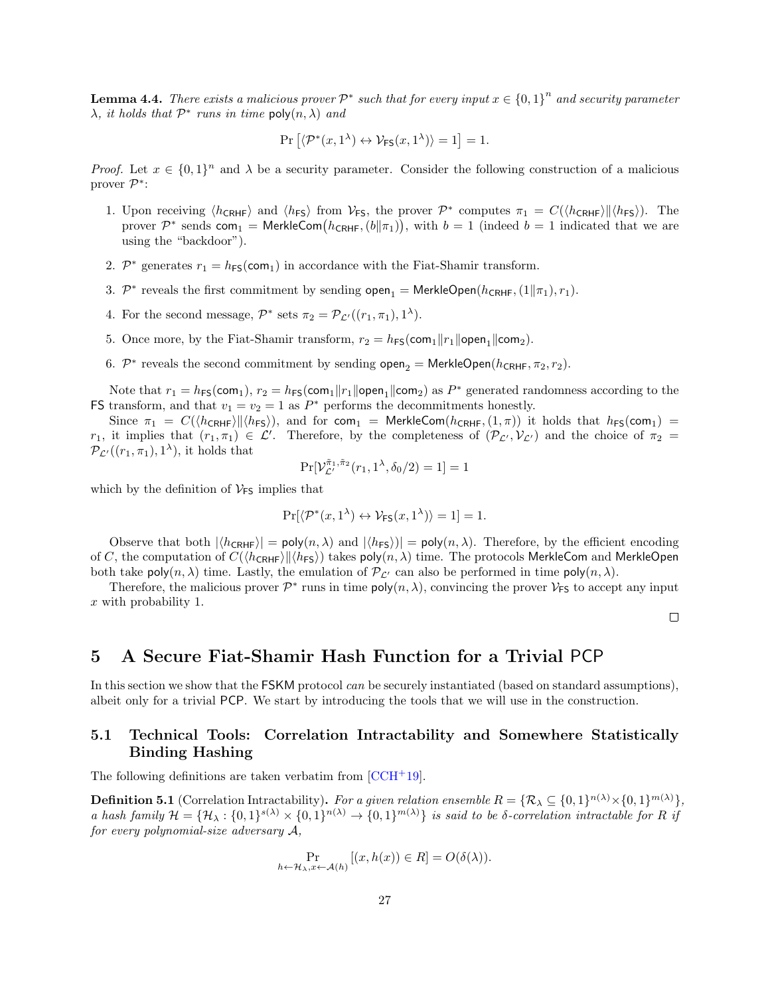**Lemma 4.4.** There exists a malicious prover  $\mathcal{P}^*$  such that for every input  $x \in \{0,1\}^n$  and security parameter  $\lambda$ , it holds that  $\mathcal{P}^*$  runs in time poly $(n, \lambda)$  and

$$
\Pr\left[\langle \mathcal{P}^*(x,1^{\lambda}) \leftrightarrow \mathcal{V}_{\mathsf{FS}}(x,1^{\lambda}) \rangle = 1\right] = 1.
$$

*Proof.* Let  $x \in \{0,1\}^n$  and  $\lambda$  be a security parameter. Consider the following construction of a malicious prover  $\mathcal{P}^*$ :

- 1. Upon receiving  $\langle h_{\text{CRHF}} \rangle$  and  $\langle h_{\text{FS}} \rangle$  from  $V_{\text{FS}}$ , the prover  $\mathcal{P}^*$  computes  $\pi_1 = C(\langle h_{\text{CRHF}} \rangle || \langle h_{\text{FS}} \rangle)$ . The prover  $\mathcal{P}^*$  sends com<sub>1</sub> = MerkleCom $(h_{\text{CRHF}}, (b||\pi_1)),$  with  $b = 1$  (indeed  $b = 1$  indicated that we are using the "backdoor").
- 2.  $\mathcal{P}^*$  generates  $r_1 = h_{FS}(\text{com}_1)$  in accordance with the Fiat-Shamir transform.
- 3.  $\mathcal{P}^*$  reveals the first commitment by sending  $\mathsf{open}_1 = \mathsf{MerkleOpen}(h_{\mathsf{CRHF}},(1\|\pi_1), r_1)$ .
- 4. For the second message,  $\mathcal{P}^*$  sets  $\pi_2 = \mathcal{P}_{\mathcal{L}'}((r_1, \pi_1), 1^{\lambda}).$
- 5. Once more, by the Fiat-Shamir transform,  $r_2 = h_{FS}(\text{com}_1 || r_1 || \text{open}_1 || \text{com}_2)$ .
- 6.  $\mathcal{P}^*$  reveals the second commitment by sending  $\mathsf{open}_2 = \mathsf{MerkleOpen}(h_{\mathsf{CRHF}}, \pi_2, r_2)$ .

Note that  $r_1 = h_{FS}(\text{com}_1), r_2 = h_{FS}(\text{com}_1 || r_1 || \text{open}_1 || \text{com}_2)$  as  $P^*$  generated randomness according to the FS transform, and that  $v_1 = v_2 = 1$  as  $P^*$  performs the decommitments honestly.

Since  $\pi_1 = C(\langle h_{\text{CRHF}} \rangle || \langle h_{\text{FS}} \rangle)$ , and for com<sub>1</sub> = MerkleCom( $h_{\text{CRHF}}(1,\pi)$ ) it holds that  $h_{\text{FS}}(\text{com}_1)$  =  $r_1$ , it implies that  $(r_1, \pi_1) \in \mathcal{L}'$ . Therefore, by the completeness of  $(\mathcal{P}_{\mathcal{L}'}, \mathcal{V}_{\mathcal{L}'})$  and the choice of  $\pi_2 =$  $\mathcal{P}_{\mathcal{L}'}((r_1,\pi_1),1^{\lambda}),$  it holds that

$$
\Pr[\mathcal{V}_{\mathcal{L}'}^{\tilde{\pi}_1, \tilde{\pi}_2}(r_1, 1^{\lambda}, \delta_0/2) = 1] = 1
$$

which by the definition of  $V_{FS}$  implies that

$$
\Pr[\langle \mathcal{P}^*(x, 1^{\lambda}) \leftrightarrow \mathcal{V}_{\mathsf{FS}}(x, 1^{\lambda}) \rangle = 1] = 1.
$$

Observe that both  $|\langle h_{\text{CRHF}} \rangle| = \text{poly}(n, \lambda)$  and  $|\langle h_{\text{FS}} \rangle| = \text{poly}(n, \lambda)$ . Therefore, by the efficient encoding of C, the computation of  $C(\langle h_{\text{CRHF}} \rangle || \langle h_{\text{FS}} \rangle)$  takes poly $(n, \lambda)$  time. The protocols MerkleCom and MerkleOpen both take  $\text{poly}(n, \lambda)$  time. Lastly, the emulation of  $\mathcal{P}_{\mathcal{L}'}$  can also be performed in time  $\text{poly}(n, \lambda)$ .

Therefore, the malicious prover  $\mathcal{P}^*$  runs in time poly $(n, \lambda)$ , convincing the prover  $\mathcal{V}_{FS}$  to accept any input x with probability 1.

 $\Box$ 

## <span id="page-26-0"></span>5 A Secure Fiat-Shamir Hash Function for a Trivial PCP

In this section we show that the FSKM protocol *can* be securely instantiated (based on standard assumptions), albeit only for a trivial PCP. We start by introducing the tools that we will use in the construction.

## <span id="page-26-1"></span>5.1 Technical Tools: Correlation Intractability and Somewhere Statistically Binding Hashing

The following definitions are taken verbatim from  $[CCH<sup>+</sup>19]$  $[CCH<sup>+</sup>19]$ .

**Definition 5.1** (Correlation Intractability). For a given relation ensemble  $R = \{ \mathcal{R}_\lambda \subseteq \{0,1\}^{n(\lambda)} \times \{0,1\}^{m(\lambda)} \}$ , a hash family  $\mathcal{H} = {\mathcal{H}_{\lambda}: \{0,1\}^{s(\lambda)} \times \{0,1\}^{n(\lambda)} \rightarrow \{0,1\}^{m(\lambda)}\}$  is said to be  $\delta$ -correlation intractable for R if for every polynomial-size adversary A,

$$
\Pr_{h \leftarrow \mathcal{H}_{\lambda}, x \leftarrow \mathcal{A}(h)} [(x, h(x)) \in R] = O(\delta(\lambda)).
$$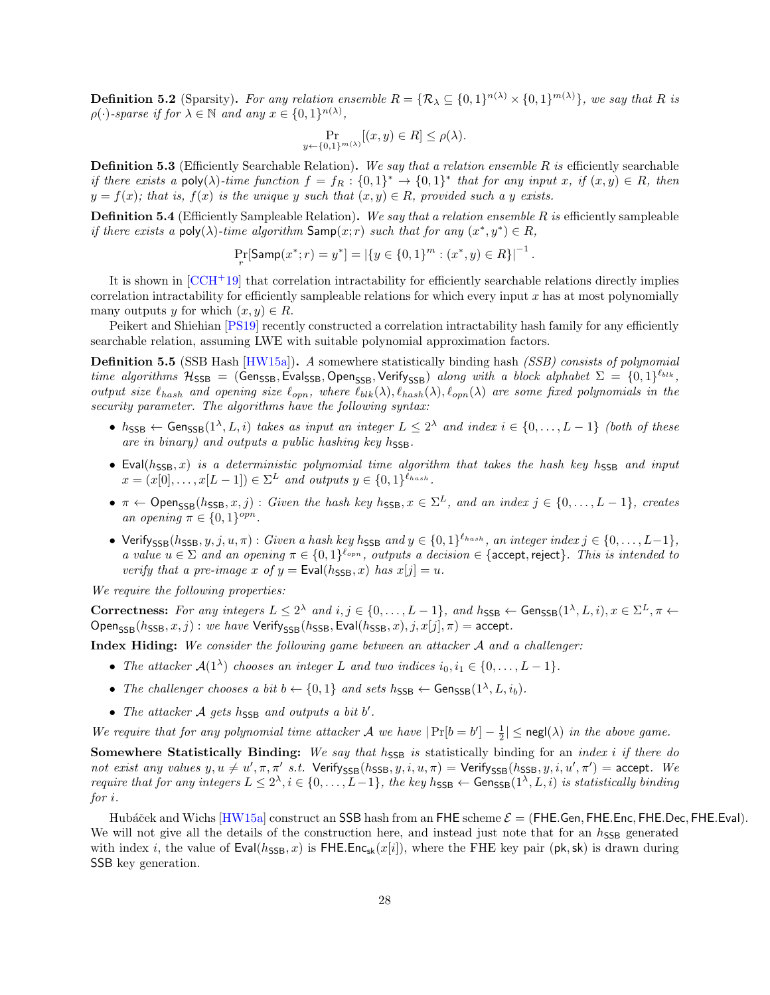**Definition 5.2** (Sparsity). For any relation ensemble  $R = \{R_{\lambda} \subseteq \{0,1\}^{n(\lambda)} \times \{0,1\}^{m(\lambda)}\}$ , we say that R is  $\rho(\cdot)$ -sparse if for  $\lambda \in \mathbb{N}$  and any  $x \in \{0,1\}^{n(\lambda)}$ ,

$$
\Pr_{y \leftarrow \{0,1\}^{m(\lambda)}}[(x,y) \in R] \le \rho(\lambda).
$$

**Definition 5.3** (Efficiently Searchable Relation). We say that a relation ensemble R is efficiently searchable if there exists a poly( $\lambda$ )-time function  $f = f_R : \{0,1\}^* \to \{0,1\}^*$  that for any input x, if  $(x, y) \in R$ , then  $y = f(x)$ ; that is,  $f(x)$  is the unique y such that  $(x, y) \in R$ , provided such a y exists.

**Definition 5.4** (Efficiently Sampleable Relation). We say that a relation ensemble R is efficiently sampleable if there exists a poly( $\lambda$ )-time algorithm Samp $(x; r)$  such that for any  $(x^*, y^*) \in R$ ,

$$
\Pr_r[\mathsf{Samp}(x^*; r) = y^*] = |\{y \in \{0, 1\}^m : (x^*, y) \in R\}|^{-1}.
$$

It is shown in [\[CCH](#page-30-7)+19] that correlation intractability for efficiently searchable relations directly implies correlation intractability for efficiently sampleable relations for which every input  $x$  has at most polynomially many outputs y for which  $(x, y) \in R$ .

Peikert and Shiehian [\[PS19\]](#page-32-7) recently constructed a correlation intractability hash family for any efficiently searchable relation, assuming LWE with suitable polynomial approximation factors.

**Definition 5.5** (SSB Hash [\[HW15a\]](#page-31-10)). A somewhere statistically binding hash *(SSB) consists of polynomial* time algorithms  $H_{\text{SSB}} = (\text{Gen}_{\text{SSB}}, \text{Eval}_{\text{SSB}}, \text{Open}_{\text{SSB}}, \text{Verify}_{\text{SSB}})$  along with a block alphabet  $\Sigma = \{0, 1\}^{\ell_{blk}},$ output size  $\ell_{hash}$  and opening size  $\ell_{opn}$ , where  $\ell_{blk}(\lambda), \ell_{hash}(\lambda), \ell_{opn}(\lambda)$  are some fixed polynomials in the security parameter. The algorithms have the following syntax:

- $h_{\text{SSB}} \leftarrow \text{Gen}_{\text{SSB}}(1^{\lambda}, L, i)$  takes as input an integer  $L \leq 2^{\lambda}$  and index  $i \in \{0, \ldots, L-1\}$  (both of these are in binary) and outputs a public hashing key  $h_{\text{SSB}}$ .
- Eval( $h_{\text{SSB}}(x)$  is a deterministic polynomial time algorithm that takes the hash key hssn and input  $x = (x[0], \ldots, x[L-1]) \in \Sigma^L$  and outputs  $y \in \{0,1\}^{\ell_{hash}}$ .
- $\pi \leftarrow \text{Open}_{\text{SSB}}(h_{\text{SSB}}, x, j)$ : Given the hash key  $h_{\text{SSB}}$ ,  $x \in \Sigma^L$ , and an index  $j \in \{0, \ldots, L-1\}$ , creates an opening  $\pi \in \{0,1\}^{opn}$ .
- Verify<sub>SSB</sub> $(h_{\text{SSB}}, y, j, u, \pi)$ : Given a hash key h<sub>SSB</sub> and  $y \in \{0, 1\}^{\ell_{hash}}$ , an integer index  $j \in \{0, ..., L-1\}$ , a value  $u \in \Sigma$  and an opening  $\pi \in \{0,1\}^{\ell_{opn}}$ , outputs a decision  $\in$  {accept, reject}. This is intended to verify that a pre-image x of  $y = \text{Eval}(h_{\text{SSB}}, x)$  has  $x[j] = u$ .

We require the following properties:

Correctness: For any integers  $L \leq 2^{\lambda}$  and  $i, j \in \{0, ..., L-1\}$ , and  $h_{\text{SSB}} \leftarrow \text{Gen}_{\text{SSB}}(1^{\lambda}, L, i), x \in \Sigma^{L}, \pi \leftarrow \Sigma^{L}$  $Open_{SSB}(h_{SSB}, x, j)$ : we have Verify<sub>SSB</sub>(h<sub>SSB</sub>, Eval(h<sub>SSB</sub>, x), j, x[j],  $\pi$ ) = accept.

**Index Hiding:** We consider the following game between an attacker  $A$  and a challenger:

- The attacker  $\mathcal{A}(1^{\lambda})$  chooses an integer L and two indices  $i_0, i_1 \in \{0, \ldots, L-1\}$ .
- The challenger chooses a bit  $b \leftarrow \{0, 1\}$  and sets  $h_{\text{SSB}} \leftarrow \text{Gen}_{\text{SSB}}(1^{\lambda}, L, i_b)$ .
- The attacker  $A$  gets  $h_{\text{SSB}}$  and outputs a bit  $b'$ .

We require that for any polynomial time attacker A we have  $|\Pr[b = b'] - \frac{1}{2}| \leq \mathsf{negl}(\lambda)$  in the above game.

Somewhere Statistically Binding: We say that  $h_{\text{SSB}}$  is statistically binding for an index i if there do not exist any values  $y, u \neq u', \pi, \pi'$  s.t. Verify<sub>SSB</sub>( $h_{\text{SSB}}, y, i, u, \pi$ ) = Verify<sub>SSB</sub>( $h_{\text{SSB}}, y, i, u', \pi'$ ) = accept. We require that for any integers  $L \leq 2^{\lambda}, i \in \{0, \ldots, L-1\}$ , the key  $h_{\text{SSB}} \leftarrow \text{Gen}_{\text{SSB}}(1^{\lambda}, L, i)$  is statistically binding for i.

Hubáček and Wichs [\[HW15a\]](#page-31-10) construct an SSB hash from an FHE scheme  $\mathcal{E} = (FHE.$ Gen, FHE.Enc, FHE.Dec, FHE.Eval). We will not give all the details of the construction here, and instead just note that for an  $h_{\text{SSB}}$  generated with index i, the value of  $Eval(h_{SSB}, x)$  is FHE.Enc<sub>sk</sub> $(x[i])$ , where the FHE key pair (pk, sk) is drawn during SSB key generation.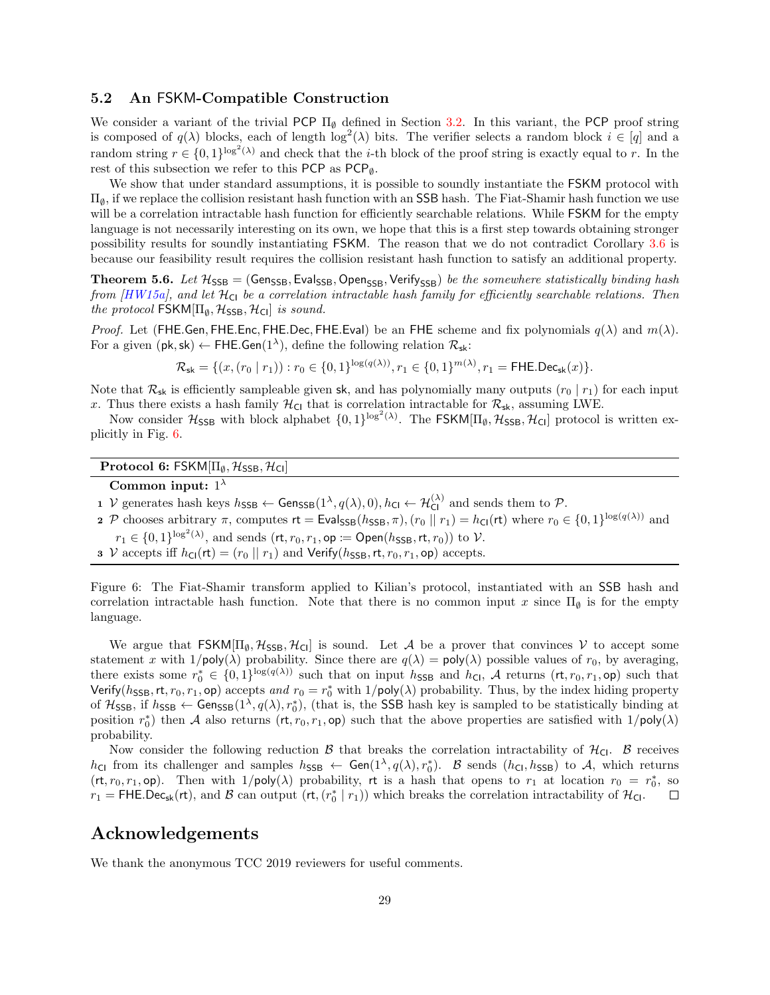## <span id="page-28-0"></span>5.2 An FSKM-Compatible Construction

We consider a variant of the trivial PCP  $\Pi_{\emptyset}$  defined in Section [3.2.](#page-14-0) In this variant, the PCP proof string is composed of  $q(\lambda)$  blocks, each of length  $\log^2(\lambda)$  bits. The verifier selects a random block  $i \in [q]$  and a random string  $r \in \{0,1\}^{\log^2(\lambda)}$  and check that the *i*-th block of the proof string is exactly equal to r. In the rest of this subsection we refer to this PCP as  $PCP_{\emptyset}$ .

We show that under standard assumptions, it is possible to soundly instantiate the FSKM protocol with  $\Pi_{\emptyset}$ , if we replace the collision resistant hash function with an SSB hash. The Fiat-Shamir hash function we use will be a correlation intractable hash function for efficiently searchable relations. While FSKM for the empty language is not necessarily interesting on its own, we hope that this is a first step towards obtaining stronger possibility results for soundly instantiating FSKM. The reason that we do not contradict Corollary [3.6](#page-15-3) is because our feasibility result requires the collision resistant hash function to satisfy an additional property.

**Theorem 5.6.** Let  $H_{SSB} = (Gens_{SSB}, Evaluating, Open_{SSB}, Verify_{SSB})$  be the somewhere statistically binding hash from  $[HW15a]$ , and let  $\mathcal{H}_{\text{Cl}}$  be a correlation intractable hash family for efficiently searchable relations. Then the protocol  $\mathsf{FSKM}[\Pi_\emptyset,\mathcal{H}_{\mathsf{SSB}},\mathcal{H}_{\mathsf{Cl}}]$  is sound.

*Proof.* Let (FHE.Gen, FHE.Enc, FHE.Dec, FHE.Eval) be an FHE scheme and fix polynomials  $q(\lambda)$  and  $m(\lambda)$ . For a given  $(\mathsf{pk}, \mathsf{sk}) \leftarrow \mathsf{FHE}.\mathsf{Gen}(1^{\lambda}),$  define the following relation  $\mathcal{R}_{\mathsf{sk}}$ :

$$
\mathcal{R}_{\mathsf{sk}} = \{ (x, (r_0 \mid r_1)) : r_0 \in \{0, 1\}^{\log(q(\lambda))}, r_1 \in \{0, 1\}^{m(\lambda)}, r_1 = \mathsf{FHE}.\mathsf{Dec}_{\mathsf{sk}}(x) \}.
$$

Note that  $\mathcal{R}_{\mathsf{sk}}$  is efficiently sampleable given sk, and has polynomially many outputs  $(r_0 | r_1)$  for each input x. Thus there exists a hash family  $\mathcal{H}_{\text{Cl}}$  that is correlation intractable for  $\mathcal{R}_{\text{sk}}$ , assuming LWE.

Now consider  $H_{\text{SSB}}$  with block alphabet  $\{0,1\}^{\log^2(\lambda)}$ . The FSKM[ $\Pi_{\emptyset}$ ,  $H_{\text{SSB}}$ ,  $H_{\text{Cl}}$ ] protocol is written explicitly in Fig. [6.](#page-28-1)

## Protocol 6: FSKM $[\Pi_{\emptyset}, \mathcal{H}_{\text{SSB}}, \mathcal{H}_{\text{CI}}]$

## Common input:  $1^{\lambda}$

1 V generates hash keys  $h_{\text{SSB}} \leftarrow \text{Gen}_{\text{SSB}}(1^{\lambda}, q(\lambda), 0), h_{\text{Cl}} \leftarrow \mathcal{H}_{\text{Cl}}^{(\lambda)}$  and sends them to  $\mathcal{P}$ .

- **2** P chooses arbitrary  $\pi$ , computes  $\mathsf{rt} = \mathsf{Eval}_{\mathsf{SSB}}(h_{\mathsf{SSB}}, \pi)$ ,  $(r_0 \parallel r_1) = h_{\mathsf{CI}}(\mathsf{rt})$  where  $r_0 \in \{0, 1\}^{\log(q(\lambda))}$  and
- $r_1 \in \{0,1\}^{\log^2(\lambda)},$  and sends  $(\mathsf{rt}, r_0, r_1, \mathsf{op} \coloneqq \mathsf{Open}(h_{\mathsf{SSB}}, \mathsf{rt}, r_0))$  to  $\mathcal V.$
- 3 V accepts iff  $h_{\text{Cl}}(\text{rt}) = (r_0 \parallel r_1)$  and Verify( $h_{\text{SSB}}$ , rt,  $r_0$ ,  $r_1$ , op) accepts.

<span id="page-28-1"></span>Figure 6: The Fiat-Shamir transform applied to Kilian's protocol, instantiated with an SSB hash and correlation intractable hash function. Note that there is no common input x since  $\Pi_{\emptyset}$  is for the empty language.

We argue that  $FSKM[\Pi_\emptyset, \mathcal{H}_{SSB}, \mathcal{H}_{Cl}]$  is sound. Let A be a prover that convinces V to accept some statement x with  $1/poly(\lambda)$  probability. Since there are  $q(\lambda) = poly(\lambda)$  possible values of  $r_0$ , by averaging, there exists some  $r_0^* \in \{0,1\}^{\log(q(\lambda))}$  such that on input  $h_{\text{SSB}}$  and  $h_{\text{Cl}}$ , A returns  $(\text{rt}, r_0, r_1, \text{op})$  such that Verify( $h_{\text{SSB}}$ , rt,  $r_0$ ,  $r_1$ , op) accepts and  $r_0 = r_0^*$  with  $1/\text{poly}(\lambda)$  probability. Thus, by the index hiding property of  $H_{\text{SSB}}$ , if  $h_{\text{SSB}} \leftarrow \text{Gen}_{\text{SSB}}(1^{\lambda}, q(\lambda), r_0^*)$ , (that is, the SSB hash key is sampled to be statistically binding at position  $r_0^*$  then A also returns  $(\mathsf{rt}, r_0, r_1, \mathsf{op})$  such that the above properties are satisfied with  $1/\mathsf{poly}(\lambda)$ probability.

Now consider the following reduction  $\beta$  that breaks the correlation intractability of  $\mathcal{H}_{\text{Cl}}$ .  $\beta$  receives  $h_{\text{Cl}}$  from its challenger and samples  $h_{\text{SSB}} \leftarrow \text{Gen}(1^{\lambda}, q(\lambda), r_0^*)$ . B sends  $(h_{\text{Cl}}, h_{\text{SSB}})$  to A, which returns  $(\mathsf{rt}, r_0, r_1, \mathsf{op})$ . Then with  $1/\mathsf{poly}(\lambda)$  probability,  $\mathsf{rt}$  is a hash that opens to  $r_1$  at location  $r_0 = r_0^*$ , so  $r_1 =$  FHE.Dec<sub>sk</sub>(rt), and B can output (rt,  $(r_0^* | r_1)$ ) which breaks the correlation intractability of  $\mathcal{H}_{\text{Cl}}$ .

## Acknowledgements

We thank the anonymous TCC 2019 reviewers for useful comments.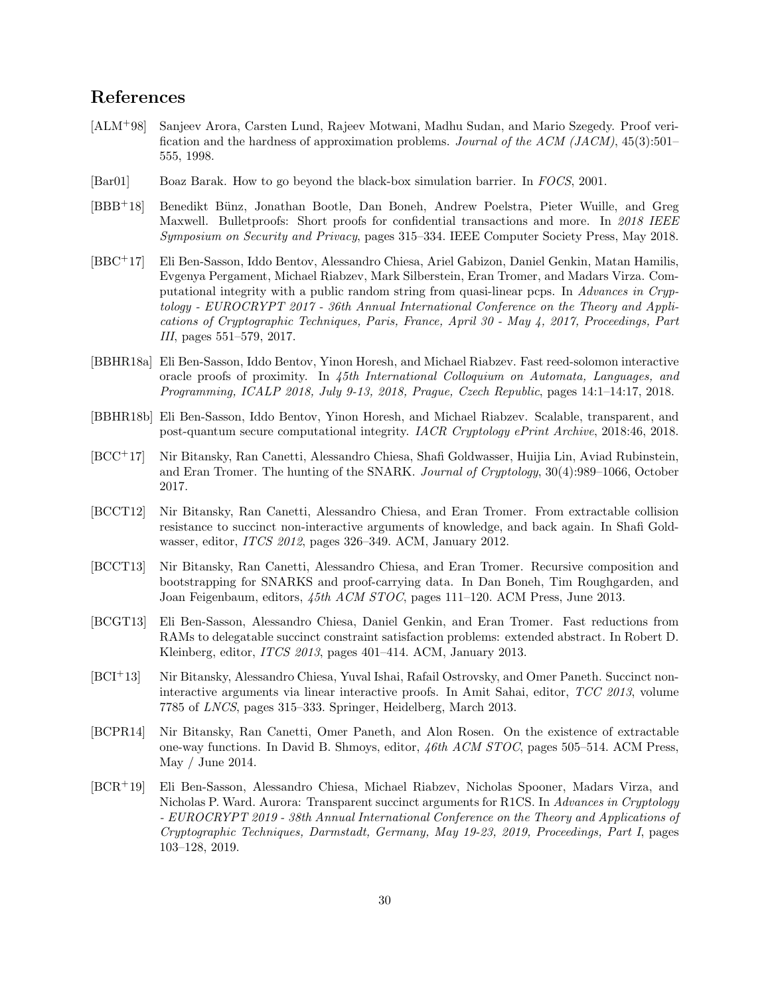## References

- <span id="page-29-6"></span>[ALM+98] Sanjeev Arora, Carsten Lund, Rajeev Motwani, Madhu Sudan, and Mario Szegedy. Proof verification and the hardness of approximation problems. Journal of the ACM (JACM), 45(3):501– 555, 1998.
- <span id="page-29-0"></span>[Bar01] Boaz Barak. How to go beyond the black-box simulation barrier. In FOCS, 2001.
- <span id="page-29-1"></span>[BBB<sup>+</sup>18] Benedikt Bünz, Jonathan Bootle, Dan Boneh, Andrew Poelstra, Pieter Wuille, and Greg Maxwell. Bulletproofs: Short proofs for confidential transactions and more. In 2018 IEEE Symposium on Security and Privacy, pages 315–334. IEEE Computer Society Press, May 2018.
- <span id="page-29-2"></span>[BBC+17] Eli Ben-Sasson, Iddo Bentov, Alessandro Chiesa, Ariel Gabizon, Daniel Genkin, Matan Hamilis, Evgenya Pergament, Michael Riabzev, Mark Silberstein, Eran Tromer, and Madars Virza. Computational integrity with a public random string from quasi-linear pcps. In Advances in Cryptology - EUROCRYPT 2017 - 36th Annual International Conference on the Theory and Applications of Cryptographic Techniques, Paris, France, April 30 - May 4, 2017, Proceedings, Part III, pages 551–579, 2017.
- <span id="page-29-3"></span>[BBHR18a] Eli Ben-Sasson, Iddo Bentov, Yinon Horesh, and Michael Riabzev. Fast reed-solomon interactive oracle proofs of proximity. In 45th International Colloquium on Automata, Languages, and Programming, ICALP 2018, July 9-13, 2018, Prague, Czech Republic, pages 14:1–14:17, 2018.
- <span id="page-29-4"></span>[BBHR18b] Eli Ben-Sasson, Iddo Bentov, Yinon Horesh, and Michael Riabzev. Scalable, transparent, and post-quantum secure computational integrity. IACR Cryptology ePrint Archive, 2018:46, 2018.
- <span id="page-29-10"></span>[BCC+17] Nir Bitansky, Ran Canetti, Alessandro Chiesa, Shafi Goldwasser, Huijia Lin, Aviad Rubinstein, and Eran Tromer. The hunting of the SNARK. Journal of Cryptology, 30(4):989–1066, October 2017.
- <span id="page-29-11"></span>[BCCT12] Nir Bitansky, Ran Canetti, Alessandro Chiesa, and Eran Tromer. From extractable collision resistance to succinct non-interactive arguments of knowledge, and back again. In Shafi Goldwasser, editor, ITCS 2012, pages 326–349. ACM, January 2012.
- <span id="page-29-8"></span>[BCCT13] Nir Bitansky, Ran Canetti, Alessandro Chiesa, and Eran Tromer. Recursive composition and bootstrapping for SNARKS and proof-carrying data. In Dan Boneh, Tim Roughgarden, and Joan Feigenbaum, editors, 45th ACM STOC, pages 111–120. ACM Press, June 2013.
- <span id="page-29-12"></span>[BCGT13] Eli Ben-Sasson, Alessandro Chiesa, Daniel Genkin, and Eran Tromer. Fast reductions from RAMs to delegatable succinct constraint satisfaction problems: extended abstract. In Robert D. Kleinberg, editor, ITCS 2013, pages 401–414. ACM, January 2013.
- <span id="page-29-7"></span>[BCI<sup>+</sup>13] Nir Bitansky, Alessandro Chiesa, Yuval Ishai, Rafail Ostrovsky, and Omer Paneth. Succinct noninteractive arguments via linear interactive proofs. In Amit Sahai, editor, TCC 2013, volume 7785 of LNCS, pages 315–333. Springer, Heidelberg, March 2013.
- <span id="page-29-9"></span>[BCPR14] Nir Bitansky, Ran Canetti, Omer Paneth, and Alon Rosen. On the existence of extractable one-way functions. In David B. Shmoys, editor, 46th ACM STOC, pages 505–514. ACM Press, May / June 2014.
- <span id="page-29-5"></span>[BCR<sup>+</sup>19] Eli Ben-Sasson, Alessandro Chiesa, Michael Riabzev, Nicholas Spooner, Madars Virza, and Nicholas P. Ward. Aurora: Transparent succinct arguments for R1CS. In Advances in Cryptology - EUROCRYPT 2019 - 38th Annual International Conference on the Theory and Applications of Cryptographic Techniques, Darmstadt, Germany, May 19-23, 2019, Proceedings, Part I, pages 103–128, 2019.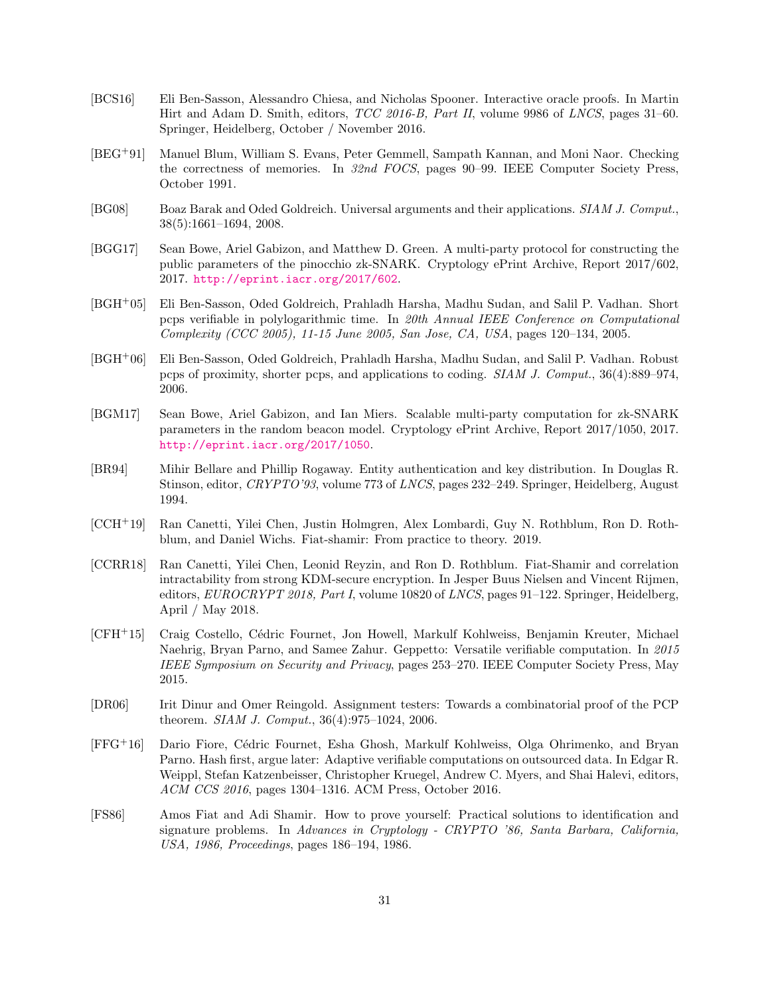- <span id="page-30-3"></span>[BCS16] Eli Ben-Sasson, Alessandro Chiesa, and Nicholas Spooner. Interactive oracle proofs. In Martin Hirt and Adam D. Smith, editors, TCC 2016-B, Part II, volume 9986 of LNCS, pages 31–60. Springer, Heidelberg, October / November 2016.
- <span id="page-30-13"></span>[BEG+91] Manuel Blum, William S. Evans, Peter Gemmell, Sampath Kannan, and Moni Naor. Checking the correctness of memories. In 32nd FOCS, pages 90–99. IEEE Computer Society Press, October 1991.
- <span id="page-30-12"></span>[BG08] Boaz Barak and Oded Goldreich. Universal arguments and their applications. SIAM J. Comput., 38(5):1661–1694, 2008.
- <span id="page-30-1"></span>[BGG17] Sean Bowe, Ariel Gabizon, and Matthew D. Green. A multi-party protocol for constructing the public parameters of the pinocchio zk-SNARK. Cryptology ePrint Archive, Report 2017/602, 2017. <http://eprint.iacr.org/2017/602>.
- <span id="page-30-10"></span>[BGH+05] Eli Ben-Sasson, Oded Goldreich, Prahladh Harsha, Madhu Sudan, and Salil P. Vadhan. Short pcps verifiable in polylogarithmic time. In 20th Annual IEEE Conference on Computational Complexity (CCC 2005), 11-15 June 2005, San Jose, CA, USA, pages 120–134, 2005.
- <span id="page-30-8"></span>[BGH+06] Eli Ben-Sasson, Oded Goldreich, Prahladh Harsha, Madhu Sudan, and Salil P. Vadhan. Robust pcps of proximity, shorter pcps, and applications to coding. SIAM J. Comput., 36(4):889–974, 2006.
- <span id="page-30-2"></span>[BGM17] Sean Bowe, Ariel Gabizon, and Ian Miers. Scalable multi-party computation for zk-SNARK parameters in the random beacon model. Cryptology ePrint Archive, Report 2017/1050, 2017. <http://eprint.iacr.org/2017/1050>.
- <span id="page-30-0"></span>[BR94] Mihir Bellare and Phillip Rogaway. Entity authentication and key distribution. In Douglas R. Stinson, editor, CRYPTO'93, volume 773 of LNCS, pages 232–249. Springer, Heidelberg, August 1994.
- <span id="page-30-7"></span>[CCH+19] Ran Canetti, Yilei Chen, Justin Holmgren, Alex Lombardi, Guy N. Rothblum, Ron D. Rothblum, and Daniel Wichs. Fiat-shamir: From practice to theory. 2019.
- <span id="page-30-6"></span>[CCRR18] Ran Canetti, Yilei Chen, Leonid Reyzin, and Ron D. Rothblum. Fiat-Shamir and correlation intractability from strong KDM-secure encryption. In Jesper Buus Nielsen and Vincent Rijmen, editors, *EUROCRYPT 2018*, *Part I*, volume 10820 of *LNCS*, pages 91–122. Springer, Heidelberg, April / May 2018.
- <span id="page-30-4"></span>[CFH<sup>+</sup>15] Craig Costello, Cédric Fournet, Jon Howell, Markulf Kohlweiss, Benjamin Kreuter, Michael Naehrig, Bryan Parno, and Samee Zahur. Geppetto: Versatile verifiable computation. In 2015 IEEE Symposium on Security and Privacy, pages 253–270. IEEE Computer Society Press, May 2015.
- <span id="page-30-9"></span>[DR06] Irit Dinur and Omer Reingold. Assignment testers: Towards a combinatorial proof of the PCP theorem. SIAM J. Comput., 36(4):975–1024, 2006.
- <span id="page-30-5"></span>[FFG<sup>+</sup>16] Dario Fiore, C´edric Fournet, Esha Ghosh, Markulf Kohlweiss, Olga Ohrimenko, and Bryan Parno. Hash first, argue later: Adaptive verifiable computations on outsourced data. In Edgar R. Weippl, Stefan Katzenbeisser, Christopher Kruegel, Andrew C. Myers, and Shai Halevi, editors, ACM CCS 2016, pages 1304–1316. ACM Press, October 2016.
- <span id="page-30-11"></span>[FS86] Amos Fiat and Adi Shamir. How to prove yourself: Practical solutions to identification and signature problems. In Advances in Cryptology - CRYPTO '86, Santa Barbara, California, USA, 1986, Proceedings, pages 186–194, 1986.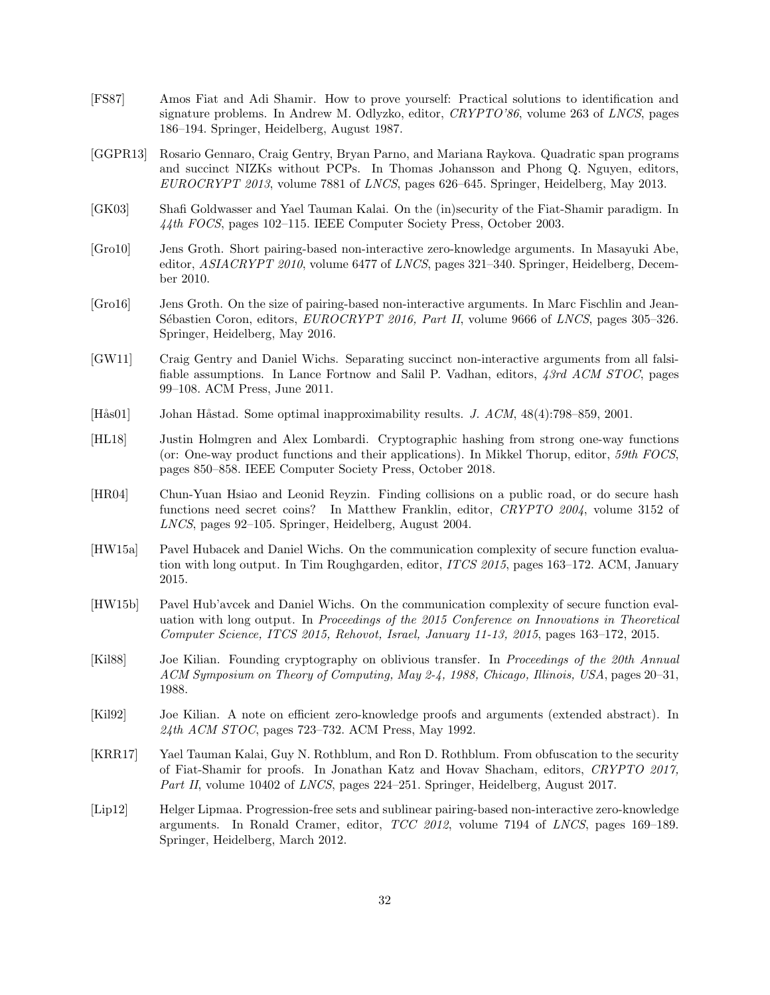- <span id="page-31-0"></span>[FS87] Amos Fiat and Adi Shamir. How to prove yourself: Practical solutions to identification and signature problems. In Andrew M. Odlyzko, editor, CRYPTO'86, volume 263 of LNCS, pages 186–194. Springer, Heidelberg, August 1987.
- <span id="page-31-14"></span>[GGPR13] Rosario Gennaro, Craig Gentry, Bryan Parno, and Mariana Raykova. Quadratic span programs and succinct NIZKs without PCPs. In Thomas Johansson and Phong Q. Nguyen, editors, EUROCRYPT 2013, volume 7881 of LNCS, pages 626–645. Springer, Heidelberg, May 2013.
- <span id="page-31-1"></span>[GK03] Shafi Goldwasser and Yael Tauman Kalai. On the (in)security of the Fiat-Shamir paradigm. In 44th FOCS, pages 102–115. IEEE Computer Society Press, October 2003.
- <span id="page-31-12"></span>[Gro10] Jens Groth. Short pairing-based non-interactive zero-knowledge arguments. In Masayuki Abe, editor, ASIACRYPT 2010, volume 6477 of LNCS, pages 321–340. Springer, Heidelberg, December 2010.
- <span id="page-31-4"></span>[Gro16] Jens Groth. On the size of pairing-based non-interactive arguments. In Marc Fischlin and Jean-Sébastien Coron, editors, EUROCRYPT 2016, Part II, volume 9666 of LNCS, pages 305–326. Springer, Heidelberg, May 2016.
- <span id="page-31-5"></span>[GW11] Craig Gentry and Daniel Wichs. Separating succinct non-interactive arguments from all falsifiable assumptions. In Lance Fortnow and Salil P. Vadhan, editors, 43rd ACM STOC, pages 99–108. ACM Press, June 2011.
- <span id="page-31-9"></span>[Hås01] Johan Håstad. Some optimal inapproximability results. *J. ACM*, 48(4):798–859, 2001.
- <span id="page-31-7"></span>[HL18] Justin Holmgren and Alex Lombardi. Cryptographic hashing from strong one-way functions (or: One-way product functions and their applications). In Mikkel Thorup, editor, 59th FOCS, pages 850–858. IEEE Computer Society Press, October 2018.
- <span id="page-31-8"></span>[HR04] Chun-Yuan Hsiao and Leonid Reyzin. Finding collisions on a public road, or do secure hash functions need secret coins? In Matthew Franklin, editor, CRYPTO 2004, volume 3152 of LNCS, pages 92–105. Springer, Heidelberg, August 2004.
- <span id="page-31-10"></span>[HW15a] Pavel Hubacek and Daniel Wichs. On the communication complexity of secure function evaluation with long output. In Tim Roughgarden, editor, ITCS 2015, pages 163–172. ACM, January 2015.
- <span id="page-31-3"></span>[HW15b] Pavel Hub'avcek and Daniel Wichs. On the communication complexity of secure function evaluation with long output. In Proceedings of the 2015 Conference on Innovations in Theoretical Computer Science, ITCS 2015, Rehovot, Israel, January 11-13, 2015, pages 163–172, 2015.
- <span id="page-31-11"></span>[Kil88] Joe Kilian. Founding cryptography on oblivious transfer. In Proceedings of the 20th Annual ACM Symposium on Theory of Computing, May 2-4, 1988, Chicago, Illinois, USA, pages 20–31, 1988.
- <span id="page-31-2"></span>[Kil92] Joe Kilian. A note on efficient zero-knowledge proofs and arguments (extended abstract). In  $24th$  ACM STOC, pages 723–732. ACM Press, May 1992.
- <span id="page-31-6"></span>[KRR17] Yael Tauman Kalai, Guy N. Rothblum, and Ron D. Rothblum. From obfuscation to the security of Fiat-Shamir for proofs. In Jonathan Katz and Hovav Shacham, editors, CRYPTO 2017, Part II, volume 10402 of *LNCS*, pages 224–251. Springer, Heidelberg, August 2017.
- <span id="page-31-13"></span>[Lip12] Helger Lipmaa. Progression-free sets and sublinear pairing-based non-interactive zero-knowledge arguments. In Ronald Cramer, editor, TCC 2012, volume 7194 of LNCS, pages 169–189. Springer, Heidelberg, March 2012.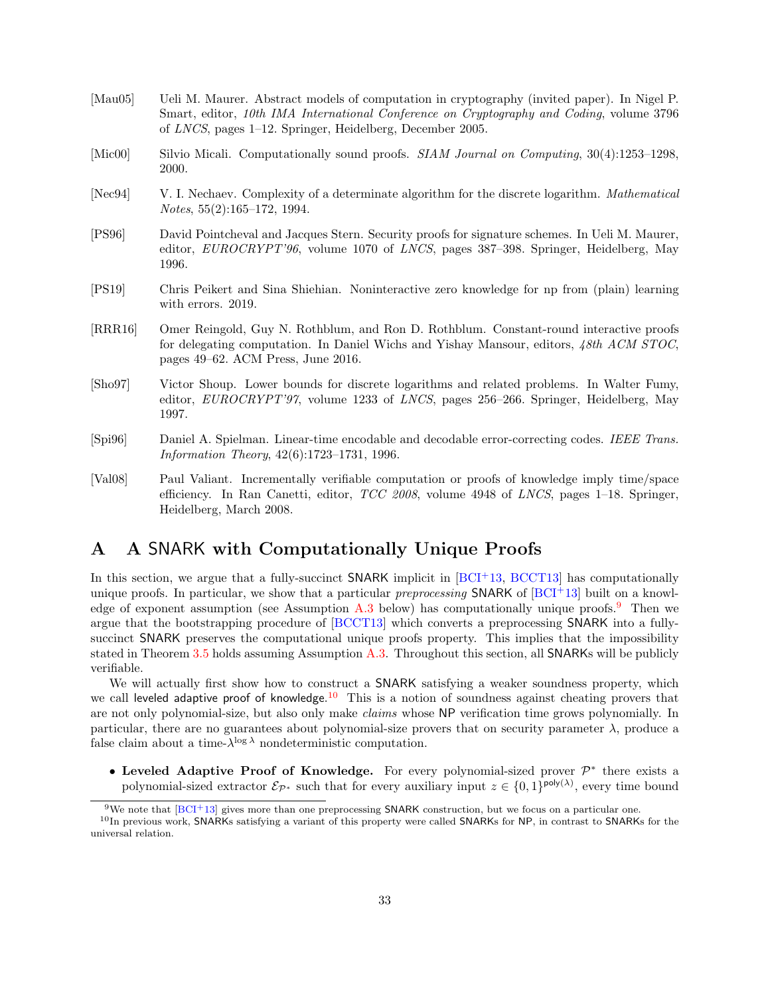- <span id="page-32-6"></span>[Mau05] Ueli M. Maurer. Abstract models of computation in cryptography (invited paper). In Nigel P. Smart, editor, 10th IMA International Conference on Cryptography and Coding, volume 3796 of LNCS, pages 1–12. Springer, Heidelberg, December 2005.
- <span id="page-32-2"></span>[Mic00] Silvio Micali. Computationally sound proofs. SIAM Journal on Computing, 30(4):1253–1298, 2000.
- <span id="page-32-4"></span>[Nec94] V. I. Nechaev. Complexity of a determinate algorithm for the discrete logarithm. *Mathematical* Notes, 55(2):165–172, 1994.
- <span id="page-32-1"></span>[PS96] David Pointcheval and Jacques Stern. Security proofs for signature schemes. In Ueli M. Maurer, editor, EUROCRYPT'96, volume 1070 of LNCS, pages 387–398. Springer, Heidelberg, May 1996.
- <span id="page-32-7"></span>[PS19] Chris Peikert and Sina Shiehian. Noninteractive zero knowledge for np from (plain) learning with errors. 2019.
- <span id="page-32-3"></span>[RRR16] Omer Reingold, Guy N. Rothblum, and Ron D. Rothblum. Constant-round interactive proofs for delegating computation. In Daniel Wichs and Yishay Mansour, editors, 48th ACM STOC, pages 49–62. ACM Press, June 2016.
- <span id="page-32-5"></span>[Sho97] Victor Shoup. Lower bounds for discrete logarithms and related problems. In Walter Fumy, editor, EUROCRYPT'97, volume 1233 of LNCS, pages 256–266. Springer, Heidelberg, May 1997.
- <span id="page-32-11"></span>[Spi96] Daniel A. Spielman. Linear-time encodable and decodable error-correcting codes. IEEE Trans. Information Theory, 42(6):1723–1731, 1996.
- <span id="page-32-10"></span>[Val08] Paul Valiant. Incrementally verifiable computation or proofs of knowledge imply time/space efficiency. In Ran Canetti, editor,  $TCC$  2008, volume 4948 of LNCS, pages 1–18. Springer, Heidelberg, March 2008.

## <span id="page-32-0"></span>A A SNARK with Computationally Unique Proofs

In this section, we argue that a fully-succinct  $SNARK$  implicit in  $[BCI<sup>+</sup>13, BCCT13]$  $[BCI<sup>+</sup>13, BCCT13]$  $[BCI<sup>+</sup>13, BCCT13]$  has computationally unique proofs. In particular, we show that a particular preprocessing SNARK of  $[BCI<sup>+</sup>13]$  $[BCI<sup>+</sup>13]$  built on a knowledge of exponent assumption (see Assumption [A.3](#page-34-1) below) has computationally unique proofs.[9](#page-32-8) Then we argue that the bootstrapping procedure of [\[BCCT13\]](#page-29-8) which converts a preprocessing SNARK into a fullysuccinct SNARK preserves the computational unique proofs property. This implies that the impossibility stated in Theorem [3.5](#page-15-0) holds assuming Assumption [A.3.](#page-34-1) Throughout this section, all SNARKs will be publicly verifiable.

We will actually first show how to construct a SNARK satisfying a weaker soundness property, which we call leveled adaptive proof of knowledge.<sup>[10](#page-32-9)</sup> This is a notion of soundness against cheating provers that are not only polynomial-size, but also only make claims whose NP verification time grows polynomially. In particular, there are no guarantees about polynomial-size provers that on security parameter  $\lambda$ , produce a false claim about a time- $\lambda^{\log \lambda}$  nondeterministic computation.

• Leveled Adaptive Proof of Knowledge. For every polynomial-sized prover  $\mathcal{P}^*$  there exists a polynomial-sized extractor  $\mathcal{E}_{\mathcal{P}^*}$  such that for every auxiliary input  $z \in \{0,1\}^{\text{poly}(\lambda)}$ , every time bound

<span id="page-32-9"></span><span id="page-32-8"></span><sup>&</sup>lt;sup>9</sup>We note that  $[BCI+13]$  $[BCI+13]$  gives more than one preprocessing SNARK construction, but we focus on a particular one.

 $10$ In previous work, SNARKs satisfying a variant of this property were called SNARKs for NP, in contrast to SNARKs for the universal relation.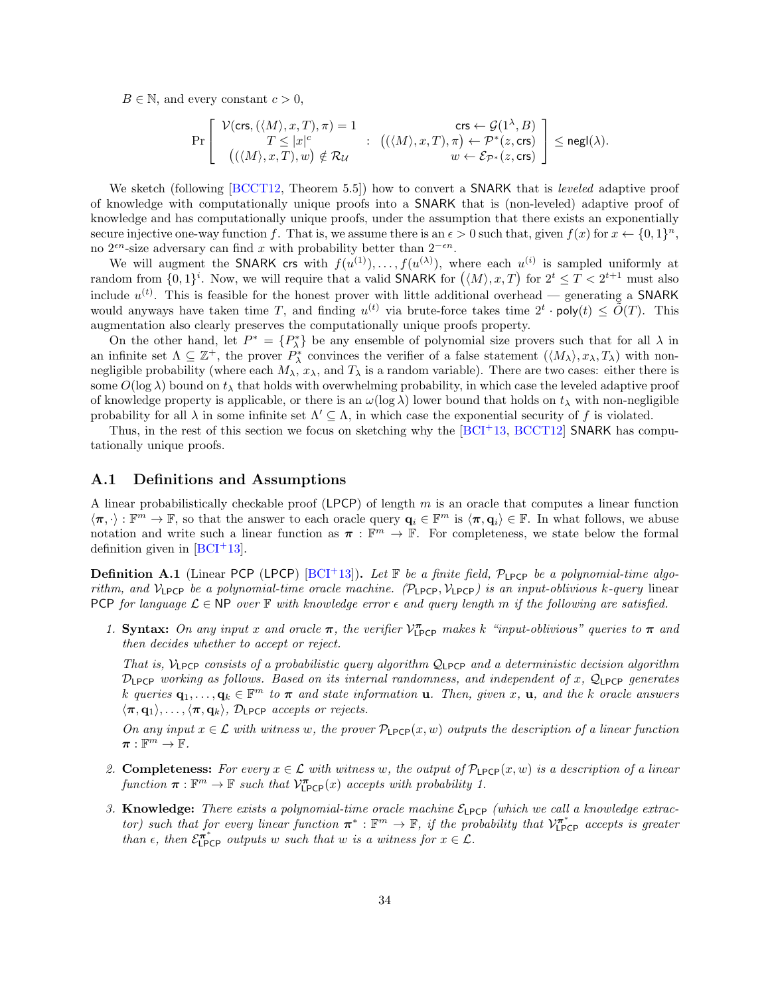$B \in \mathbb{N}$ , and every constant  $c > 0$ ,

$$
\Pr\left[\begin{array}{c} \mathcal{V}(\mathsf{crs},(\langle M\rangle,x,T),\pi)=1\\ T\leq |x|^c\\ \big((\langle M\rangle,x,T),w\big)\notin \mathcal{R}_{\mathcal{U}} \end{array}:\begin{array}{c} \mathsf{crs} \leftarrow \mathcal{G}(1^\lambda,B)\\ ((\langle M\rangle,x,T),\pi\right)\leftarrow \mathcal{P}^*(z,\mathsf{crs})\\ w\leftarrow \mathcal{E}_{\mathcal{P}^*}(z,\mathsf{crs}) \end{array}\right]\leq {\mathsf{negl}}(\lambda).
$$

We sketch (following [\[BCCT12,](#page-29-11) Theorem 5.5]) how to convert a SNARK that is *leveled* adaptive proof of knowledge with computationally unique proofs into a SNARK that is (non-leveled) adaptive proof of knowledge and has computationally unique proofs, under the assumption that there exists an exponentially secure injective one-way function f. That is, we assume there is an  $\epsilon > 0$  such that, given  $f(x)$  for  $x \leftarrow \{0,1\}^n$ , no  $2<sup>en</sup>$ -size adversary can find x with probability better than  $2<sup>-en</sup>$ .

We will augment the SNARK crs with  $f(u^{(1)}), \ldots, f(u^{(\lambda)})$ , where each  $u^{(i)}$  is sampled uniformly at random from  $\{0,1\}^i$ . Now, we will require that a valid SNARK for  $(\langle M \rangle, x, T)$  for  $2^t \leq T < 2^{t+1}$  must also include  $u^{(t)}$ . This is feasible for the honest prover with little additional overhead — generating a SNARK would anyways have taken time T, and finding  $u^{(t)}$  via brute-force takes time  $2^t \cdot \text{poly}(t) \le \tilde{O}(T)$ . This augmentation also clearly preserves the computationally unique proofs property.

On the other hand, let  $P^* = \{P^*_\lambda\}$  be any ensemble of polynomial size provers such that for all  $\lambda$  in an infinite set  $\Lambda \subseteq \mathbb{Z}^+$ , the prover  $P_{\lambda}^*$  convinces the verifier of a false statement  $(\langle M_{\lambda} \rangle, x_{\lambda}, T_{\lambda})$  with nonnegligible probability (where each  $M_{\lambda}$ ,  $x_{\lambda}$ , and  $T_{\lambda}$  is a random variable). There are two cases: either there is some  $O(\log \lambda)$  bound on  $t_{\lambda}$  that holds with overwhelming probability, in which case the leveled adaptive proof of knowledge property is applicable, or there is an  $\omega(\log \lambda)$  lower bound that holds on  $t_{\lambda}$  with non-negligible probability for all  $\lambda$  in some infinite set  $\Lambda' \subseteq \Lambda$ , in which case the exponential security of f is violated.

Thus, in the rest of this section we focus on sketching why the  $[BCI^+13, BCCT12]$  $[BCI^+13, BCCT12]$  $[BCI^+13, BCCT12]$  SNARK has computationally unique proofs.

#### <span id="page-33-0"></span>A.1 Definitions and Assumptions

A linear probabilistically checkable proof (LPCP) of length  $m$  is an oracle that computes a linear function  $\langle \pi, \cdot \rangle : \mathbb{F}^m \to \mathbb{F}$ , so that the answer to each oracle query  $\mathbf{q}_i \in \mathbb{F}^m$  is  $\langle \pi, \mathbf{q}_i \rangle \in \mathbb{F}$ . In what follows, we abuse notation and write such a linear function as  $\pi : \mathbb{F}^m \to \mathbb{F}$ . For completeness, we state below the formal definition given in  $[BCI^+13]$  $[BCI^+13]$ .

**Definition A.1** (Linear PCP (LPCP) [\[BCI](#page-29-7)<sup>+</sup>13]). Let  $\mathbb{F}$  be a finite field,  $\mathcal{P}_{LPCP}$  be a polynomial-time algorithm, and  $V_{\text{LPCP}}$  be a polynomial-time oracle machine. (P<sub>LPCP</sub>,  $V_{\text{LPCP}}$ ) is an input-oblivious k-query linear PCP for language  $\mathcal{L} \in \mathbb{NP}$  over  $\mathbb F$  with knowledge error  $\epsilon$  and query length m if the following are satisfied.

1. Syntax: On any input x and oracle  $\pi$ , the verifier  $\mathcal{V}_{\text{LPCP}}^{\pi}$  makes k "input-oblivious" queries to  $\pi$  and then decides whether to accept or reject.

That is,  $V_{\text{LPCP}}$  consists of a probabilistic query algorithm  $Q_{\text{LPCP}}$  and a deterministic decision algorithm  $\mathcal{D}_{\text{LPCP}}$  working as follows. Based on its internal randomness, and independent of x,  $\mathcal{Q}_{\text{LPCP}}$  generates k queries  $\mathbf{q}_1,\ldots,\mathbf{q}_k \in \mathbb{F}^m$  to  $\boldsymbol{\pi}$  and state information **u**. Then, given x, **u**, and the k oracle answers  $\langle \pi, \mathbf{q}_1 \rangle, \ldots, \langle \pi, \mathbf{q}_k \rangle$ , D<sub>LPCP</sub> accepts or rejects.

On any input  $x \in \mathcal{L}$  with witness w, the prover  $\mathcal{P}_{\text{LPCP}}(x, w)$  outputs the description of a linear function  $\pi:\mathbb{F}^m\to\mathbb{F}.$ 

- 2. Completeness: For every  $x \in \mathcal{L}$  with witness w, the output of  $\mathcal{P}_{\text{LPCP}}(x, w)$  is a description of a linear function  $\pi : \mathbb{F}^m \to \mathbb{F}$  such that  $\mathcal{V}^{\pi}_{\text{LPCP}}(x)$  accepts with probability 1.
- 3. Knowledge: There exists a polynomial-time oracle machine  $\mathcal{E}_{\text{LPCP}}$  (which we call a knowledge extractor) such that for every linear function  $\pi^*: \mathbb{F}^m \to \mathbb{F}$ , if the probability that  $\mathcal{V}_{\text{LPCP}}^{\pi^*}$  accepts is greater than  $\epsilon$ , then  $\mathcal{E}_{\text{LPCP}}^{\pi^*}$  outputs w such that w is a witness for  $x \in \mathcal{L}$ .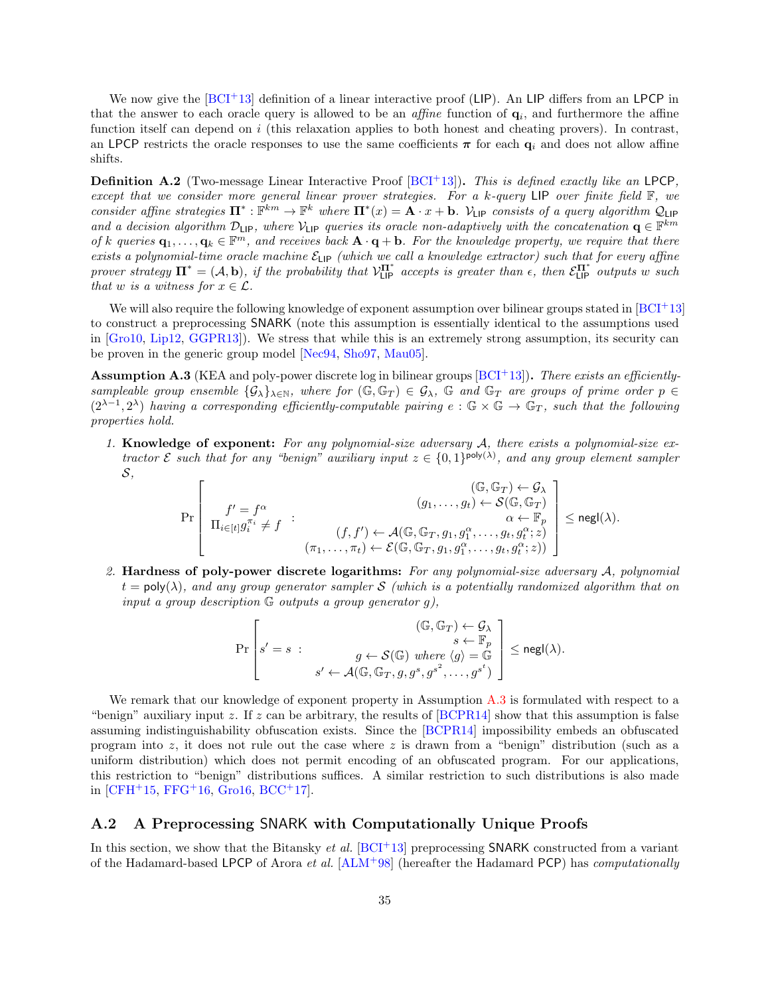We now give the  $[BCI^+13]$  $[BCI^+13]$  definition of a linear interactive proof (LIP). An LIP differs from an LPCP in that the answer to each oracle query is allowed to be an *affine* function of  $q_i$ , and furthermore the affine function itself can depend on i (this relaxation applies to both honest and cheating provers). In contrast, an LPCP restricts the oracle responses to use the same coefficients  $\pi$  for each  $q_i$  and does not allow affine shifts.

**Definition A.2** (Two-message Linear Interactive Proof  $[BCI+13]$  $[BCI+13]$ ). This is defined exactly like an LPCP, except that we consider more general linear prover strategies. For a k-query LIP over finite field F, we consider affine strategies  $\Pi^* : \mathbb{F}^{km} \to \mathbb{F}^k$  where  $\Pi^*(x) = \mathbf{A} \cdot x + \mathbf{b}$ . V<sub>LIP</sub> consists of a query algorithm  $\mathcal{Q}_{\text{LIP}}$ and a decision algorithm  $\mathcal{D}_{\text{LIP}}$ , where  $\mathcal{V}_{\text{LIP}}$  queries its oracle non-adaptively with the concatenation  $q \in \mathbb{F}^{km}$ of k queries  $\mathbf{q}_1,\ldots,\mathbf{q}_k \in \mathbb{F}^m$ , and receives back  $\mathbf{A} \cdot \mathbf{q} + \mathbf{b}$ . For the knowledge property, we require that there exists a polynomial-time oracle machine  $\mathcal{E}_{\text{LP}}$  (which we call a knowledge extractor) such that for every affine prover strategy  $\Pi^* = (\mathcal{A}, \mathbf{b})$ , if the probability that  $\mathcal{V}_{\text{LIP}}^{\Pi^*}$  accepts is greater than  $\epsilon$ , then  $\mathcal{E}_{\text{LIP}}^{\Pi^*}$  outputs w such that w is a witness for  $x \in \mathcal{L}$ .

We will also require the following knowledge of exponent assumption over bilinear groups stated in  $[BCI^+13]$  $[BCI^+13]$ to construct a preprocessing SNARK (note this assumption is essentially identical to the assumptions used in [\[Gro10,](#page-31-12) [Lip12,](#page-31-13) [GGPR13\]](#page-31-14)). We stress that while this is an extremely strong assumption, its security can be proven in the generic group model [\[Nec94,](#page-32-4) [Sho97,](#page-32-5) [Mau05\]](#page-32-6).

<span id="page-34-1"></span>**Assumption A.3** (KEA and poly-power discrete log in bilinear groups  $[BCI+13]$  $[BCI+13]$ ). There exists an efficientlysampleable group ensemble  $\{G_{\lambda}\}_{\lambda\in\mathbb{N}}$ , where for  $(\mathbb{G},\mathbb{G}_T)\in\mathcal{G}_{\lambda}$ ,  $\mathbb{G}$  and  $\mathbb{G}_T$  are groups of prime order  $p\in\mathbb{C}$  $(2^{\lambda-1},2^{\lambda})$  having a corresponding efficiently-computable pairing  $e:\mathbb{G}\times\mathbb{G}\to\mathbb{G}_T$ , such that the following properties hold.

1. Knowledge of exponent: For any polynomial-size adversary A, there exists a polynomial-size extractor  $\mathcal E$  such that for any "benign" auxiliary input  $z \in \{0,1\}^{\text{poly}(\lambda)}$ , and any group element sampler S,

$$
\Pr\left[\begin{array}{c}(\mathbb{G},\mathbb{G}_T)\leftarrow\mathcal{G}_\lambda\\f'=f^\alpha\\ \Pi_{i\in[t]}g_i^{\pi_i}\neq f\end{array}:\begin{array}{c}(g_1,\ldots,g_t)\leftarrow\mathcal{S}(\mathbb{G},\mathbb{G}_T)\right)\\ (g_1,\ldots,g_t)\leftarrow\mathcal{S}(\mathbb{G},\mathbb{G}_T)\\ \alpha\leftarrow\mathbb{F}_p\\ (\pi_1,\ldots,\pi_t)\leftarrow\mathcal{E}(\mathbb{G},\mathbb{G}_T,g_1,g_1^\alpha,\ldots,g_t,g_t^\alpha;z)\end{array}\right]\leq \mathrm{negl}(\lambda).
$$

2. Hardness of poly-power discrete logarithms: For any polynomial-size adversary A, polynomial  $t = \text{poly}(\lambda)$ , and any group generator sampler S (which is a potentially randomized algorithm that on input a group description  $G$  outputs a group generator g),

$$
\Pr\left[s'=s\;:\;\begin{array}{c}(\mathbb{G},\mathbb{G}_T)\leftarrow \mathcal{G}_\lambda\\ s\leftarrow \mathbb{F}_p\\ s'\leftarrow \mathcal{A}(\mathbb{G},\mathbb{G}_T,g,g^s,g^{s^2},\ldots,g^{s^t})\end{array}\right]\le {\rm negl}(\lambda).
$$

We remark that our knowledge of exponent property in Assumption [A.3](#page-34-1) is formulated with respect to a "benign" auxiliary input z. If z can be arbitrary, the results of  $[BCPR14]$  show that this assumption is false assuming indistinguishability obfuscation exists. Since the [\[BCPR14\]](#page-29-9) impossibility embeds an obfuscated program into z, it does not rule out the case where z is drawn from a "benign" distribution (such as a uniform distribution) which does not permit encoding of an obfuscated program. For our applications, this restriction to "benign" distributions suffices. A similar restriction to such distributions is also made in [\[CFH](#page-30-4)<sup>+</sup>15, [FFG](#page-30-5)<sup>+</sup>16, [Gro16,](#page-31-4) [BCC](#page-29-10)<sup>+</sup>17].

## <span id="page-34-0"></span>A.2 A Preprocessing SNARK with Computationally Unique Proofs

In this section, we show that the Bitansky *et al.* [\[BCI](#page-29-7)+13] preprocessing SNARK constructed from a variant of the Hadamard-based LPCP of Arora *et al.*  $[ALM+98]$  $[ALM+98]$  (hereafter the Hadamard PCP) has *computationally*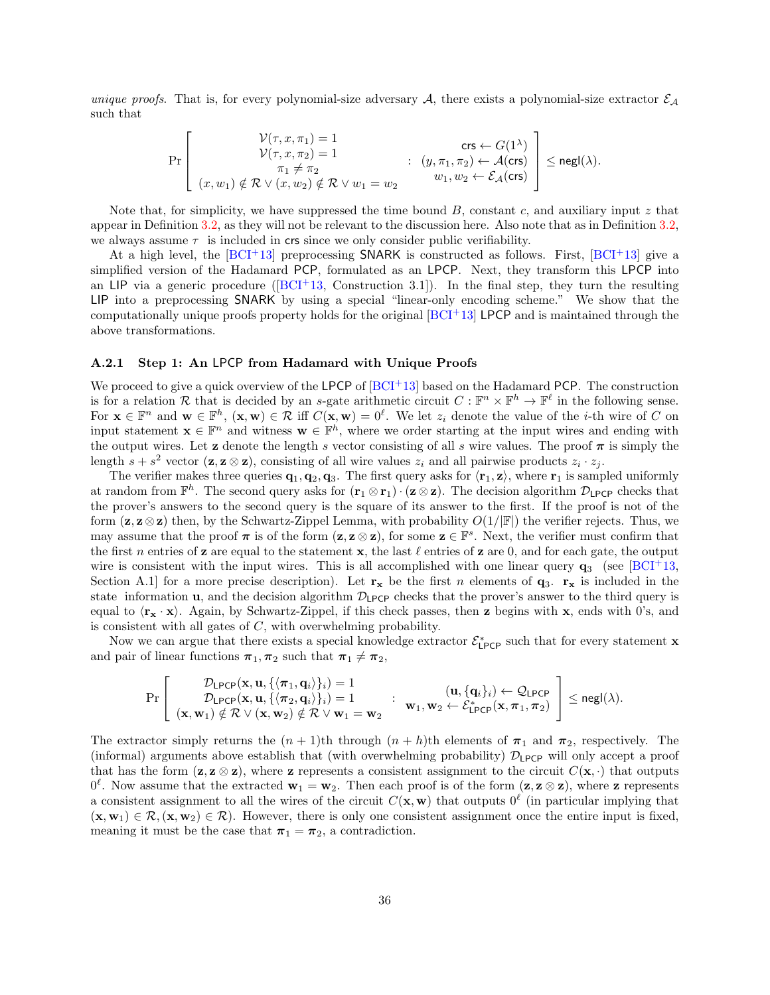unique proofs. That is, for every polynomial-size adversary A, there exists a polynomial-size extractor  $\mathcal{E}_A$ such that

$$
\Pr\left[\begin{matrix}\n\mathcal{V}(\tau,x,\pi_1)=1 & \text{cr & \mathcal{V}(\tau,x,\pi_2)=1 \\
\mathcal{V}(\tau,x,\pi_2)=1 & \mathcal{V}(\tau,x,\pi_2)\leftarrow\mathcal{A}(\text{crs}) \\
\pi_1\neq\pi_2 & w_1,w_2\leftarrow\mathcal{E}_{\mathcal{A}}(\text{crs})\n\end{matrix}\right]\leq \text{negl}(\lambda).
$$

Note that, for simplicity, we have suppressed the time bound  $B$ , constant c, and auxiliary input z that appear in Definition [3.2,](#page-13-3) as they will not be relevant to the discussion here. Also note that as in Definition [3.2,](#page-13-3) we always assume  $\tau$  is included in crs since we only consider public verifiability.

At a high level, the  $[BCI^+13]$  $[BCI^+13]$  preprocessing SNARK is constructed as follows. First,  $[BCI^+13]$  give a simplified version of the Hadamard PCP, formulated as an LPCP. Next, they transform this LPCP into an LIP via a generic procedure ( $[BCI+13,$  $[BCI+13,$  Construction 3.1]). In the final step, they turn the resulting LIP into a preprocessing SNARK by using a special "linear-only encoding scheme." We show that the computationally unique proofs property holds for the original  $[BCI^+13]$  $[BCI^+13]$  LPCP and is maintained through the above transformations.

#### A.2.1 Step 1: An LPCP from Hadamard with Unique Proofs

We proceed to give a quick overview of the LPCP of  $[BCI<sup>+</sup>13]$  $[BCI<sup>+</sup>13]$  based on the Hadamard PCP. The construction is for a relation R that is decided by an s-gate arithmetic circuit  $C: \mathbb{F}^n \times \mathbb{F}^h \to \mathbb{F}^\ell$  in the following sense. For  $\mathbf{x} \in \mathbb{F}^n$  and  $\mathbf{w} \in \mathbb{F}^h$ ,  $(\mathbf{x}, \mathbf{w}) \in \mathcal{R}$  iff  $C(\mathbf{x}, \mathbf{w}) = 0^{\ell}$ . We let  $z_i$  denote the value of the *i*-th wire of C on input statement  $\mathbf{x} \in \mathbb{F}^n$  and witness  $\mathbf{w} \in \mathbb{F}^h$ , where we order starting at the input wires and ending with the output wires. Let **z** denote the length s vector consisting of all s wire values. The proof  $\pi$  is simply the length  $s + s^2$  vector  $(\mathbf{z}, \mathbf{z} \otimes \mathbf{z})$ , consisting of all wire values  $z_i$  and all pairwise products  $z_i \cdot z_j$ .

The verifier makes three queries  $\mathbf{q}_1, \mathbf{q}_2, \mathbf{q}_3$ . The first query asks for  $\langle \mathbf{r}_1, \mathbf{z} \rangle$ , where  $\mathbf{r}_1$  is sampled uniformly at random from  $\mathbb{F}^h$ . The second query asks for  $(\mathbf{r}_1 \otimes \mathbf{r}_1) \cdot (\mathbf{z} \otimes \mathbf{z})$ . The decision algorithm  $\mathcal{D}_{\text{LPCP}}$  checks that the prover's answers to the second query is the square of its answer to the first. If the proof is not of the form  $(z, z \otimes z)$  then, by the Schwartz-Zippel Lemma, with probability  $O(1/|\mathbb{F}|)$  the verifier rejects. Thus, we may assume that the proof  $\pi$  is of the form  $(z, z \otimes z)$ , for some  $z \in \mathbb{F}^s$ . Next, the verifier must confirm that the first n entries of z are equal to the statement x, the last  $\ell$  entries of z are 0, and for each gate, the output wire is consistent with the input wires. This is all accomplished with one linear query  $q_3$  (see [\[BCI](#page-29-7)+13, Section A.1] for a more precise description). Let  $\mathbf{r}_{\mathbf{x}}$  be the first n elements of  $\mathbf{q}_3$ .  $\mathbf{r}_{\mathbf{x}}$  is included in the state information **u**, and the decision algorithm  $\mathcal{D}_{\text{LPCP}}$  checks that the prover's answer to the third query is equal to  $\langle \mathbf{r_x} \cdot \mathbf{x} \rangle$ . Again, by Schwartz-Zippel, if this check passes, then z begins with x, ends with 0's, and is consistent with all gates of  $C$ , with overwhelming probability.

Now we can argue that there exists a special knowledge extractor  $\mathcal{E}^*_{\text{LPCP}}$  such that for every statement **x** and pair of linear functions  $\pi_1, \pi_2$  such that  $\pi_1 \neq \pi_2$ ,

$$
\Pr\left[\begin{array}{c} \mathcal{D}_{\text{LPCP}}(\mathbf{x}, \mathbf{u}, \{\langle \pi_1, \mathbf{q}_i \rangle\}_i) = 1 \\ \mathcal{D}_{\text{LPCP}}(\mathbf{x}, \mathbf{u}, \{\langle \pi_2, \mathbf{q}_i \rangle\}_i) = 1 \\ (\mathbf{x}, \mathbf{w}_1) \notin \mathcal{R} \vee (\mathbf{x}, \mathbf{w}_2) \notin \mathcal{R} \vee \mathbf{w}_1 = \mathbf{w}_2 \end{array} : \begin{array}{c} (\mathbf{u}, \{\mathbf{q}_i\}_i) \leftarrow \mathcal{Q}_{\text{LPCP}} \\ \mathbf{w}_1, \mathbf{w}_2 \leftarrow \mathcal{E}_{\text{LPCP}}^*(\mathbf{x}, \pi_1, \pi_2) \end{array} \right] \leq {\mathsf{negl}}(\lambda).
$$

The extractor simply returns the  $(n + 1)$ th through  $(n + h)$ th elements of  $\pi_1$  and  $\pi_2$ , respectively. The (informal) arguments above establish that (with overwhelming probability)  $\mathcal{D}_{\text{LPCP}}$  will only accept a proof that has the form  $(z, z \otimes z)$ , where z represents a consistent assignment to the circuit  $C(\mathbf{x}, \cdot)$  that outputs  $0^{\ell}$ . Now assume that the extracted  $\mathbf{w}_1 = \mathbf{w}_2$ . Then each proof is of the form  $(\mathbf{z}, \mathbf{z} \otimes \mathbf{z})$ , where **z** represents a consistent assignment to all the wires of the circuit  $C(\mathbf{x}, \mathbf{w})$  that outputs  $0^{\ell}$  (in particular implying that  $(\mathbf{x}, \mathbf{w}_1) \in \mathcal{R}, (\mathbf{x}, \mathbf{w}_2) \in \mathcal{R}$ . However, there is only one consistent assignment once the entire input is fixed, meaning it must be the case that  $\pi_1 = \pi_2$ , a contradiction.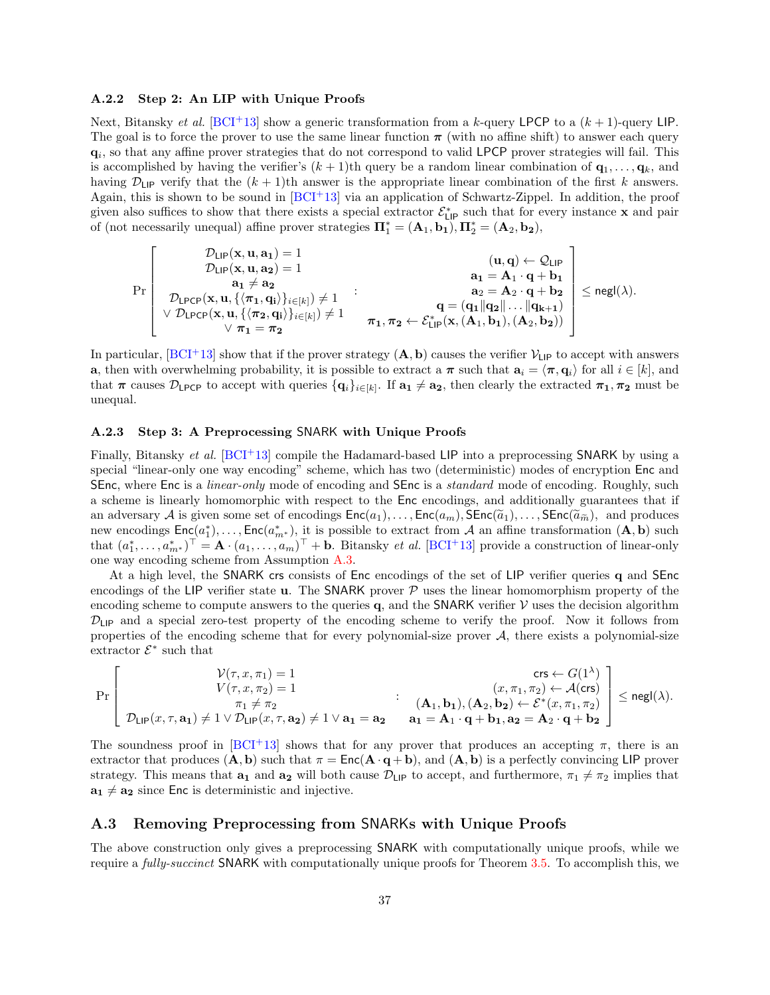#### A.2.2 Step 2: An LIP with Unique Proofs

Next, Bitansky *et al.* [\[BCI](#page-29-7)<sup>+</sup>13] show a generic transformation from a k-query LPCP to a  $(k+1)$ -query LIP. The goal is to force the prover to use the same linear function  $\pi$  (with no affine shift) to answer each query  $\mathbf{q}_i$ , so that any affine prover strategies that do not correspond to valid LPCP prover strategies will fail. This is accomplished by having the verifier's  $(k + 1)$ th query be a random linear combination of  $\mathbf{q}_1, \ldots, \mathbf{q}_k$ , and having  $\mathcal{D}_{\text{LIP}}$  verify that the  $(k+1)$ th answer is the appropriate linear combination of the first k answers. Again, this is shown to be sound in  $[BCI^+13]$  $[BCI^+13]$  via an application of Schwartz-Zippel. In addition, the proof given also suffices to show that there exists a special extractor  $\mathcal{E}_{\textsf{LP}}^*$  such that for every instance **x** and pair of (not necessarily unequal) affine prover strategies  $\mathbf{\Pi}_{1}^{*} = (\mathbf{A}_{1}, \mathbf{b}_{1}), \mathbf{\Pi}_{2}^{*} = (\mathbf{A}_{2}, \mathbf{b}_{2}),$ 

$$
\Pr\left[\begin{array}{c} \mathcal{D}_{\text{LIP}}(x,u,a_1)=1\\ \mathcal{D}_{\text{LIP}}(x,u,a_2)=1\\ a_1\neq a_2\\ \mathcal{D}_{\text{LPCP}}(x,u,\{\langle\pi_1,q_i\rangle\}_{i\in[k]})\neq 1\\ \vee \mathcal{D}_{\text{LPCP}}(x,u,\{\langle\pi_2,q_i\rangle\}_{i\in[k]})\neq 1\\ \forall\ \pi_1=\pi_2 \end{array}:\begin{array}{c} (u,q)\leftarrow \mathcal{Q}_{\text{LIP}}\\ a_1=A_1\cdot q+b_1\\ a_2=A_2\cdot q+b_2\\ q=(q_1\|q_2\|\ldots\|q_{k+1})\\ q=(q_1\|q_2\|\ldots\|q_{k+1})\\ (x,(A_1,b_1),(A_2,b_2))\end{array}\right]\le {\mathsf{negl}}(\lambda).
$$

In particular,  $[BCI^+13]$  $[BCI^+13]$  show that if the prover strategy  $(A, b)$  causes the verifier  $\mathcal{V}_{\text{LP}}$  to accept with answers **a**, then with overwhelming probability, it is possible to extract a  $\pi$  such that  $\mathbf{a}_i = \langle \pi, \mathbf{q}_i \rangle$  for all  $i \in [k]$ , and that  $\pi$  causes  $\mathcal{D}_{\text{LPCP}}$  to accept with queries  $\{\mathbf{q}_i\}_{i\in[k]}$ . If  $\mathbf{a_1}\neq \mathbf{a_2}$ , then clearly the extracted  $\pi_1, \pi_2$  must be unequal.

### A.2.3 Step 3: A Preprocessing SNARK with Unique Proofs

Finally, Bitansky *et al.*  $[BCI+13]$  $[BCI+13]$  compile the Hadamard-based LIP into a preprocessing SNARK by using a special "linear-only one way encoding" scheme, which has two (deterministic) modes of encryption Enc and SEnc, where Enc is a *linear-only* mode of encoding and SEnc is a *standard* mode of encoding. Roughly, such a scheme is linearly homomorphic with respect to the Enc encodings, and additionally guarantees that if an adversary A is given some set of encodings  $Enc(a_1), \ldots, Enc(a_m)$ ,  $SEnc(\tilde{a}_1), \ldots, SEnc(\tilde{a}_m)$ , and produces new encodings  $Enc(a_1^*), \ldots, Enc(a_m^*)$ , it is possible to extract from A an affine transformation  $(A, b)$  such that  $(a_1^*, \ldots, a_{m^*}^*)^\top = \mathbf{A} \cdot (a_1, \ldots, a_m)^\top + \mathbf{b}$ . Bitansky *et al.* [\[BCI](#page-29-7)<sup>+</sup>13] provide a construction of linear-only one way encoding scheme from Assumption [A.3.](#page-34-1)

At a high level, the SNARK crs consists of Enc encodings of the set of LIP verifier queries q and SEnc encodings of the LIP verifier state **u**. The SNARK prover  $P$  uses the linear homomorphism property of the encoding scheme to compute answers to the queries  $q$ , and the SNARK verifier  $\mathcal V$  uses the decision algorithm  $\mathcal{D}_{\text{LIP}}$  and a special zero-test property of the encoding scheme to verify the proof. Now it follows from properties of the encoding scheme that for every polynomial-size prover  $A$ , there exists a polynomial-size extractor  $\mathcal{E}^*$  such that

$$
\Pr\left[\begin{matrix}\mathcal{V}(\tau,x,\pi_1)=1&\csc\leftarrow G(1^\lambda)\\ V(\tau,x,\pi_2)=1&\left(x,\pi_1,\pi_2\right)\leftarrow \mathcal{A}(\mathrm{crs})\\ \pi_1\neq \pi_2&\left(\mathbf{A}_1,\mathbf{b}_1\right),(\mathbf{A}_2,\mathbf{b}_2)\leftarrow \mathcal{E}^*(x,\pi_1,\pi_2)\\ \mathcal{D}_{\mathrm{LIP}}(x,\tau,\mathbf{a}_1)\neq 1\vee \mathcal{D}_{\mathrm{LIP}}(x,\tau,\mathbf{a}_2)\neq 1\vee \mathbf{a}_1=\mathbf{a}_2&\mathbf{a}_1=\mathbf{A}_1\cdot\mathbf{q}+\mathbf{b}_1,\mathbf{a}_2=\mathbf{A}_2\cdot\mathbf{q}+\mathbf{b}_2\end{matrix}\right]\leq \mathrm{negl}(\lambda).
$$

The soundness proof in  $[BCI^+13]$  $[BCI^+13]$  shows that for any prover that produces an accepting  $\pi$ , there is an extractor that produces  $(A, b)$  such that  $\pi = \text{Enc}(A \cdot q + b)$ , and  $(A, b)$  is a perfectly convincing LIP prover strategy. This means that  $a_1$  and  $a_2$  will both cause  $\mathcal{D}_{\text{LP}}$  to accept, and furthermore,  $\pi_1 \neq \pi_2$  implies that  $\mathbf{a_1} \neq \mathbf{a_2}$  since Enc is deterministic and injective.

## <span id="page-36-0"></span>A.3 Removing Preprocessing from SNARKs with Unique Proofs

The above construction only gives a preprocessing SNARK with computationally unique proofs, while we require a *fully-succinct* SNARK with computationally unique proofs for Theorem [3.5.](#page-15-0) To accomplish this, we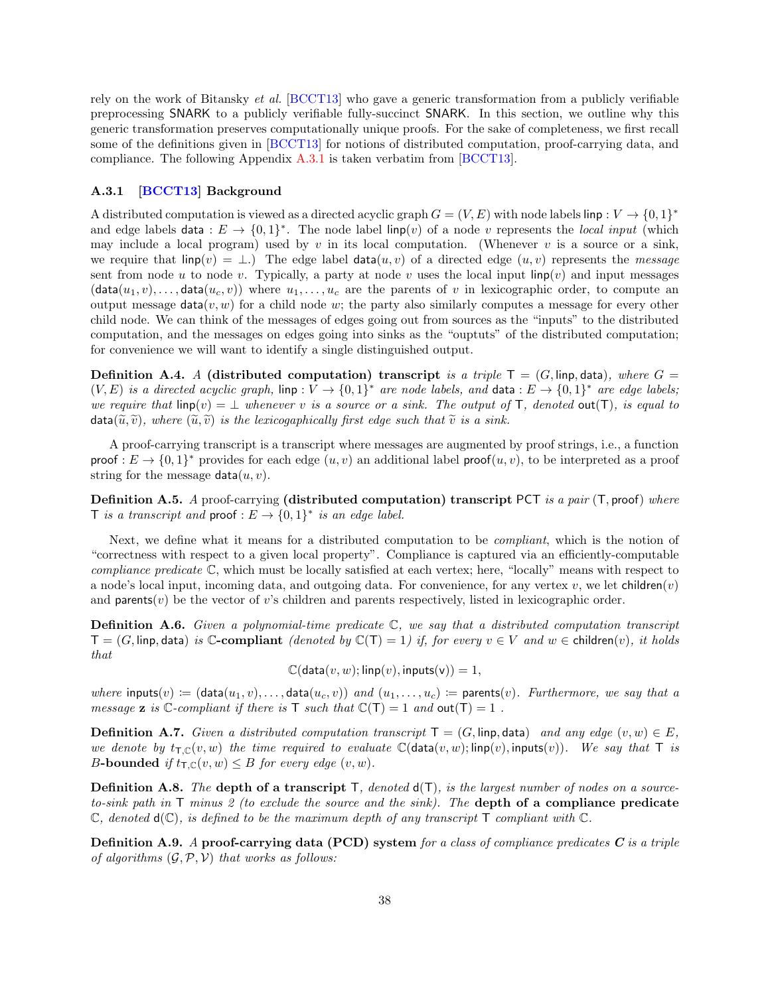rely on the work of Bitansky et al. [\[BCCT13\]](#page-29-8) who gave a generic transformation from a publicly verifiable preprocessing SNARK to a publicly verifiable fully-succinct SNARK. In this section, we outline why this generic transformation preserves computationally unique proofs. For the sake of completeness, we first recall some of the definitions given in [\[BCCT13\]](#page-29-8) for notions of distributed computation, proof-carrying data, and compliance. The following Appendix [A.3.1](#page-37-0) is taken verbatim from [\[BCCT13\]](#page-29-8).

### <span id="page-37-0"></span>A.3.1 [\[BCCT13\]](#page-29-8) Background

A distributed computation is viewed as a directed acyclic graph  $G = (V, E)$  with node labels linp :  $V \to \{0, 1\}^*$ and edge labels data :  $E \to \{0,1\}^*$ . The node label linp(v) of a node v represents the local input (which may include a local program) used by v in its local computation. (Whenever v is a source or a sink, we require that  $\text{linp}(v) = \bot$ .) The edge label data $(u, v)$  of a directed edge  $(u, v)$  represents the message sent from node u to node v. Typically, a party at node v uses the local input linp(v) and input messages  $(\text{data}(u_1, v), \dots, \text{data}(u_c, v))$  where  $u_1, \dots, u_c$  are the parents of v in lexicographic order, to compute an output message data $(v, w)$  for a child node w; the party also similarly computes a message for every other child node. We can think of the messages of edges going out from sources as the "inputs" to the distributed computation, and the messages on edges going into sinks as the "ouptuts" of the distributed computation; for convenience we will want to identify a single distinguished output.

**Definition A.4.** A (distributed computation) transcript is a triple  $T = (G, \text{limp}, \text{data})$ , where  $G =$  $(V, E)$  is a directed acyclic graph,  $\lim p : V \to \{0, 1\}^*$  are node labels, and data  $:E \to \{0, 1\}^*$  are edge labels; we require that  $\text{linp}(v) = \bot$  whenever v is a source or a sink. The output of T, denoted out(T), is equal to  $\text{data}(\widetilde{u}, \widetilde{v})$ , where  $(\widetilde{u}, \widetilde{v})$  is the lexicogaphically first edge such that  $\widetilde{v}$  is a sink.

A proof-carrying transcript is a transcript where messages are augmented by proof strings, i.e., a function proof :  $E \to \{0,1\}^*$  provides for each edge  $(u, v)$  an additional label proof $(u, v)$ , to be interpreted as a proof string for the message  $data(u, v)$ .

**Definition A.5.** A proof-carrying (distributed computation) transcript PCT is a pair  $(T, \text{proof})$  where T is a transcript and proof :  $E \to \{0,1\}^*$  is an edge label.

Next, we define what it means for a distributed computation to be compliant, which is the notion of "correctness with respect to a given local property". Compliance is captured via an efficiently-computable compliance predicate C, which must be locally satisfied at each vertex; here, "locally" means with respect to a node's local input, incoming data, and outgoing data. For convenience, for any vertex  $v$ , we let children $(v)$ and parents $(v)$  be the vector of v's children and parents respectively, listed in lexicographic order.

**Definition A.6.** Given a polynomial-time predicate  $\mathbb{C}$ , we say that a distributed computation transcript  $T = (G, \text{linp}, \text{data})$  is  $\mathbb{C}\text{-}\text{compliant}$  (denoted by  $\mathbb{C}(T) = 1$ ) if, for every  $v \in V$  and  $w \in \text{children}(v)$ , it holds that

 $\mathbb{C}(\text{data}(v, w); \text{linp}(v), \text{inputs}(v)) = 1,$ 

where inputs(v) :=  $(\text{data}(u_1, v), \ldots, \text{data}(u_c, v))$  and  $(u_1, \ldots, u_c)$  := parents(v). Furthermore, we say that a message **z** is  $\mathbb{C}$ -compliant if there is  $\mathsf{T}$  such that  $\mathbb{C}(\mathsf{T}) = 1$  and  $\text{out}(\mathsf{T}) = 1$ .

**Definition A.7.** Given a distributed computation transcript  $T = (G, \text{limp}, \text{data})$  and any edge  $(v, w) \in E$ , we denote by  $t_{T,\mathbb{C}}(v,w)$  the time required to evaluate  $\mathbb{C}(\text{data}(v,w); \text{linp}(v), \text{inputs}(v))$ . We say that T is B-bounded if  $t_{\mathsf{T},\mathbb{C}}(v,w) \leq B$  for every edge  $(v,w)$ .

**Definition A.8.** The depth of a transcript  $T$ , denoted  $d(T)$ , is the largest number of nodes on a sourceto-sink path in  $\mathsf{T}$  minus 2 (to exclude the source and the sink). The depth of a compliance predicate  $\mathbb C$ , denoted  $d(\mathbb C)$ , is defined to be the maximum depth of any transcript  $\mathsf T$  compliant with  $\mathbb C$ .

**Definition A.9.** A proof-carrying data (PCD) system for a class of compliance predicates  $C$  is a triple of algorithms  $(G, \mathcal{P}, \mathcal{V})$  that works as follows: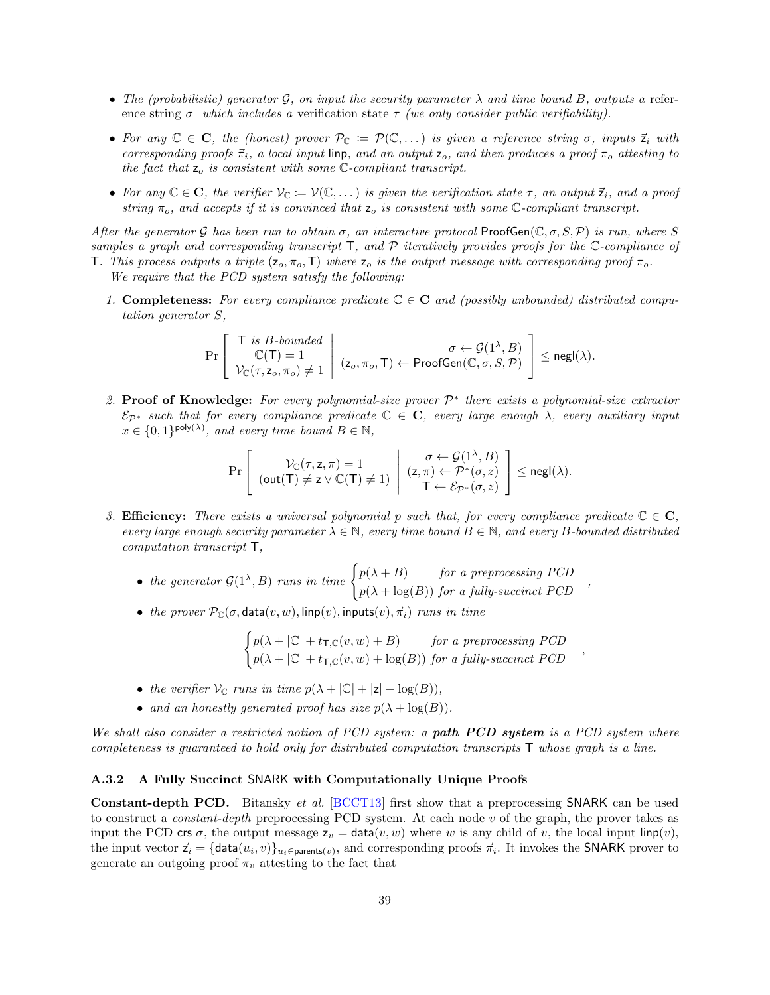- The (probabilistic) generator G, on input the security parameter  $\lambda$  and time bound B, outputs a reference string  $\sigma$  which includes a verification state  $\tau$  (we only consider public verifiability).
- For any  $\mathbb{C} \in \mathbb{C}$ , the (honest) prover  $\mathcal{P}_{\mathbb{C}} := \mathcal{P}(\mathbb{C}, \dots)$  is given a reference string  $\sigma$ , inputs  $\vec{z}_i$  with corresponding proofs  $\vec{\pi}_i$ , a local input linp, and an output  $z_o$ , and then produces a proof  $\pi_o$  attesting to the fact that  $z_0$  is consistent with some  $\mathbb{C}$ -compliant transcript.
- For any  $\mathbb{C} \in \mathbb{C}$ , the verifier  $\mathcal{V}_{\mathbb{C}} \coloneqq \mathcal{V}(\mathbb{C}, \dots)$  is given the verification state  $\tau$ , an output  $\vec{z}_i$ , and a proof string  $\pi_o$ , and accepts if it is convinced that  $z_o$  is consistent with some  $\mathbb{C}$ -compliant transcript.

After the generator G has been run to obtain  $\sigma$ , an interactive protocol ProofGen( $\mathbb{C}, \sigma, S, \mathcal{P}$ ) is run, where S samples a graph and corresponding transcript  $\mathsf T$ , and  $\mathcal P$  iteratively provides proofs for the  $\mathbb C$ -compliance of T. This process outputs a triple  $(z_o, \pi_o, T)$  where  $z_o$  is the output message with corresponding proof  $\pi_o$ .

We require that the PCD system satisfy the following:

1. Completeness: For every compliance predicate  $\mathbb{C} \in \mathbb{C}$  and (possibly unbounded) distributed computation generator S,

$$
\Pr\left[\begin{array}{c} \top \text{ is } B\text{-bounded} \\ \mathbb{C}(\mathsf{T})=1 \\ \mathcal{V}_{\mathbb{C}}(\tau,z_o,\pi_o)\neq 1 \end{array} \middle| (\mathsf{z}_o,\pi_o,\mathsf{T}) \leftarrow \mathsf{ProofGen}(\mathbb{C},\sigma,S,\mathcal{P}) \end{array} \right] \leq \mathsf{negl}(\lambda).
$$

2. Proof of Knowledge: For every polynomial-size prover  $\mathcal{P}^*$  there exists a polynomial-size extractor  $\mathcal{E}_{\mathcal{P}^*}$  such that for every compliance predicate  $\mathbb{C} \in \mathbb{C}$ , every large enough  $\lambda$ , every auxiliary input  $x \in \{0,1\}^{\text{poly}(\lambda)}$ , and every time bound  $B \in \mathbb{N}$ ,

$$
\Pr\left[\begin{array}{c} \mathcal{V}_{\mathbb{C}}(\tau,z,\pi)=1 \\ (\text{out}(\mathsf{T})\neq z\vee\mathbb{C}(\mathsf{T})\neq 1) \end{array} \middle| \begin{array}{c} \sigma\leftarrow \mathcal{G}(1^{\lambda},B) \\ (z,\pi)\leftarrow \mathcal{P}^*(\sigma,z) \\ \mathsf{T}\leftarrow \mathcal{E}_{\mathcal{P}^*}(\sigma,z) \end{array} \right] \leq \mathsf{negl}(\lambda).
$$

- 3. **Efficiency:** There exists a universal polynomial p such that, for every compliance predicate  $\mathbb{C} \in \mathbb{C}$ , every large enough security parameter  $\lambda \in \mathbb{N}$ , every time bound  $B \in \mathbb{N}$ , and every B-bounded distributed computation transcript T,
	- the generator  $\mathcal{G}(1^{\lambda},B)$  runs in time  $\begin{cases} p(\lambda + B) & \text{for a preprocessing } PCD \\ (1, p(\lambda), b) & \text{otherwise} \end{cases}$  $p(\lambda + \log(B))$  for a fully-succinct PCD
	- the prover  $\mathcal{P}_{\mathbb{C}}(\sigma, \textsf{data}(v, w), \textsf{linp}(v), \textsf{inputs}(v), \vec{\pi}_i)$  runs in time

$$
\begin{cases} p(\lambda + |\mathbb{C}| + t_{\mathsf{T},\mathbb{C}}(v,w) + B) & \text{for a preprocessing } PCD \\ p(\lambda + |\mathbb{C}| + t_{\mathsf{T},\mathbb{C}}(v,w) + \log(B)) & \text{for a fully-succinct } PCD \end{cases}
$$

,

,

- the verifier  $V_C$  runs in time  $p(\lambda + |C| + |z| + \log(B)),$
- and an honestly generated proof has size  $p(\lambda + \log(B)).$

We shall also consider a restricted notion of PCD system: a **path PCD system** is a PCD system where completeness is guaranteed to hold only for distributed computation transcripts  $\mathsf T$  whose graph is a line.

## A.3.2 A Fully Succinct SNARK with Computationally Unique Proofs

Constant-depth PCD. Bitansky et al. [\[BCCT13\]](#page-29-8) first show that a preprocessing SNARK can be used to construct a *constant-depth* preprocessing PCD system. At each node v of the graph, the prover takes as input the PCD crs  $\sigma$ , the output message  $z_v = \text{data}(v, w)$  where w is any child of v, the local input linp(v), the input vector  $\vec{z}_i = \{\text{data}(u_i, v)\}_{u_i \in \text{parents}(v)}$ , and corresponding proofs  $\vec{\pi}_i$ . It invokes the SNARK prover to generate an outgoing proof  $\pi_v$  attesting to the fact that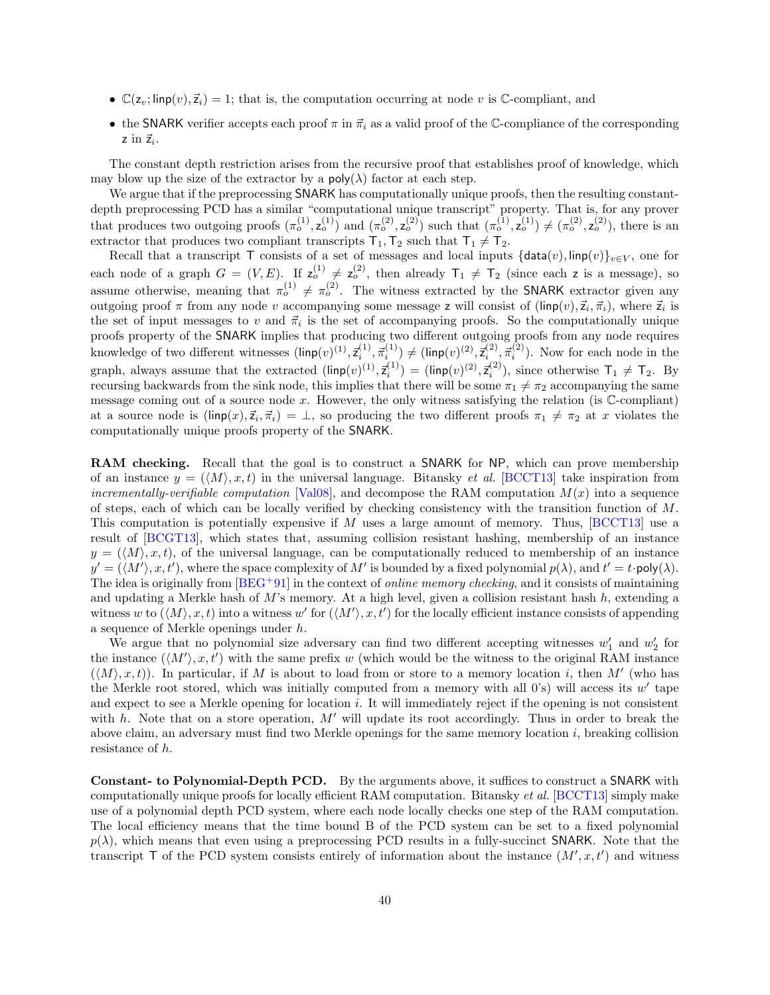- $\mathbb{C}(z_v; \text{linp}(v), \vec{z}_i) = 1$ ; that is, the computation occurring at node v is  $\mathbb{C}$ -compliant, and
- the SNARK verifier accepts each proof  $\pi$  in  $\vec{\pi}_i$  as a valid proof of the C-compliance of the corresponding  $z$  in  $\vec{z}_i$ .

The constant depth restriction arises from the recursive proof that establishes proof of knowledge, which may blow up the size of the extractor by a  $\text{poly}(\lambda)$  factor at each step.

We argue that if the preprocessing **SNARK** has computationally unique proofs, then the resulting constantdepth preprocessing PCD has a similar "computational unique transcript" property. That is, for any prover that produces two outgoing proofs  $(\pi_0^{(1)}, \mathsf{z}_0^{(1)})$  and  $(\pi_0^{(2)}, \mathsf{z}_0^{(2)})$  such that  $(\pi_0^{(1)}, \mathsf{z}_0^{(1)}) \neq (\pi_0^{(2)}, \mathsf{z}_0^{(2)})$ , there is an extractor that produces two compliant transcripts  $T_1, T_2$  such that  $T_1 \neq T_2$ .

Recall that a transcript T consists of a set of messages and local inputs  $\{\text{data}(v), \text{linp}(v)\}_{v\in V}$ , one for each node of a graph  $G = (V, E)$ . If  $z_o^{(1)} \neq z_o^{(2)}$ , then already  $T_1 \neq T_2$  (since each z is a message), so assume otherwise, meaning that  $\pi_o^{(1)} \neq \pi_o^{(2)}$ . The witness extracted by the SNARK extractor given any outgoing proof  $\pi$  from any node v accompanying some message z will consist of  $(\mathsf{linp}(v), \vec{z}_i, \vec{\pi}_i)$ , where  $\vec{z}_i$  is the set of input messages to v and  $\vec{\pi}_i$  is the set of accompanying proofs. So the computationally unique proofs property of the SNARK implies that producing two different outgoing proofs from any node requires knowledge of two different witnesses  $(\textsf{linp}(v)^{(1)}, \vec{\tau}_i^{(1)}, \vec{\pi}_i^{(1)}) \neq (\textsf{linp}(v)^{(2)}, \vec{\tau}_i^{(2)}, \vec{\pi}_i^{(2)})$ . Now for each node in the graph, always assume that the extracted  $(\text{linp}(v)^{(1)}, \vec{z}_i^{(1)}) = (\text{linp}(v)^{(2)}, \vec{z}_i^{(2)})$ , since otherwise  $T_1 \neq T_2$ . By recursing backwards from the sink node, this implies that there will be some  $\pi_1 \neq \pi_2$  accompanying the same message coming out of a source node x. However, the only witness satisfying the relation (is  $\mathbb{C}$ -compliant) at a source node is  $(\textsf{linp}(x), \vec{z}_i, \vec{\pi}_i) = \perp$ , so producing the two different proofs  $\pi_1 \neq \pi_2$  at x violates the computationally unique proofs property of the SNARK.

RAM checking. Recall that the goal is to construct a SNARK for NP, which can prove membership of an instance  $y = (\langle M \rangle, x, t)$  in the universal language. Bitansky *et al.* [\[BCCT13\]](#page-29-8) take inspiration from incrementally-verifiable computation [\[Val08\]](#page-32-10), and decompose the RAM computation  $M(x)$  into a sequence of steps, each of which can be locally verified by checking consistency with the transition function of  $M$ . This computation is potentially expensive if M uses a large amount of memory. Thus, [\[BCCT13\]](#page-29-8) use a result of [\[BCGT13\]](#page-29-12), which states that, assuming collision resistant hashing, membership of an instance  $y = (\langle M \rangle, x, t)$ , of the universal language, can be computationally reduced to membership of an instance  $y' = (\langle M' \rangle, x, t')$ , where the space complexity of M' is bounded by a fixed polynomial  $p(\lambda)$ , and  $t' = t \cdot \text{poly}(\lambda)$ . The idea is originally from  $BEG+91$  in the context of *online memory checking*, and it consists of maintaining and updating a Merkle hash of  $M$ 's memory. At a high level, given a collision resistant hash  $h$ , extending a witness w to  $(\langle M \rangle, x, t)$  into a witness w' for  $(\langle M' \rangle, x, t')$  for the locally efficient instance consists of appending a sequence of Merkle openings under h.

We argue that no polynomial size adversary can find two different accepting witnesses  $w'_1$  and  $w'_2$  for the instance  $(\langle M' \rangle, x, t')$  with the same prefix w (which would be the witness to the original RAM instance  $(\langle M \rangle, x, t)$ ). In particular, if M is about to load from or store to a memory location i, then M' (who has the Merkle root stored, which was initially computed from a memory with all  $0's$ ) will access its  $w'$  tape and expect to see a Merkle opening for location i. It will immediately reject if the opening is not consistent with h. Note that on a store operation,  $M'$  will update its root accordingly. Thus in order to break the above claim, an adversary must find two Merkle openings for the same memory location i, breaking collision resistance of h.

Constant- to Polynomial-Depth PCD. By the arguments above, it suffices to construct a SNARK with computationally unique proofs for locally efficient RAM computation. Bitansky et al. [\[BCCT13\]](#page-29-8) simply make use of a polynomial depth PCD system, where each node locally checks one step of the RAM computation. The local efficiency means that the time bound B of the PCD system can be set to a fixed polynomial  $p(\lambda)$ , which means that even using a preprocessing PCD results in a fully-succinct SNARK. Note that the transcript  $\mathsf T$  of the PCD system consists entirely of information about the instance  $(M', x, t')$  and witness